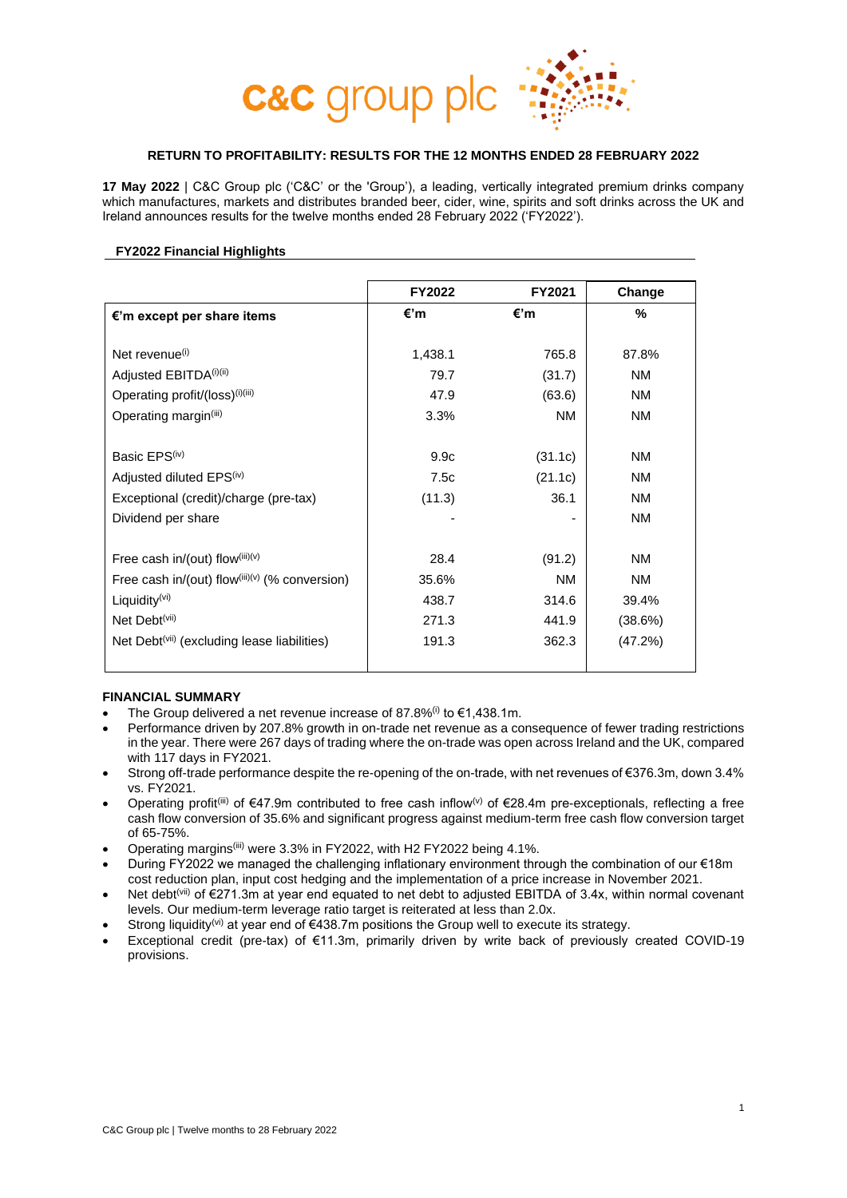

# **RETURN TO PROFITABILITY: RESULTS FOR THE 12 MONTHS ENDED 28 FEBRUARY 2022**

**17 May 2022** | C&C Group plc ('C&C' or the 'Group'), a leading, vertically integrated premium drinks company which manufactures, markets and distributes branded beer, cider, wine, spirits and soft drinks across the UK and Ireland announces results for the twelve months ended 28 February 2022 ('FY2022').

### **FY2022 Financial Highlights**

|                                                         | FY2022  | FY2021  | Change    |
|---------------------------------------------------------|---------|---------|-----------|
| €'m except per share items                              | €'m     | €'m     | %         |
|                                                         |         |         |           |
| Net revenue <sup>(i)</sup>                              | 1,438.1 | 765.8   | 87.8%     |
| Adjusted EBITDA <sup>(i)(ii)</sup>                      | 79.7    | (31.7)  | NM        |
| Operating profit/(loss) <sup>(i)(iii)</sup>             | 47.9    | (63.6)  | NM        |
| Operating margin <sup>(iii)</sup>                       | 3.3%    | NM.     | ΝM        |
|                                                         |         |         |           |
| Basic EPS <sup>(iv)</sup>                               | 9.9c    | (31.1c) | NM        |
| Adjusted diluted EPS <sup>(iv)</sup>                    | 7.5c    | (21.1c) | NM        |
| Exceptional (credit)/charge (pre-tax)                   | (11.3)  | 36.1    | <b>NM</b> |
| Dividend per share                                      |         |         | <b>NM</b> |
|                                                         |         |         |           |
| Free cash in/(out) flow(iii)(v)                         | 28.4    | (91.2)  | ΝM        |
| Free cash in/(out) flow(iii)(v) (% conversion)          | 35.6%   | NM.     | <b>NM</b> |
| Liquidity <sup>(vi)</sup>                               | 438.7   | 314.6   | 39.4%     |
| Net Debt <sup>(vii)</sup>                               | 271.3   | 441.9   | (38.6%)   |
| Net Debt <sup>(vii)</sup> (excluding lease liabilities) | 191.3   | 362.3   | (47.2%)   |
|                                                         |         |         |           |

## **FINANCIAL SUMMARY**

- The Group delivered a net revenue increase of 87.8%<sup>(i)</sup> to €1.438.1m.
- Performance driven by 207.8% growth in on-trade net revenue as a consequence of fewer trading restrictions in the year. There were 267 days of trading where the on-trade was open across Ireland and the UK, compared with 117 days in FY2021.
- Strong off-trade performance despite the re-opening of the on-trade, with net revenues of €376.3m, down 3.4% vs. FY2021.
- Operating profit<sup>(iii)</sup> of  $\epsilon$ 47.9m contributed to free cash inflow<sup>(v)</sup> of  $\epsilon$ 28.4m pre-exceptionals, reflecting a free cash flow conversion of 35.6% and significant progress against medium-term free cash flow conversion target of 65-75%.
- Operating margins<sup>(iii)</sup> were 3.3% in FY2022, with H2 FY2022 being 4.1%.
- During FY2022 we managed the challenging inflationary environment through the combination of our €18m cost reduction plan, input cost hedging and the implementation of a price increase in November 2021.
- Net debt<sup>(vii)</sup> of €271.3m at year end equated to net debt to adjusted EBITDA of 3.4x, within normal covenant levels. Our medium-term leverage ratio target is reiterated at less than 2.0x.
- Strong liquidity<sup>(vi)</sup> at year end of  $€438.7m$  positions the Group well to execute its strategy.
- Exceptional credit (pre-tax) of €11.3m, primarily driven by write back of previously created COVID-19 provisions.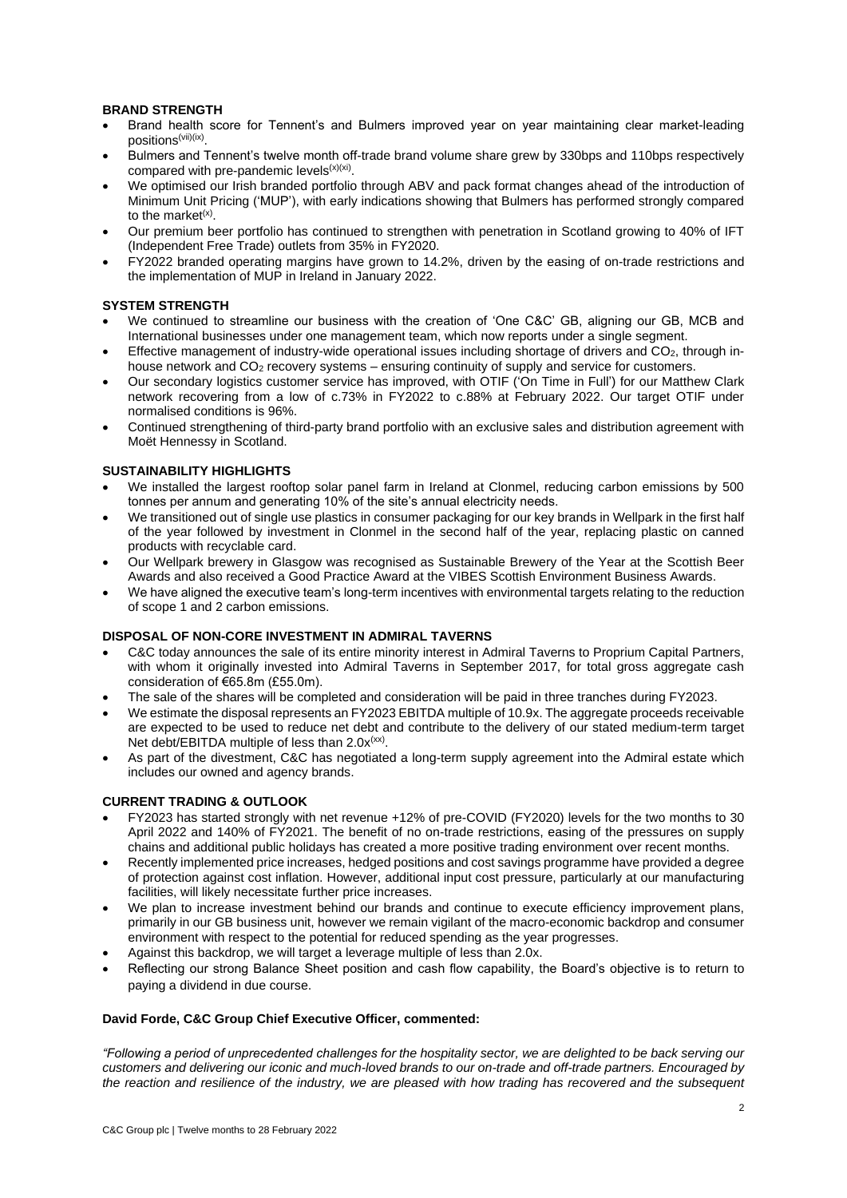## **BRAND STRENGTH**

- Brand health score for Tennent's and Bulmers improved year on year maintaining clear market-leading positions<sup>(vii)(ix)</sup>.
- Bulmers and Tennent's twelve month off-trade brand volume share grew by 330bps and 110bps respectively compared with pre-pandemic levels $(x)(xi)$ .
- We optimised our Irish branded portfolio through ABV and pack format changes ahead of the introduction of Minimum Unit Pricing ('MUP'), with early indications showing that Bulmers has performed strongly compared to the market<sup>(x)</sup>.
- Our premium beer portfolio has continued to strengthen with penetration in Scotland growing to 40% of IFT (Independent Free Trade) outlets from 35% in FY2020.
- FY2022 branded operating margins have grown to 14.2%, driven by the easing of on-trade restrictions and the implementation of MUP in Ireland in January 2022.

### **SYSTEM STRENGTH**

- We continued to streamline our business with the creation of 'One C&C' GB, aligning our GB, MCB and International businesses under one management team, which now reports under a single segment.
- Effective management of industry-wide operational issues including shortage of drivers and CO2, through inhouse network and CO<sup>2</sup> recovery systems – ensuring continuity of supply and service for customers.
- Our secondary logistics customer service has improved, with OTIF ('On Time in Full') for our Matthew Clark network recovering from a low of c.73% in FY2022 to c.88% at February 2022. Our target OTIF under normalised conditions is 96%.
- Continued strengthening of third-party brand portfolio with an exclusive sales and distribution agreement with Moët Hennessy in Scotland.

### **SUSTAINABILITY HIGHLIGHTS**

- We installed the largest rooftop solar panel farm in Ireland at Clonmel, reducing carbon emissions by 500 tonnes per annum and generating 10% of the site's annual electricity needs.
- We transitioned out of single use plastics in consumer packaging for our key brands in Wellpark in the first half of the year followed by investment in Clonmel in the second half of the year, replacing plastic on canned products with recyclable card.
- Our Wellpark brewery in Glasgow was recognised as Sustainable Brewery of the Year at the Scottish Beer Awards and also received a Good Practice Award at the VIBES Scottish Environment Business Awards.
- We have aligned the executive team's long-term incentives with environmental targets relating to the reduction of scope 1 and 2 carbon emissions.

### **DISPOSAL OF NON-CORE INVESTMENT IN ADMIRAL TAVERNS**

- C&C today announces the sale of its entire minority interest in Admiral Taverns to Proprium Capital Partners, with whom it originally invested into Admiral Taverns in September 2017, for total gross aggregate cash consideration of €65.8m (£55.0m).
- The sale of the shares will be completed and consideration will be paid in three tranches during FY2023.
- We estimate the disposal represents an FY2023 EBITDA multiple of 10.9x. The aggregate proceeds receivable are expected to be used to reduce net debt and contribute to the delivery of our stated medium-term target Net debt/EBITDA multiple of less than  $2.0x^{(xx)}$ .
- As part of the divestment, C&C has negotiated a long-term supply agreement into the Admiral estate which includes our owned and agency brands.

### **CURRENT TRADING & OUTLOOK**

- FY2023 has started strongly with net revenue +12% of pre-COVID (FY2020) levels for the two months to 30 April 2022 and 140% of FY2021. The benefit of no on-trade restrictions, easing of the pressures on supply chains and additional public holidays has created a more positive trading environment over recent months.
- Recently implemented price increases, hedged positions and cost savings programme have provided a degree of protection against cost inflation. However, additional input cost pressure, particularly at our manufacturing facilities, will likely necessitate further price increases.
- We plan to increase investment behind our brands and continue to execute efficiency improvement plans, primarily in our GB business unit, however we remain vigilant of the macro-economic backdrop and consumer environment with respect to the potential for reduced spending as the year progresses.
- Against this backdrop, we will target a leverage multiple of less than 2.0x.
- Reflecting our strong Balance Sheet position and cash flow capability, the Board's objective is to return to paying a dividend in due course.

# **David Forde, C&C Group Chief Executive Officer, commented:**

*"Following a period of unprecedented challenges for the hospitality sector, we are delighted to be back serving our customers and delivering our iconic and much-loved brands to our on-trade and off-trade partners. Encouraged by the reaction and resilience of the industry, we are pleased with how trading has recovered and the subsequent*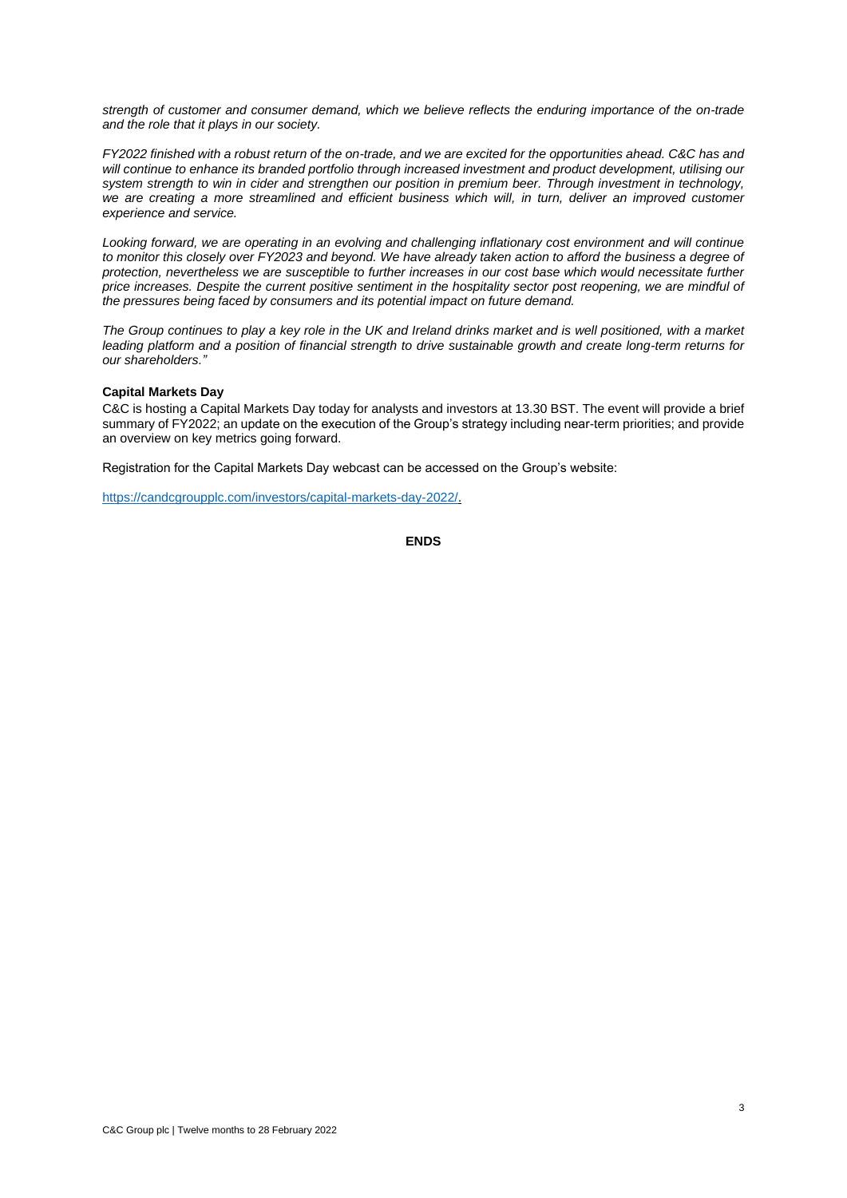*strength of customer and consumer demand, which we believe reflects the enduring importance of the on-trade and the role that it plays in our society.* 

*FY2022 finished with a robust return of the on-trade, and we are excited for the opportunities ahead. C&C has and*  will continue to enhance its branded portfolio through increased investment and product development, utilising our *system strength to win in cider and strengthen our position in premium beer. Through investment in technology, we are creating a more streamlined and efficient business which will, in turn, deliver an improved customer experience and service.* 

*Looking forward, we are operating in an evolving and challenging inflationary cost environment and will continue*  to monitor this closely over FY2023 and beyond. We have already taken action to afford the business a degree of *protection, nevertheless we are susceptible to further increases in our cost base which would necessitate further price increases. Despite the current positive sentiment in the hospitality sector post reopening, we are mindful of the pressures being faced by consumers and its potential impact on future demand.*

*The Group continues to play a key role in the UK and Ireland drinks market and is well positioned, with a market leading platform and a position of financial strength to drive sustainable growth and create long-term returns for our shareholders."* 

#### **Capital Markets Day**

C&C is hosting a Capital Markets Day today for analysts and investors at 13.30 BST. The event will provide a brief summary of FY2022; an update on the execution of the Group's strategy including near-term priorities; and provide an overview on key metrics going forward.

Registration for the Capital Markets Day webcast can be accessed on the Group's website:

[https://candcgroupplc.com/investors/capital-markets-day-2022/.](https://candcgroupplc.com/investors/capital-markets-day-2022/)

```
ENDS
```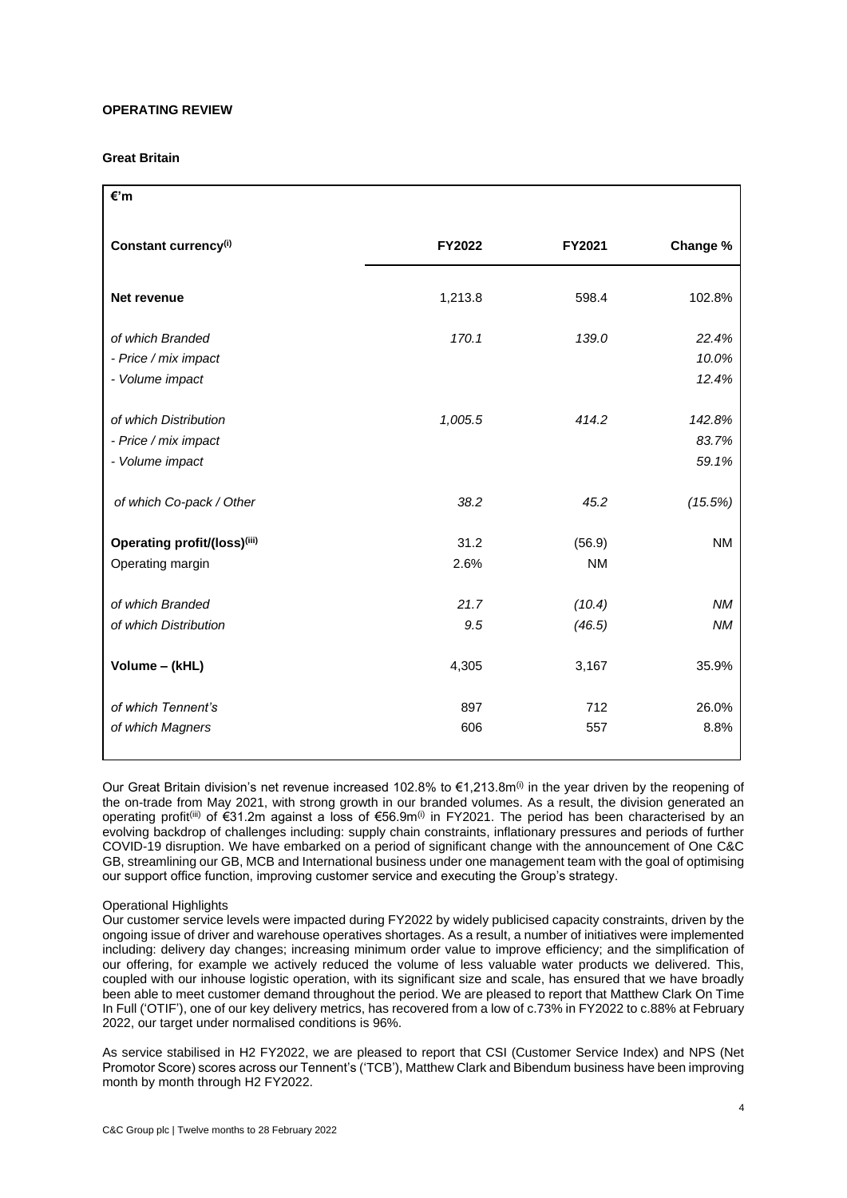### **OPERATING REVIEW**

### **Great Britain**

| €'m                                                              |               |                     |                          |
|------------------------------------------------------------------|---------------|---------------------|--------------------------|
| Constant currency <sup>(i)</sup>                                 | <b>FY2022</b> | FY2021              | Change %                 |
| Net revenue                                                      | 1,213.8       | 598.4               | 102.8%                   |
| of which Branded<br>- Price / mix impact<br>- Volume impact      | 170.1         | 139.0               | 22.4%<br>10.0%<br>12.4%  |
| of which Distribution<br>- Price / mix impact<br>- Volume impact | 1,005.5       | 414.2               | 142.8%<br>83.7%<br>59.1% |
| of which Co-pack / Other                                         | 38.2          | 45.2                | (15.5%)                  |
| Operating profit/(loss)(iii)<br>Operating margin                 | 31.2<br>2.6%  | (56.9)<br><b>NM</b> | <b>NM</b>                |
| of which Branded<br>of which Distribution                        | 21.7<br>9.5   | (10.4)<br>(46.5)    | <b>NM</b><br><b>NM</b>   |
| Volume - (kHL)                                                   | 4,305         | 3,167               | 35.9%                    |
| of which Tennent's<br>of which Magners                           | 897<br>606    | 712<br>557          | 26.0%<br>8.8%            |

Our Great Britain division's net revenue increased 102.8% to  $\epsilon$ 1.213.8m<sup>(i)</sup> in the year driven by the reopening of the on-trade from May 2021, with strong growth in our branded volumes. As a result, the division generated an operating profit<sup>(iii)</sup> of €31.2m against a loss of €56.9m<sup>(i)</sup> in FY2021. The period has been characterised by an evolving backdrop of challenges including: supply chain constraints, inflationary pressures and periods of further COVID-19 disruption. We have embarked on a period of significant change with the announcement of One C&C GB, streamlining our GB, MCB and International business under one management team with the goal of optimising our support office function, improving customer service and executing the Group's strategy.

### Operational Highlights

Our customer service levels were impacted during FY2022 by widely publicised capacity constraints, driven by the ongoing issue of driver and warehouse operatives shortages. As a result, a number of initiatives were implemented including: delivery day changes; increasing minimum order value to improve efficiency; and the simplification of our offering, for example we actively reduced the volume of less valuable water products we delivered. This, coupled with our inhouse logistic operation, with its significant size and scale, has ensured that we have broadly been able to meet customer demand throughout the period. We are pleased to report that Matthew Clark On Time In Full ('OTIF'), one of our key delivery metrics, has recovered from a low of c.73% in FY2022 to c.88% at February 2022, our target under normalised conditions is 96%.

As service stabilised in H2 FY2022, we are pleased to report that CSI (Customer Service Index) and NPS (Net Promotor Score) scores across our Tennent's ('TCB'), Matthew Clark and Bibendum business have been improving month by month through H2 FY2022.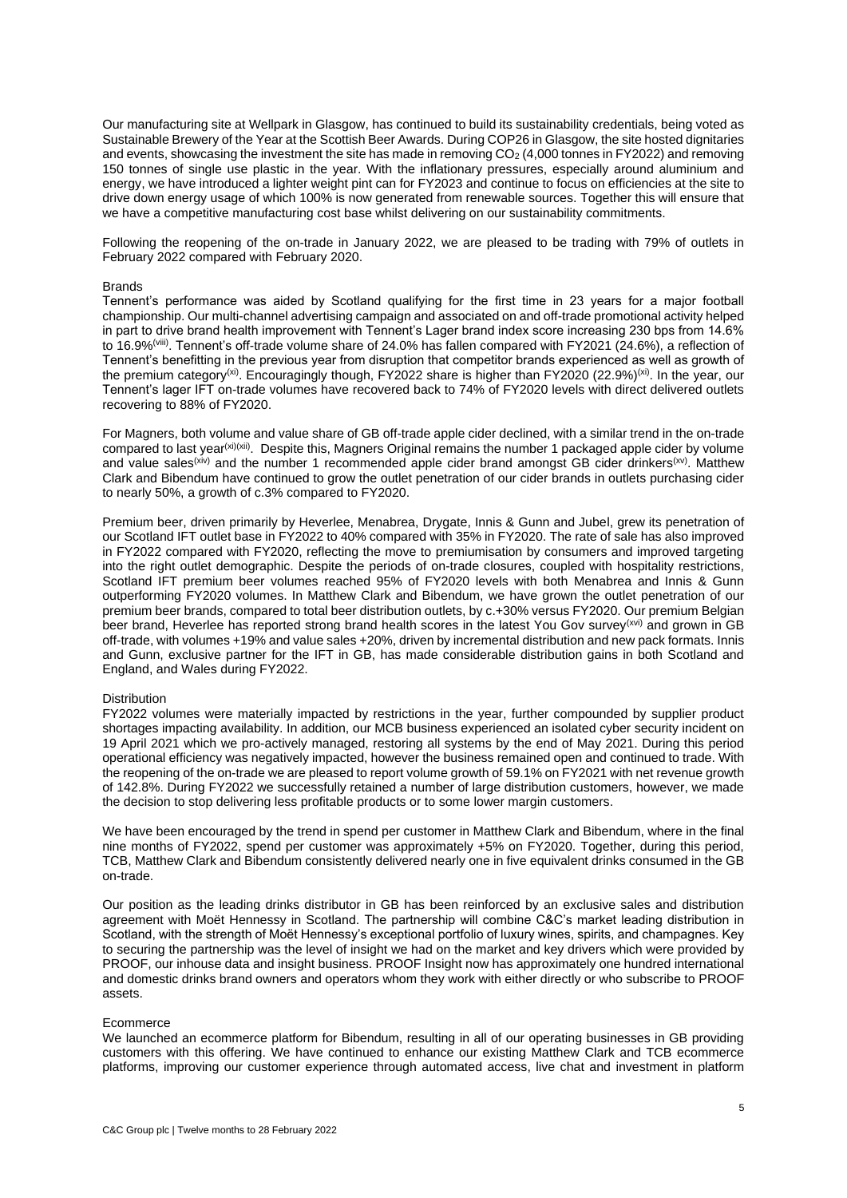Our manufacturing site at Wellpark in Glasgow, has continued to build its sustainability credentials, being voted as Sustainable Brewery of the Year at the Scottish Beer Awards. During COP26 in Glasgow, the site hosted dignitaries and events, showcasing the investment the site has made in removing CO<sub>2</sub> (4,000 tonnes in FY2022) and removing 150 tonnes of single use plastic in the year. With the inflationary pressures, especially around aluminium and energy, we have introduced a lighter weight pint can for FY2023 and continue to focus on efficiencies at the site to drive down energy usage of which 100% is now generated from renewable sources. Together this will ensure that we have a competitive manufacturing cost base whilst delivering on our sustainability commitments.

Following the reopening of the on-trade in January 2022, we are pleased to be trading with 79% of outlets in February 2022 compared with February 2020.

#### Brands

Tennent's performance was aided by Scotland qualifying for the first time in 23 years for a major football championship. Our multi-channel advertising campaign and associated on and off-trade promotional activity helped in part to drive brand health improvement with Tennent's Lager brand index score increasing 230 bps from 14.6% to 16.9%<sup>(viii)</sup>. Tennent's off-trade volume share of 24.0% has fallen compared with FY2021 (24.6%), a reflection of Tennent's benefitting in the previous year from disruption that competitor brands experienced as well as growth of the premium category<sup>(xi)</sup>. Encouragingly though, FY2022 share is higher than FY2020 (22.9%)<sup>(xi)</sup>. In the year, our Tennent's lager IFT on-trade volumes have recovered back to 74% of FY2020 levels with direct delivered outlets recovering to 88% of FY2020.

For Magners, both volume and value share of GB off-trade apple cider declined, with a similar trend in the on-trade compared to last year<sup>(xi)(xii)</sup>. Despite this, Magners Original remains the number 1 packaged apple cider by volume and value sales<sup>(xiv)</sup> and the number 1 recommended apple cider brand amongst GB cider drinkers<sup>(xv)</sup>. Matthew Clark and Bibendum have continued to grow the outlet penetration of our cider brands in outlets purchasing cider to nearly 50%, a growth of c.3% compared to FY2020.

Premium beer, driven primarily by Heverlee, Menabrea, Drygate, Innis & Gunn and Jubel, grew its penetration of our Scotland IFT outlet base in FY2022 to 40% compared with 35% in FY2020. The rate of sale has also improved in FY2022 compared with FY2020, reflecting the move to premiumisation by consumers and improved targeting into the right outlet demographic. Despite the periods of on-trade closures, coupled with hospitality restrictions, Scotland IFT premium beer volumes reached 95% of FY2020 levels with both Menabrea and Innis & Gunn outperforming FY2020 volumes. In Matthew Clark and Bibendum, we have grown the outlet penetration of our premium beer brands, compared to total beer distribution outlets, by c.+30% versus FY2020. Our premium Belgian beer brand, Heverlee has reported strong brand health scores in the latest You Gov survey<sup>(xvi)</sup> and grown in GB off-trade, with volumes +19% and value sales +20%, driven by incremental distribution and new pack formats. Innis and Gunn, exclusive partner for the IFT in GB, has made considerable distribution gains in both Scotland and England, and Wales during FY2022.

#### **Distribution**

FY2022 volumes were materially impacted by restrictions in the year, further compounded by supplier product shortages impacting availability. In addition, our MCB business experienced an isolated cyber security incident on 19 April 2021 which we pro-actively managed, restoring all systems by the end of May 2021. During this period operational efficiency was negatively impacted, however the business remained open and continued to trade. With the reopening of the on-trade we are pleased to report volume growth of 59.1% on FY2021 with net revenue growth of 142.8%. During FY2022 we successfully retained a number of large distribution customers, however, we made the decision to stop delivering less profitable products or to some lower margin customers.

We have been encouraged by the trend in spend per customer in Matthew Clark and Bibendum, where in the final nine months of FY2022, spend per customer was approximately +5% on FY2020. Together, during this period, TCB, Matthew Clark and Bibendum consistently delivered nearly one in five equivalent drinks consumed in the GB on-trade.

Our position as the leading drinks distributor in GB has been reinforced by an exclusive sales and distribution agreement with Moët Hennessy in Scotland. The partnership will combine C&C's market leading distribution in Scotland, with the strength of Moët Hennessy's exceptional portfolio of luxury wines, spirits, and champagnes. Key to securing the partnership was the level of insight we had on the market and key drivers which were provided by PROOF, our inhouse data and insight business. PROOF Insight now has approximately one hundred international and domestic drinks brand owners and operators whom they work with either directly or who subscribe to PROOF assets.

#### Ecommerce

We launched an ecommerce platform for Bibendum, resulting in all of our operating businesses in GB providing customers with this offering. We have continued to enhance our existing Matthew Clark and TCB ecommerce platforms, improving our customer experience through automated access, live chat and investment in platform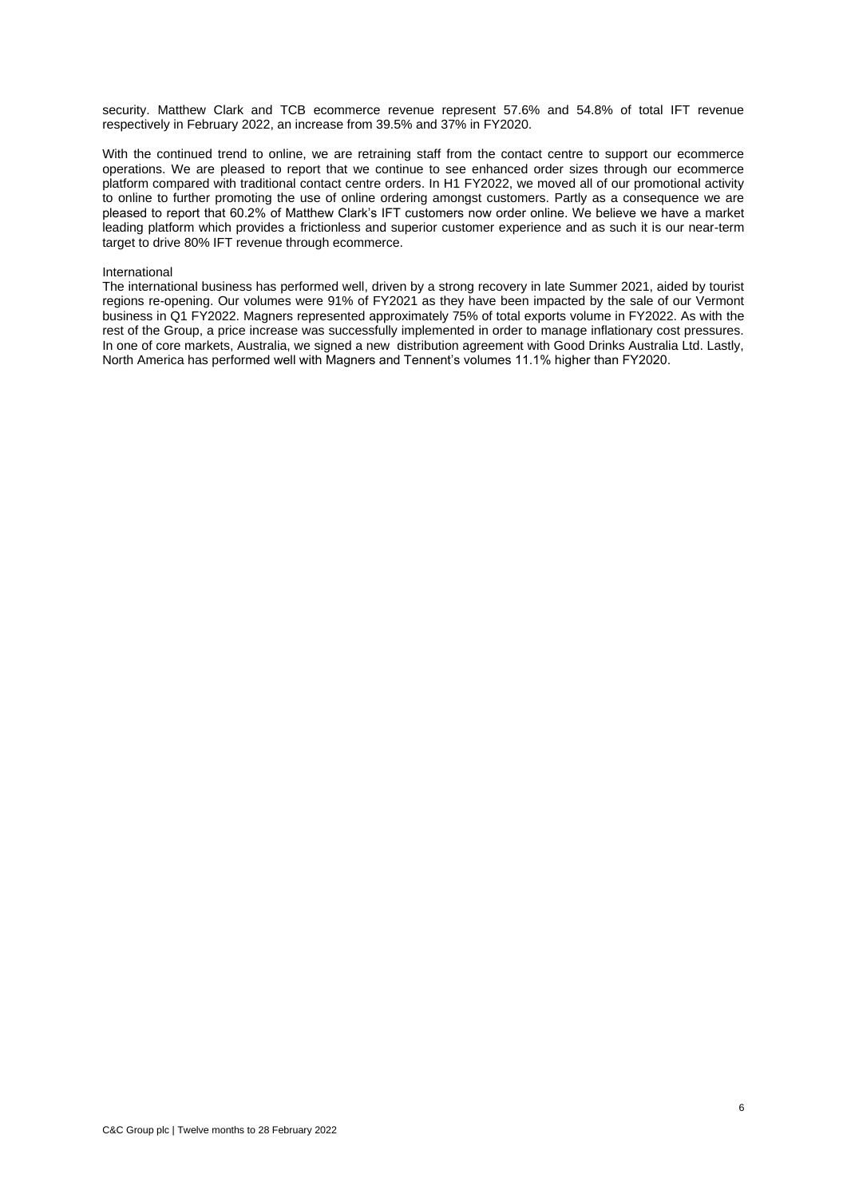security. Matthew Clark and TCB ecommerce revenue represent 57.6% and 54.8% of total IFT revenue respectively in February 2022, an increase from 39.5% and 37% in FY2020.

With the continued trend to online, we are retraining staff from the contact centre to support our ecommerce operations. We are pleased to report that we continue to see enhanced order sizes through our ecommerce platform compared with traditional contact centre orders. In H1 FY2022, we moved all of our promotional activity to online to further promoting the use of online ordering amongst customers. Partly as a consequence we are pleased to report that 60.2% of Matthew Clark's IFT customers now order online. We believe we have a market leading platform which provides a frictionless and superior customer experience and as such it is our near-term target to drive 80% IFT revenue through ecommerce.

#### International

The international business has performed well, driven by a strong recovery in late Summer 2021, aided by tourist regions re-opening. Our volumes were 91% of FY2021 as they have been impacted by the sale of our Vermont business in Q1 FY2022. Magners represented approximately 75% of total exports volume in FY2022. As with the rest of the Group, a price increase was successfully implemented in order to manage inflationary cost pressures. In one of core markets, Australia, we signed a new distribution agreement with Good Drinks Australia Ltd. Lastly, North America has performed well with Magners and Tennent's volumes 11.1% higher than FY2020.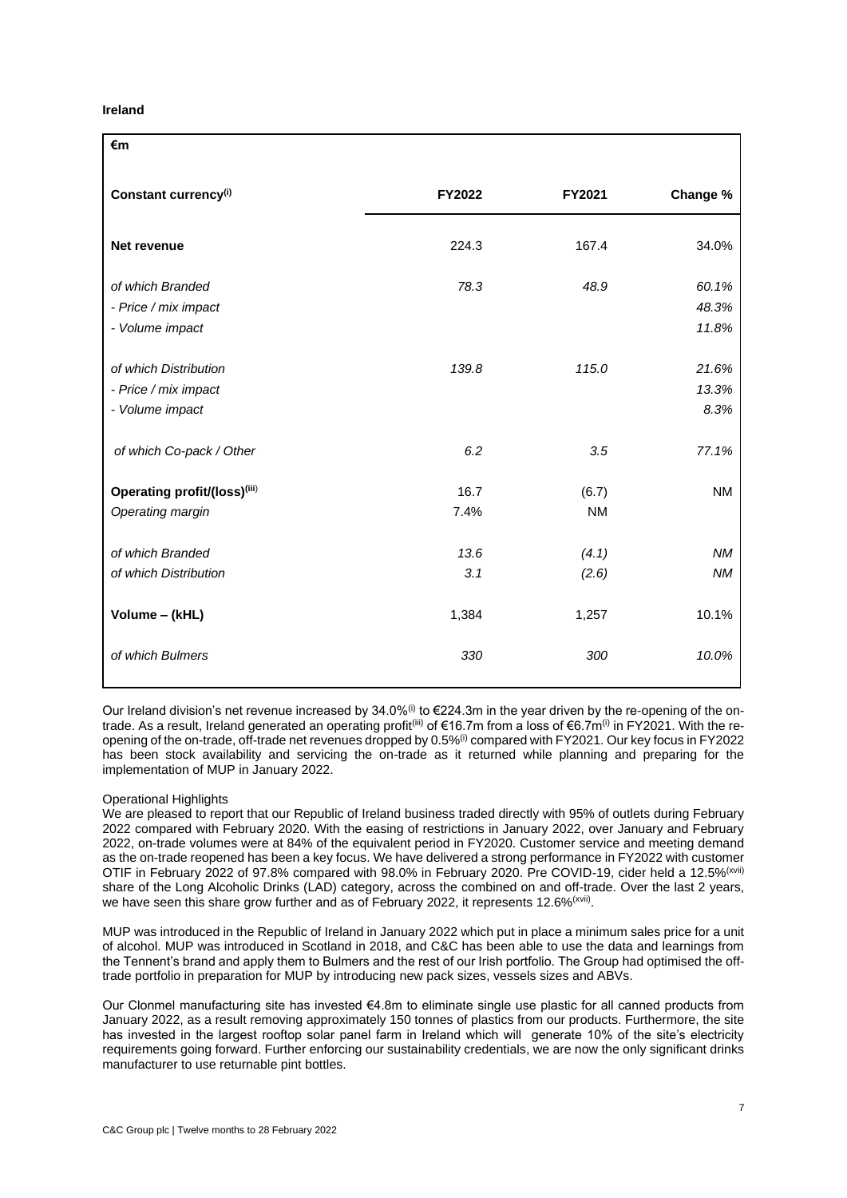### **Ireland**

| €m                               |        |           |           |
|----------------------------------|--------|-----------|-----------|
| Constant currency <sup>(i)</sup> | FY2022 | FY2021    | Change %  |
| Net revenue                      | 224.3  | 167.4     | 34.0%     |
| of which Branded                 | 78.3   | 48.9      | 60.1%     |
| - Price / mix impact             |        |           | 48.3%     |
| - Volume impact                  |        |           | 11.8%     |
|                                  |        |           |           |
| of which Distribution            | 139.8  | 115.0     | 21.6%     |
| - Price / mix impact             |        |           | 13.3%     |
| - Volume impact                  |        |           | 8.3%      |
| of which Co-pack / Other         | 6.2    | 3.5       | 77.1%     |
| Operating profit/(loss)(iii)     | 16.7   | (6.7)     | <b>NM</b> |
| Operating margin                 | 7.4%   | <b>NM</b> |           |
|                                  |        |           |           |
| of which Branded                 | 13.6   | (4.1)     | <b>NM</b> |
| of which Distribution            | 3.1    | (2.6)     | <b>NM</b> |
| Volume - (kHL)                   | 1,384  | 1,257     | 10.1%     |
| of which Bulmers                 | 330    | 300       | 10.0%     |

Our Ireland division's net revenue increased by 34.0%<sup>(i)</sup> to  $\epsilon$ 224.3m in the year driven by the re-opening of the ontrade. As a result, Ireland generated an operating profit<sup>(iii)</sup> of €16.7m from a loss of €6.7m<sup>(i)</sup> in FY2021. With the reopening of the on-trade, off-trade net revenues dropped by 0.5%(i) compared with FY2021. Our key focus in FY2022 has been stock availability and servicing the on-trade as it returned while planning and preparing for the implementation of MUP in January 2022.

### Operational Highlights

We are pleased to report that our Republic of Ireland business traded directly with 95% of outlets during February 2022 compared with February 2020. With the easing of restrictions in January 2022, over January and February 2022, on-trade volumes were at 84% of the equivalent period in FY2020. Customer service and meeting demand as the on-trade reopened has been a key focus. We have delivered a strong performance in FY2022 with customer OTIF in February 2022 of 97.8% compared with 98.0% in February 2020. Pre COVID-19, cider held a 12.5%<sup>(xvii)</sup> share of the Long Alcoholic Drinks (LAD) category, across the combined on and off-trade. Over the last 2 years, we have seen this share grow further and as of February 2022, it represents 12.6%<sup>(xvii)</sup>.

MUP was introduced in the Republic of Ireland in January 2022 which put in place a minimum sales price for a unit of alcohol. MUP was introduced in Scotland in 2018, and C&C has been able to use the data and learnings from the Tennent's brand and apply them to Bulmers and the rest of our Irish portfolio. The Group had optimised the offtrade portfolio in preparation for MUP by introducing new pack sizes, vessels sizes and ABVs.

Our Clonmel manufacturing site has invested €4.8m to eliminate single use plastic for all canned products from January 2022, as a result removing approximately 150 tonnes of plastics from our products. Furthermore, the site has invested in the largest rooftop solar panel farm in Ireland which will generate 10% of the site's electricity requirements going forward. Further enforcing our sustainability credentials, we are now the only significant drinks manufacturer to use returnable pint bottles.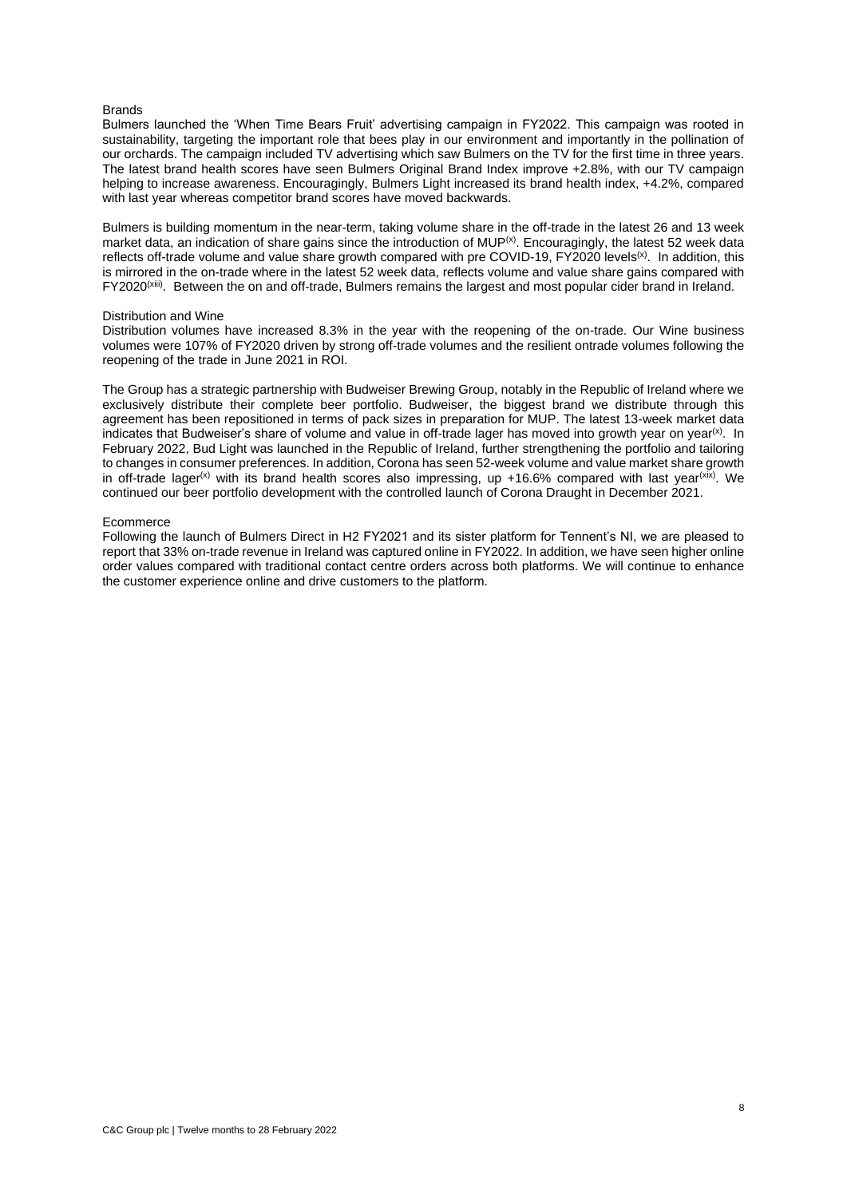#### **Brands**

Bulmers launched the 'When Time Bears Fruit' advertising campaign in FY2022. This campaign was rooted in sustainability, targeting the important role that bees play in our environment and importantly in the pollination of our orchards. The campaign included TV advertising which saw Bulmers on the TV for the first time in three years. The latest brand health scores have seen Bulmers Original Brand Index improve +2.8%, with our TV campaign helping to increase awareness. Encouragingly, Bulmers Light increased its brand health index, +4.2%, compared with last year whereas competitor brand scores have moved backwards.

Bulmers is building momentum in the near-term, taking volume share in the off-trade in the latest 26 and 13 week market data, an indication of share gains since the introduction of MUP<sup>(x)</sup>. Encouragingly, the latest 52 week data reflects off-trade volume and value share growth compared with pre COVID-19,  $FY2020$  levels<sup>(x)</sup>. In addition, this is mirrored in the on-trade where in the latest 52 week data, reflects volume and value share gains compared with FY2020<sup>(xiii)</sup>. Between the on and off-trade, Bulmers remains the largest and most popular cider brand in Ireland.

#### Distribution and Wine

Distribution volumes have increased 8.3% in the year with the reopening of the on-trade. Our Wine business volumes were 107% of FY2020 driven by strong off-trade volumes and the resilient ontrade volumes following the reopening of the trade in June 2021 in ROI.

The Group has a strategic partnership with Budweiser Brewing Group, notably in the Republic of Ireland where we exclusively distribute their complete beer portfolio. Budweiser, the biggest brand we distribute through this agreement has been repositioned in terms of pack sizes in preparation for MUP. The latest 13-week market data indicates that Budweiser's share of volume and value in off-trade lager has moved into growth year on year<sup>(x)</sup>. In February 2022, Bud Light was launched in the Republic of Ireland, further strengthening the portfolio and tailoring to changes in consumer preferences. In addition, Corona has seen 52-week volume and value market share growth in off-trade lager<sup>(x)</sup> with its brand health scores also impressing, up +16.6% compared with last year<sup>(xix)</sup>. We continued our beer portfolio development with the controlled launch of Corona Draught in December 2021.

#### Ecommerce

Following the launch of Bulmers Direct in H2 FY2021 and its sister platform for Tennent's NI, we are pleased to report that 33% on-trade revenue in Ireland was captured online in FY2022. In addition, we have seen higher online order values compared with traditional contact centre orders across both platforms. We will continue to enhance the customer experience online and drive customers to the platform.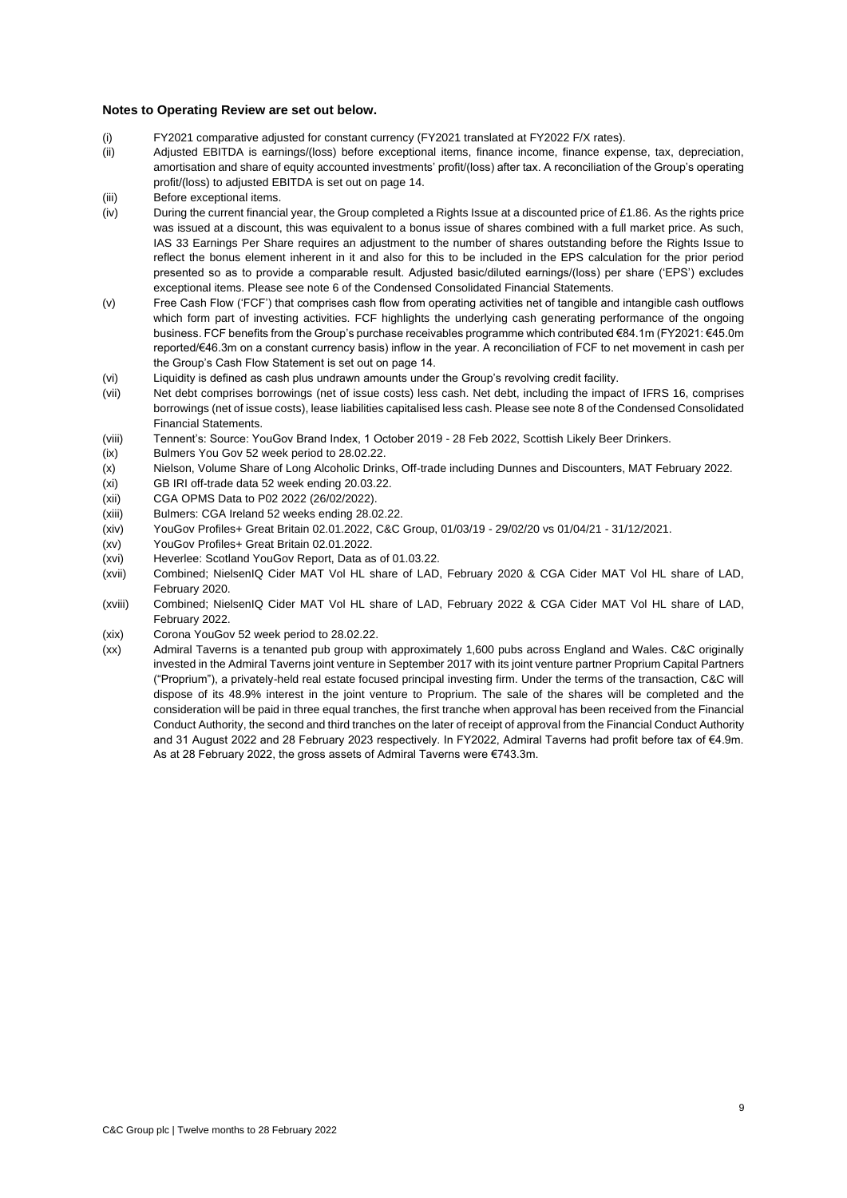#### **Notes to Operating Review are set out below.**

- (i) FY2021 comparative adjusted for constant currency (FY2021 translated at FY2022 F/X rates).
- (ii) Adjusted EBITDA is earnings/(loss) before exceptional items, finance income, finance expense, tax, depreciation, amortisation and share of equity accounted investments' profit/(loss) after tax. A reconciliation of the Group's operating profit/(loss) to adjusted EBITDA is set out on page 14.
- (iii) Before exceptional items.
- (iv) During the current financial year, the Group completed a Rights Issue at a discounted price of £1.86. As the rights price was issued at a discount, this was equivalent to a bonus issue of shares combined with a full market price. As such, IAS 33 Earnings Per Share requires an adjustment to the number of shares outstanding before the Rights Issue to reflect the bonus element inherent in it and also for this to be included in the EPS calculation for the prior period presented so as to provide a comparable result. Adjusted basic/diluted earnings/(loss) per share ('EPS') excludes exceptional items. Please see note 6 of the Condensed Consolidated Financial Statements.
- (v) Free Cash Flow ('FCF') that comprises cash flow from operating activities net of tangible and intangible cash outflows which form part of investing activities. FCF highlights the underlying cash generating performance of the ongoing business. FCF benefits from the Group's purchase receivables programme which contributed €84.1m (FY2021: €45.0m reported/€46.3m on a constant currency basis) inflow in the year. A reconciliation of FCF to net movement in cash per the Group's Cash Flow Statement is set out on page 14.
- (vi) Liquidity is defined as cash plus undrawn amounts under the Group's revolving credit facility.
- (vii) Net debt comprises borrowings (net of issue costs) less cash. Net debt, including the impact of IFRS 16, comprises borrowings (net of issue costs), lease liabilities capitalised less cash. Please see note 8 of the Condensed Consolidated Financial Statements.
- (viii) Tennent's: Source: YouGov Brand Index, 1 October 2019 28 Feb 2022, Scottish Likely Beer Drinkers.
- (ix) Bulmers You Gov 52 week period to 28.02.22.
- (x) Nielson, Volume Share of Long Alcoholic Drinks, Off-trade including Dunnes and Discounters, MAT February 2022.
- (xi) GB IRI off-trade data 52 week ending 20.03.22.
- (xii) CGA OPMS Data to P02 2022 (26/02/2022).
- (xiii) Bulmers: CGA Ireland 52 weeks ending 28.02.22.
- (xiv) YouGov Profiles+ Great Britain 02.01.2022, C&C Group, 01/03/19 29/02/20 vs 01/04/21 31/12/2021.
- (xv) YouGov Profiles+ Great Britain 02.01.2022.
- (xvi) Heverlee: Scotland YouGov Report, Data as of 01.03.22.
- (xvii) Combined; NielsenIQ Cider MAT Vol HL share of LAD, February 2020 & CGA Cider MAT Vol HL share of LAD, February 2020.
- (xviii) Combined; NielsenIQ Cider MAT Vol HL share of LAD, February 2022 & CGA Cider MAT Vol HL share of LAD, February 2022.
- (xix) Corona YouGov 52 week period to 28.02.22.
- (xx) Admiral Taverns is a tenanted pub group with approximately 1,600 pubs across England and Wales. C&C originally invested in the Admiral Taverns joint venture in September 2017 with its joint venture partner Proprium Capital Partners ("Proprium"), a privately-held real estate focused principal investing firm. Under the terms of the transaction, C&C will dispose of its 48.9% interest in the joint venture to Proprium. The sale of the shares will be completed and the consideration will be paid in three equal tranches, the first tranche when approval has been received from the Financial Conduct Authority, the second and third tranches on the later of receipt of approval from the Financial Conduct Authority and 31 August 2022 and 28 February 2023 respectively. In FY2022, Admiral Taverns had profit before tax of €4.9m. As at 28 February 2022, the gross assets of Admiral Taverns were €743.3m.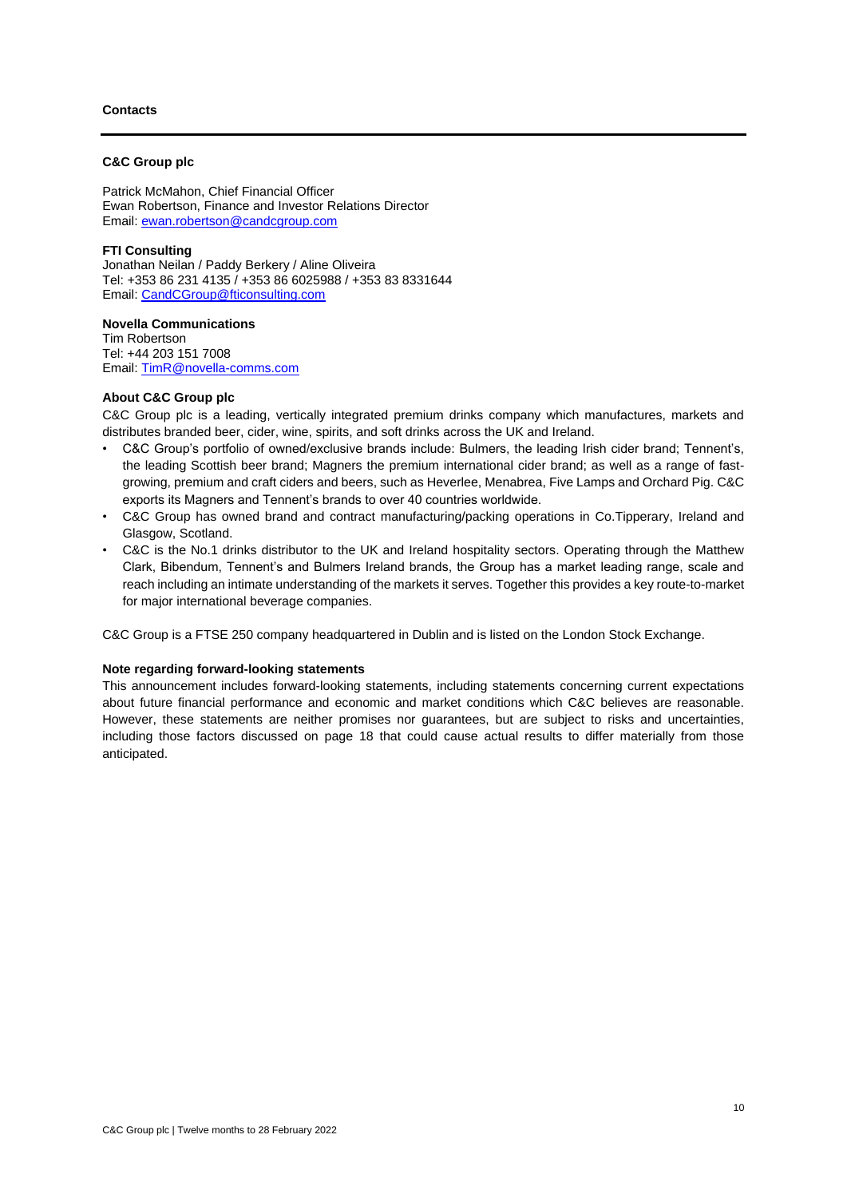### **Contacts**

### **C&C Group plc**

Patrick McMahon, Chief Financial Officer Ewan Robertson, Finance and Investor Relations Director Email: [ewan.robertson@candcgroup.com](mailto:ewan.robertson@candcgroup.com)

### **FTI Consulting**

Jonathan Neilan / Paddy Berkery / Aline Oliveira Tel: +353 86 231 4135 / +353 86 6025988 / +353 83 8331644 Email: [CandCGroup@fticonsulting.com](mailto:CandCGroup@fticonsulting.com)

**Novella Communications** Tim Robertson Tel: +44 203 151 7008 Email: [TimR@novella-comms.com](mailto:TimR@novella-comms.com)

### **About C&C Group plc**

C&C Group plc is a leading, vertically integrated premium drinks company which manufactures, markets and distributes branded beer, cider, wine, spirits, and soft drinks across the UK and Ireland.

- C&C Group's portfolio of owned/exclusive brands include: Bulmers, the leading Irish cider brand; Tennent's, the leading Scottish beer brand; Magners the premium international cider brand; as well as a range of fastgrowing, premium and craft ciders and beers, such as Heverlee, Menabrea, Five Lamps and Orchard Pig. C&C exports its Magners and Tennent's brands to over 40 countries worldwide.
- C&C Group has owned brand and contract manufacturing/packing operations in Co.Tipperary, Ireland and Glasgow, Scotland.
- C&C is the No.1 drinks distributor to the UK and Ireland hospitality sectors. Operating through the Matthew Clark, Bibendum, Tennent's and Bulmers Ireland brands, the Group has a market leading range, scale and reach including an intimate understanding of the markets it serves. Together this provides a key route-to-market for major international beverage companies.

C&C Group is a FTSE 250 company headquartered in Dublin and is listed on the London Stock Exchange.

### **Note regarding forward-looking statements**

This announcement includes forward-looking statements, including statements concerning current expectations about future financial performance and economic and market conditions which C&C believes are reasonable. However, these statements are neither promises nor guarantees, but are subject to risks and uncertainties, including those factors discussed on page 18 that could cause actual results to differ materially from those anticipated.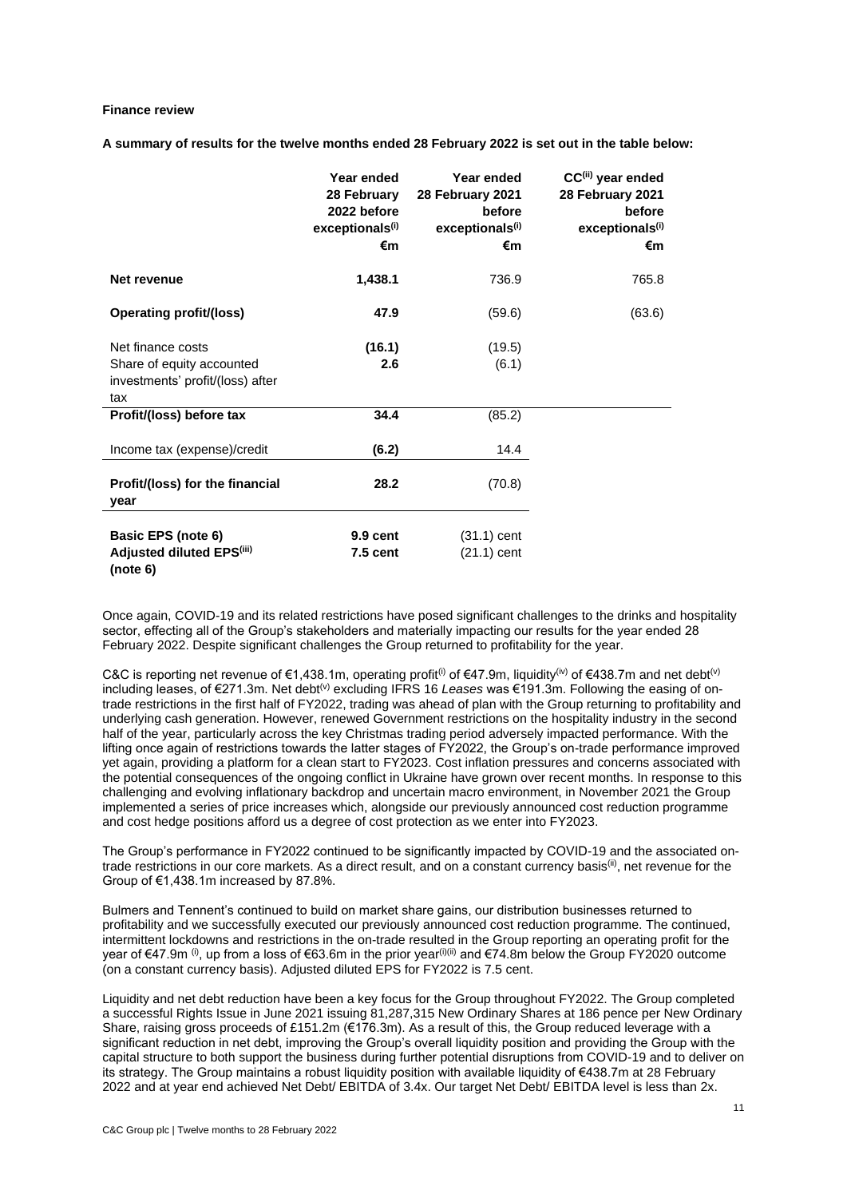### **Finance review**

**A summary of results for the twelve months ended 28 February 2022 is set out in the table below:**

|                                                                                           | Year ended<br>28 February<br>2022 before<br>exceptionals <sup>(i)</sup><br>€m | Year ended<br>28 February 2021<br>before<br>exceptionals <sup>(i)</sup><br>€m | CC <sup>(ii)</sup> year ended<br>28 February 2021<br>before<br>exceptionals <sup>(i)</sup><br>€m |
|-------------------------------------------------------------------------------------------|-------------------------------------------------------------------------------|-------------------------------------------------------------------------------|--------------------------------------------------------------------------------------------------|
| Net revenue                                                                               | 1,438.1                                                                       | 736.9                                                                         | 765.8                                                                                            |
| <b>Operating profit/(loss)</b>                                                            | 47.9                                                                          | (59.6)                                                                        | (63.6)                                                                                           |
| Net finance costs<br>Share of equity accounted<br>investments' profit/(loss) after<br>tax | (16.1)<br>2.6                                                                 | (19.5)<br>(6.1)                                                               |                                                                                                  |
| Profit/(loss) before tax                                                                  | 34.4                                                                          | (85.2)                                                                        |                                                                                                  |
| Income tax (expense)/credit                                                               | (6.2)                                                                         | 14.4                                                                          |                                                                                                  |
| Profit/(loss) for the financial<br>year                                                   | 28.2                                                                          | (70.8)                                                                        |                                                                                                  |
| Basic EPS (note 6)<br>Adjusted diluted EPS(iii)<br>(note 6)                               | 9.9 cent<br>$7.5$ cent                                                        | $(31.1)$ cent<br>$(21.1)$ cent                                                |                                                                                                  |

Once again, COVID-19 and its related restrictions have posed significant challenges to the drinks and hospitality sector, effecting all of the Group's stakeholders and materially impacting our results for the year ended 28 February 2022. Despite significant challenges the Group returned to profitability for the year.

C&C is reporting net revenue of  $\epsilon$ 1,438.1m, operating profit<sup>(i)</sup> of  $\epsilon$ 47.9m, liquidity<sup>(iv)</sup> of  $\epsilon$ 438.7m and net debt<sup>(v)</sup> including leases, of €271.3m. Net debt(v) excluding IFRS 16 *Leases* was €191.3m. Following the easing of ontrade restrictions in the first half of FY2022, trading was ahead of plan with the Group returning to profitability and underlying cash generation. However, renewed Government restrictions on the hospitality industry in the second half of the year, particularly across the key Christmas trading period adversely impacted performance. With the lifting once again of restrictions towards the latter stages of FY2022, the Group's on-trade performance improved yet again, providing a platform for a clean start to FY2023. Cost inflation pressures and concerns associated with the potential consequences of the ongoing conflict in Ukraine have grown over recent months. In response to this challenging and evolving inflationary backdrop and uncertain macro environment, in November 2021 the Group implemented a series of price increases which, alongside our previously announced cost reduction programme and cost hedge positions afford us a degree of cost protection as we enter into FY2023.

The Group's performance in FY2022 continued to be significantly impacted by COVID-19 and the associated ontrade restrictions in our core markets. As a direct result, and on a constant currency basis<sup>(ii)</sup>, net revenue for the Group of €1,438.1m increased by 87.8%.

Bulmers and Tennent's continued to build on market share gains, our distribution businesses returned to profitability and we successfully executed our previously announced cost reduction programme. The continued, intermittent lockdowns and restrictions in the on-trade resulted in the Group reporting an operating profit for the year of €47.9m (i), up from a loss of €63.6m in the prior year(i)(ii) and €74.8m below the Group FY2020 outcome (on a constant currency basis). Adjusted diluted EPS for FY2022 is 7.5 cent.

Liquidity and net debt reduction have been a key focus for the Group throughout FY2022. The Group completed a successful Rights Issue in June 2021 issuing 81,287,315 New Ordinary Shares at 186 pence per New Ordinary Share, raising gross proceeds of £151.2m (€176.3m). As a result of this, the Group reduced leverage with a significant reduction in net debt, improving the Group's overall liquidity position and providing the Group with the capital structure to both support the business during further potential disruptions from COVID-19 and to deliver on its strategy. The Group maintains a robust liquidity position with available liquidity of €438.7m at 28 February 2022 and at year end achieved Net Debt/ EBITDA of 3.4x. Our target Net Debt/ EBITDA level is less than 2x.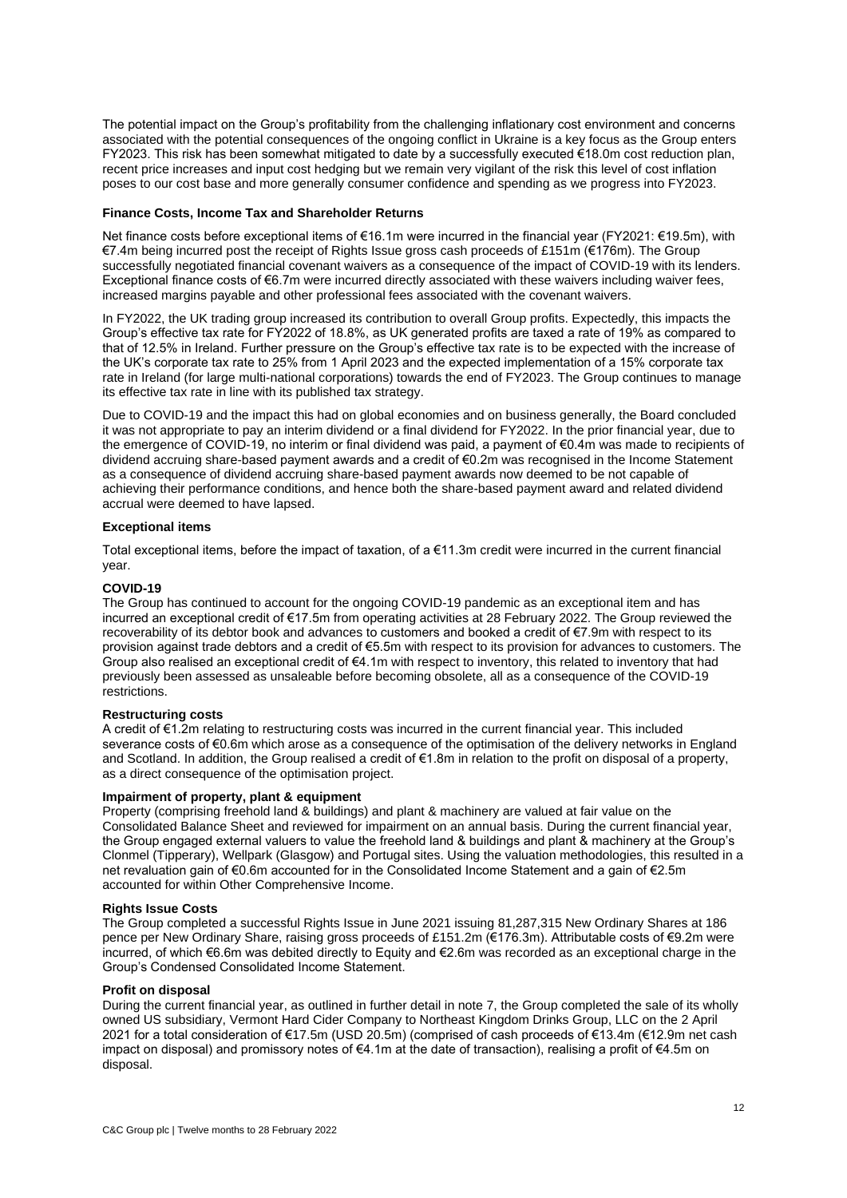The potential impact on the Group's profitability from the challenging inflationary cost environment and concerns associated with the potential consequences of the ongoing conflict in Ukraine is a key focus as the Group enters FY2023. This risk has been somewhat mitigated to date by a successfully executed €18.0m cost reduction plan, recent price increases and input cost hedging but we remain very vigilant of the risk this level of cost inflation poses to our cost base and more generally consumer confidence and spending as we progress into FY2023.

#### **Finance Costs, Income Tax and Shareholder Returns**

Net finance costs before exceptional items of €16.1m were incurred in the financial year (FY2021: €19.5m), with €7.4m being incurred post the receipt of Rights Issue gross cash proceeds of £151m (€176m). The Group successfully negotiated financial covenant waivers as a consequence of the impact of COVID-19 with its lenders. Exceptional finance costs of €6.7m were incurred directly associated with these waivers including waiver fees, increased margins payable and other professional fees associated with the covenant waivers.

In FY2022, the UK trading group increased its contribution to overall Group profits. Expectedly, this impacts the Group's effective tax rate for FY2022 of 18.8%, as UK generated profits are taxed a rate of 19% as compared to that of 12.5% in Ireland. Further pressure on the Group's effective tax rate is to be expected with the increase of the UK's corporate tax rate to 25% from 1 April 2023 and the expected implementation of a 15% corporate tax rate in Ireland (for large multi-national corporations) towards the end of FY2023. The Group continues to manage its effective tax rate in line with its published tax strategy.

Due to COVID-19 and the impact this had on global economies and on business generally, the Board concluded it was not appropriate to pay an interim dividend or a final dividend for FY2022. In the prior financial year, due to the emergence of COVID-19, no interim or final dividend was paid, a payment of €0.4m was made to recipients of dividend accruing share-based payment awards and a credit of €0.2m was recognised in the Income Statement as a consequence of dividend accruing share-based payment awards now deemed to be not capable of achieving their performance conditions, and hence both the share-based payment award and related dividend accrual were deemed to have lapsed.

#### **Exceptional items**

Total exceptional items, before the impact of taxation, of a €11.3m credit were incurred in the current financial year.

### **COVID-19**

The Group has continued to account for the ongoing COVID-19 pandemic as an exceptional item and has incurred an exceptional credit of €17.5m from operating activities at 28 February 2022. The Group reviewed the recoverability of its debtor book and advances to customers and booked a credit of €7.9m with respect to its provision against trade debtors and a credit of €5.5m with respect to its provision for advances to customers. T Group also realised an exceptional credit of €4.1m with respect to inventory, this related to inventory that had previously been assessed as unsaleable before becoming obsolete, all as a consequence of the COVID-19 restrictions.

### **Restructuring costs**

A credit of €1.2m relating to restructuring costs was incurred in the current financial year. This included severance costs of €0.6m which arose as a consequence of the optimisation of the delivery networks in England and Scotland. In addition, the Group realised a credit of €1.8m in relation to the profit on disposal of a property, as a direct consequence of the optimisation project.

#### **Impairment of property, plant & equipment**

Property (comprising freehold land & buildings) and plant & machinery are valued at fair value on the Consolidated Balance Sheet and reviewed for impairment on an annual basis. During the current financial year, the Group engaged external valuers to value the freehold land & buildings and plant & machinery at the Group's Clonmel (Tipperary), Wellpark (Glasgow) and Portugal sites. Using the valuation methodologies, this resulted in a net revaluation gain of €0.6m accounted for in the Consolidated Income Statement and a gain of €2.5m accounted for within Other Comprehensive Income.

### **Rights Issue Costs**

The Group completed a successful Rights Issue in June 2021 issuing 81,287,315 New Ordinary Shares at 186 pence per New Ordinary Share, raising gross proceeds of £151.2m (€176.3m). Attributable costs of €9.2m were incurred, of which €6.6m was debited directly to Equity and €2.6m was recorded as an exceptional charge in the Group's Condensed Consolidated Income Statement.

# **Profit on disposal**

During the current financial year, as outlined in further detail in note 7, the Group completed the sale of its wholly owned US subsidiary, Vermont Hard Cider Company to Northeast Kingdom Drinks Group, LLC on the 2 April 2021 for a total consideration of €17.5m (USD 20.5m) (comprised of cash proceeds of €13.4m (€12.9m net cash impact on disposal) and promissory notes of €4.1m at the date of transaction), realising a profit of €4.5m on disposal.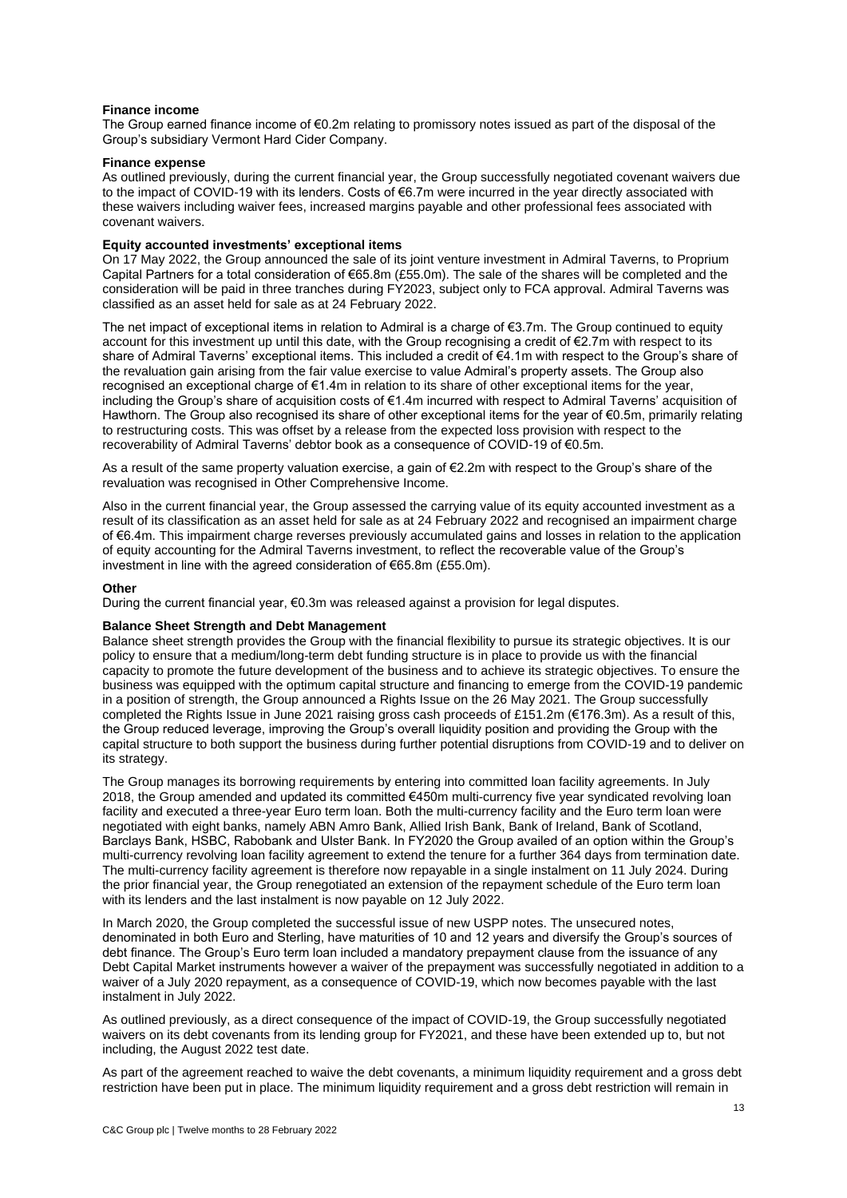### **Finance income**

The Group earned finance income of €0.2m relating to promissory notes issued as part of the disposal of the Group's subsidiary Vermont Hard Cider Company.

#### **Finance expense**

As outlined previously, during the current financial year, the Group successfully negotiated covenant waivers due to the impact of COVID-19 with its lenders. Costs of €6.7m were incurred in the year directly associated with these waivers including waiver fees, increased margins payable and other professional fees associated with covenant waivers.

### **Equity accounted investments' exceptional items**

On 17 May 2022, the Group announced the sale of its joint venture investment in Admiral Taverns, to Proprium Capital Partners for a total consideration of €65.8m (£55.0m). The sale of the shares will be completed and the consideration will be paid in three tranches during FY2023, subject only to FCA approval. Admiral Taverns was classified as an asset held for sale as at 24 February 2022.

The net impact of exceptional items in relation to Admiral is a charge of €3.7m. The Group continued to equity account for this investment up until this date, with the Group recognising a credit of €2.7m with respect to its share of Admiral Taverns' exceptional items. This included a credit of €4.1m with respect to the Group's share of the revaluation gain arising from the fair value exercise to value Admiral's property assets. The Group also recognised an exceptional charge of €1.4m in relation to its share of other exceptional items for the year, including the Group's share of acquisition costs of €1.4m incurred with respect to Admiral Taverns' acquisition of Hawthorn. The Group also recognised its share of other exceptional items for the year of €0.5m, primarily relating to restructuring costs. This was offset by a release from the expected loss provision with respect to the recoverability of Admiral Taverns' debtor book as a consequence of COVID-19 of €0.5m.

As a result of the same property valuation exercise, a gain of €2.2m with respect to the Group's share of the revaluation was recognised in Other Comprehensive Income.

Also in the current financial year, the Group assessed the carrying value of its equity accounted investment as a result of its classification as an asset held for sale as at 24 February 2022 and recognised an impairment charge of €6.4m. This impairment charge reverses previously accumulated gains and losses in relation to the application of equity accounting for the Admiral Taverns investment, to reflect the recoverable value of the Group's investment in line with the agreed consideration of €65.8m (£55.0m).

#### **Other**

During the current financial year, €0.3m was released against a provision for legal disputes.

### **Balance Sheet Strength and Debt Management**

Balance sheet strength provides the Group with the financial flexibility to pursue its strategic objectives. It is our policy to ensure that a medium/long-term debt funding structure is in place to provide us with the financial capacity to promote the future development of the business and to achieve its strategic objectives. To ensure the business was equipped with the optimum capital structure and financing to emerge from the COVID-19 pandemic in a position of strength, the Group announced a Rights Issue on the 26 May 2021. The Group successfully completed the Rights Issue in June 2021 raising gross cash proceeds of £151.2m (€176.3m). As a result of this, the Group reduced leverage, improving the Group's overall liquidity position and providing the Group with the capital structure to both support the business during further potential disruptions from COVID-19 and to deliver on its strategy.

The Group manages its borrowing requirements by entering into committed loan facility agreements. In July 2018, the Group amended and updated its committed €450m multi-currency five year syndicated revolving loan facility and executed a three-year Euro term loan. Both the multi-currency facility and the Euro term loan were negotiated with eight banks, namely ABN Amro Bank, Allied Irish Bank, Bank of Ireland, Bank of Scotland, Barclays Bank, HSBC, Rabobank and Ulster Bank. In FY2020 the Group availed of an option within the Group's multi-currency revolving loan facility agreement to extend the tenure for a further 364 days from termination date. The multi-currency facility agreement is therefore now repayable in a single instalment on 11 July 2024. During the prior financial year, the Group renegotiated an extension of the repayment schedule of the Euro term loan with its lenders and the last instalment is now payable on 12 July 2022.

In March 2020, the Group completed the successful issue of new USPP notes. The unsecured notes, denominated in both Euro and Sterling, have maturities of 10 and 12 years and diversify the Group's sources of debt finance. The Group's Euro term loan included a mandatory prepayment clause from the issuance of any Debt Capital Market instruments however a waiver of the prepayment was successfully negotiated in addition to a waiver of a July 2020 repayment, as a consequence of COVID-19, which now becomes payable with the last instalment in July 2022.

As outlined previously, as a direct consequence of the impact of COVID-19, the Group successfully negotiated waivers on its debt covenants from its lending group for FY2021, and these have been extended up to, but not including, the August 2022 test date.

As part of the agreement reached to waive the debt covenants, a minimum liquidity requirement and a gross debt restriction have been put in place. The minimum liquidity requirement and a gross debt restriction will remain in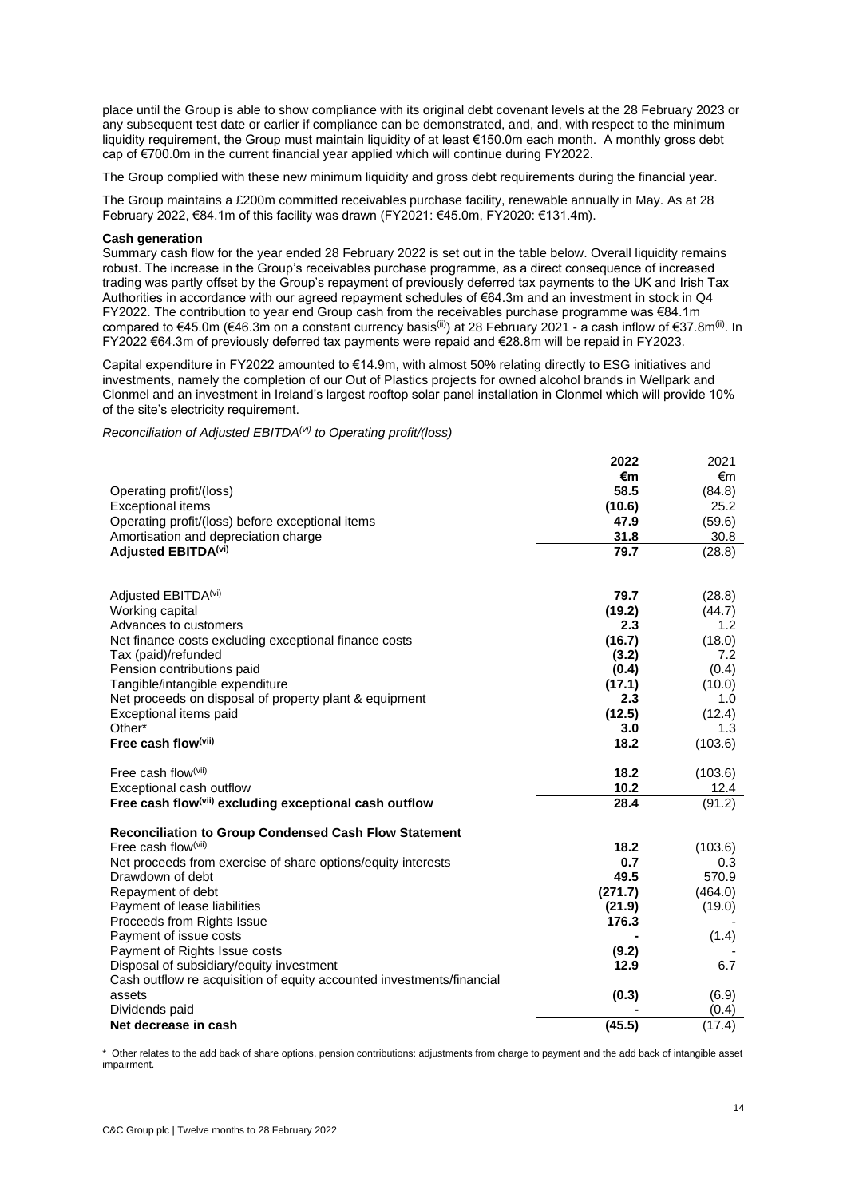place until the Group is able to show compliance with its original debt covenant levels at the 28 February 2023 or any subsequent test date or earlier if compliance can be demonstrated, and, and, with respect to the minimum liquidity requirement, the Group must maintain liquidity of at least €150.0m each month. A monthly gross debt cap of €700.0m in the current financial year applied which will continue during FY2022.

The Group complied with these new minimum liquidity and gross debt requirements during the financial year.

The Group maintains a £200m committed receivables purchase facility, renewable annually in May. As at 28 February 2022, €84.1m of this facility was drawn (FY2021: €45.0m, FY2020: €131.4m).

#### **Cash generation**

Summary cash flow for the year ended 28 February 2022 is set out in the table below. Overall liquidity remains robust. The increase in the Group's receivables purchase programme, as a direct consequence of increased trading was partly offset by the Group's repayment of previously deferred tax payments to the UK and Irish Tax Authorities in accordance with our agreed repayment schedules of €64.3m and an investment in stock in Q4 FY2022. The contribution to year end Group cash from the receivables purchase programme was €84.1m compared to €45.0m (€46.3m on a constant currency basis<sup>(ii)</sup>) at 28 February 2021 - a cash inflow of €37.8m<sup>(ii)</sup>. In FY2022 €64.3m of previously deferred tax payments were repaid and €28.8m will be repaid in FY2023.

Capital expenditure in FY2022 amounted to €14.9m, with almost 50% relating directly to ESG initiatives and investments, namely the completion of our Out of Plastics projects for owned alcohol brands in Wellpark and Clonmel and an investment in Ireland's largest rooftop solar panel installation in Clonmel which will provide 10% of the site's electricity requirement.

*Reconciliation of Adjusted EBITDA(vi) to Operating profit/(loss)*

|                                                                       | 2022    | 2021    |
|-----------------------------------------------------------------------|---------|---------|
|                                                                       | €m      | €m      |
| Operating profit/(loss)                                               | 58.5    | (84.8)  |
| <b>Exceptional items</b>                                              | (10.6)  | 25.2    |
| Operating profit/(loss) before exceptional items                      | 47.9    | (59.6)  |
| Amortisation and depreciation charge                                  | 31.8    | 30.8    |
| Adjusted EBITDA <sup>(vi)</sup>                                       | 79.7    | (28.8)  |
|                                                                       |         |         |
| Adjusted EBITDA <sup>(vi)</sup>                                       | 79.7    | (28.8)  |
| Working capital                                                       | (19.2)  | (44.7)  |
| Advances to customers                                                 | 2.3     | 1.2     |
| Net finance costs excluding exceptional finance costs                 | (16.7)  | (18.0)  |
| Tax (paid)/refunded                                                   | (3.2)   | 7.2     |
| Pension contributions paid                                            | (0.4)   | (0.4)   |
| Tangible/intangible expenditure                                       | (17.1)  | (10.0)  |
| Net proceeds on disposal of property plant & equipment                | 2.3     | 1.0     |
| Exceptional items paid                                                | (12.5)  | (12.4)  |
| Other*                                                                | 3.0     | 1.3     |
| Free cash flow(vii)                                                   | 18.2    | (103.6) |
| Free cash flow $(vii)$                                                | 18.2    | (103.6) |
| Exceptional cash outflow                                              | 10.2    | 12.4    |
| Free cash flow <sup>(vii)</sup> excluding exceptional cash outflow    | 28.4    | (91.2)  |
| <b>Reconciliation to Group Condensed Cash Flow Statement</b>          |         |         |
| Free cash flow $(vii)$                                                | 18.2    | (103.6) |
| Net proceeds from exercise of share options/equity interests          | 0.7     | 0.3     |
| Drawdown of debt                                                      | 49.5    | 570.9   |
| Repayment of debt                                                     | (271.7) | (464.0) |
| Payment of lease liabilities                                          | (21.9)  | (19.0)  |
| Proceeds from Rights Issue                                            | 176.3   |         |
| Payment of issue costs                                                |         | (1.4)   |
| Payment of Rights Issue costs                                         | (9.2)   |         |
| Disposal of subsidiary/equity investment                              | 12.9    | 6.7     |
| Cash outflow re acquisition of equity accounted investments/financial |         |         |
| assets                                                                | (0.3)   | (6.9)   |
| Dividends paid                                                        |         | (0.4)   |
| Net decrease in cash                                                  | (45.5)  | (17.4)  |

\* Other relates to the add back of share options, pension contributions: adjustments from charge to payment and the add back of intangible asset impairment.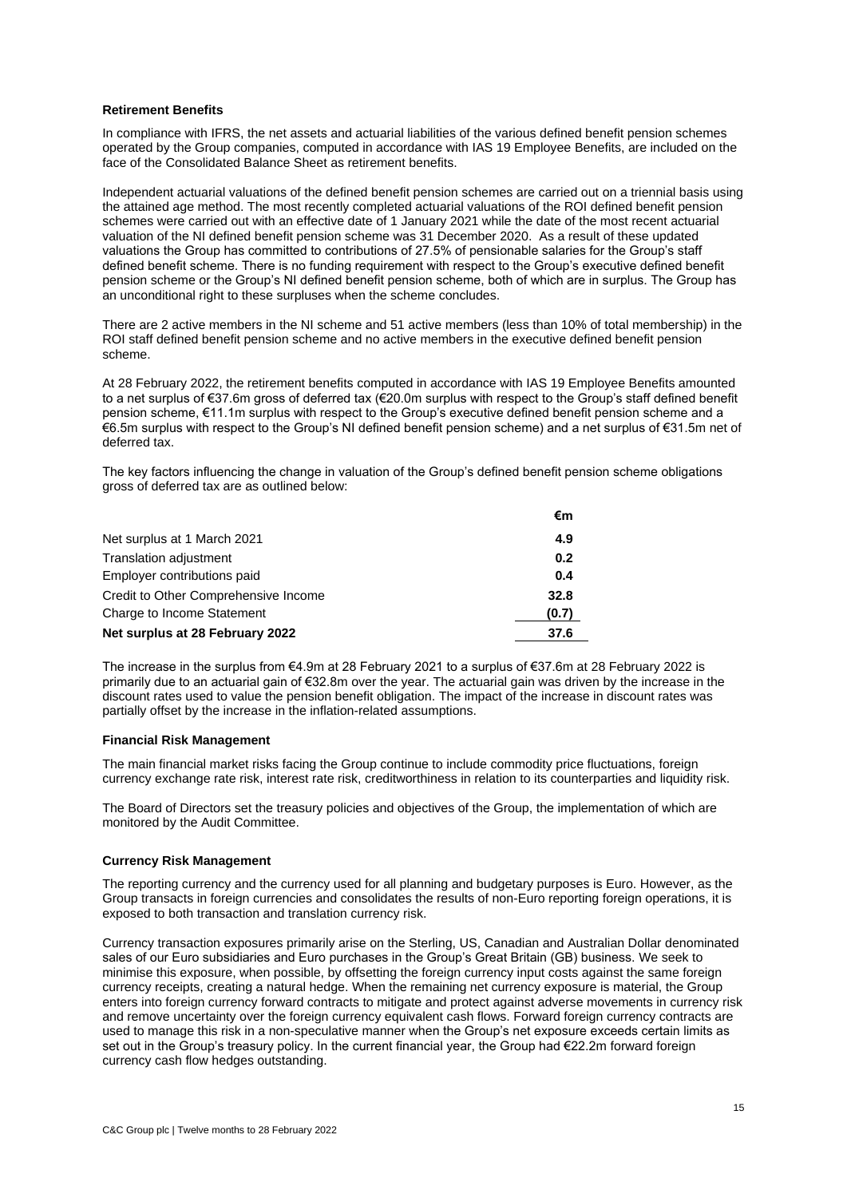#### **Retirement Benefits**

In compliance with IFRS, the net assets and actuarial liabilities of the various defined benefit pension schemes operated by the Group companies, computed in accordance with IAS 19 Employee Benefits, are included on the face of the Consolidated Balance Sheet as retirement benefits.

Independent actuarial valuations of the defined benefit pension schemes are carried out on a triennial basis using the attained age method. The most recently completed actuarial valuations of the ROI defined benefit pension schemes were carried out with an effective date of 1 January 2021 while the date of the most recent actuarial valuation of the NI defined benefit pension scheme was 31 December 2020. As a result of these updated valuations the Group has committed to contributions of 27.5% of pensionable salaries for the Group's staff defined benefit scheme. There is no funding requirement with respect to the Group's executive defined benefit pension scheme or the Group's NI defined benefit pension scheme, both of which are in surplus. The Group has an unconditional right to these surpluses when the scheme concludes.

There are 2 active members in the NI scheme and 51 active members (less than 10% of total membership) in the ROI staff defined benefit pension scheme and no active members in the executive defined benefit pension scheme.

At 28 February 2022, the retirement benefits computed in accordance with IAS 19 Employee Benefits amounted to a net surplus of €37.6m gross of deferred tax (€20.0m surplus with respect to the Group's staff defined benefit pension scheme, €11.1m surplus with respect to the Group's executive defined benefit pension scheme and a €6.5m surplus with respect to the Group's NI defined benefit pension scheme) and a net surplus of €31.5m net of deferred tax.

The key factors influencing the change in valuation of the Group's defined benefit pension scheme obligations gross of deferred tax are as outlined below:

|                                      | €m    |
|--------------------------------------|-------|
| Net surplus at 1 March 2021          | 4.9   |
| <b>Translation adjustment</b>        | 0.2   |
| Employer contributions paid          | 0.4   |
| Credit to Other Comprehensive Income | 32.8  |
| Charge to Income Statement           | (0.7) |
| Net surplus at 28 February 2022      | 37.6  |

The increase in the surplus from €4.9m at 28 February 2021 to a surplus of €37.6m at 28 February 2022 is primarily due to an actuarial gain of €32.8m over the year. The actuarial gain was driven by the increase in the discount rates used to value the pension benefit obligation. The impact of the increase in discount rates was partially offset by the increase in the inflation-related assumptions.

### **Financial Risk Management**

The main financial market risks facing the Group continue to include commodity price fluctuations, foreign currency exchange rate risk, interest rate risk, creditworthiness in relation to its counterparties and liquidity risk.

The Board of Directors set the treasury policies and objectives of the Group, the implementation of which are monitored by the Audit Committee.

### **Currency Risk Management**

The reporting currency and the currency used for all planning and budgetary purposes is Euro. However, as the Group transacts in foreign currencies and consolidates the results of non-Euro reporting foreign operations, it is exposed to both transaction and translation currency risk.

Currency transaction exposures primarily arise on the Sterling, US, Canadian and Australian Dollar denominated sales of our Euro subsidiaries and Euro purchases in the Group's Great Britain (GB) business. We seek to minimise this exposure, when possible, by offsetting the foreign currency input costs against the same foreign currency receipts, creating a natural hedge. When the remaining net currency exposure is material, the Group enters into foreign currency forward contracts to mitigate and protect against adverse movements in currency risk and remove uncertainty over the foreign currency equivalent cash flows. Forward foreign currency contracts are used to manage this risk in a non-speculative manner when the Group's net exposure exceeds certain limits as set out in the Group's treasury policy. In the current financial year, the Group had €22.2m forward foreign currency cash flow hedges outstanding.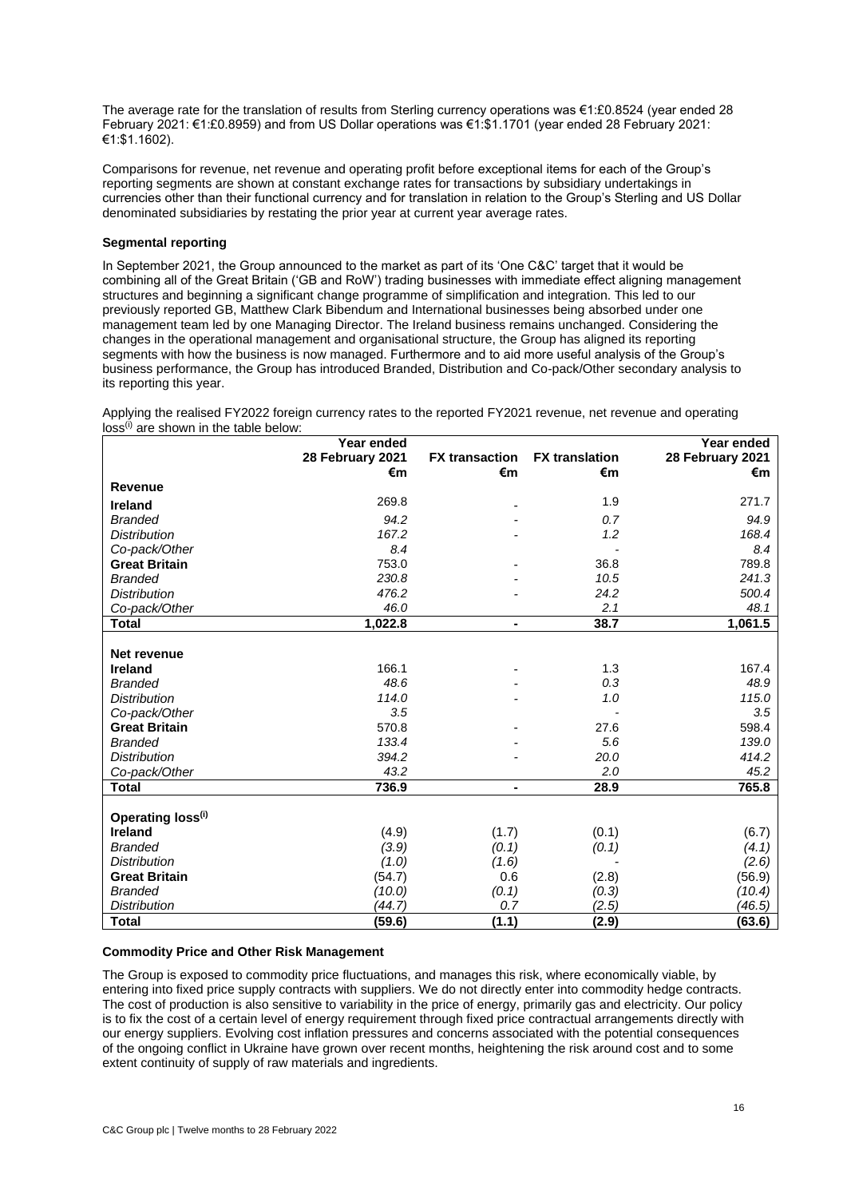The average rate for the translation of results from Sterling currency operations was €1:£0.8524 (year ended 28 February 2021: €1:£0.8959) and from US Dollar operations was €1:\$1.1701 (year ended 28 February 2021: €1:\$1.1602).

Comparisons for revenue, net revenue and operating profit before exceptional items for each of the Group's reporting segments are shown at constant exchange rates for transactions by subsidiary undertakings in currencies other than their functional currency and for translation in relation to the Group's Sterling and US Dollar denominated subsidiaries by restating the prior year at current year average rates.

## **Segmental reporting**

In September 2021, the Group announced to the market as part of its 'One C&C' target that it would be combining all of the Great Britain ('GB and RoW') trading businesses with immediate effect aligning management structures and beginning a significant change programme of simplification and integration. This led to our previously reported GB, Matthew Clark Bibendum and International businesses being absorbed under one management team led by one Managing Director. The Ireland business remains unchanged. Considering the changes in the operational management and organisational structure, the Group has aligned its reporting segments with how the business is now managed. Furthermore and to aid more useful analysis of the Group's business performance, the Group has introduced Branded, Distribution and Co-pack/Other secondary analysis to its reporting this year.

Applying the realised FY2022 foreign currency rates to the reported FY2021 revenue, net revenue and operating

 $\cos^{(i)}$  are shown in the table below. **Year ended 28 February 2021 FX transaction FX translation Year ended 28 February 2021 €m €m €m €m Revenue Ireland** 269.8 - 1.9 271.7 *Branded 94.2 - 0.7 94.9 Distribution 167.2 - 1.2 168.4 Co-pack/Other 8.4 - 8.4* **Great Britain** 753.0 - 36.8 789.8 *Branded 230.8 - 10.5 241.3*

| <b>Ireland</b>       | 269.8   |                | 1.9   | 271.7   |
|----------------------|---------|----------------|-------|---------|
| <b>Branded</b>       | 94.2    |                | 0.7   | 94.9    |
| <b>Distribution</b>  | 167.2   |                | 1.2   | 168.4   |
| Co-pack/Other        | 8.4     |                |       | 8.4     |
| <b>Great Britain</b> | 753.0   |                | 36.8  | 789.8   |
| <b>Branded</b>       | 230.8   |                | 10.5  | 241.3   |
| <b>Distribution</b>  | 476.2   |                | 24.2  | 500.4   |
| Co-pack/Other        | 46.0    |                | 2.1   | 48.1    |
| <b>Total</b>         | 1,022.8 | $\blacksquare$ | 38.7  | 1,061.5 |
|                      |         |                |       |         |
| Net revenue          |         |                |       |         |
| <b>Ireland</b>       | 166.1   |                | 1.3   | 167.4   |
| <b>Branded</b>       | 48.6    |                | 0.3   | 48.9    |
| <b>Distribution</b>  | 114.0   |                | 1.0   | 115.0   |
| Co-pack/Other        | 3.5     |                |       | 3.5     |
| <b>Great Britain</b> | 570.8   |                | 27.6  | 598.4   |
| <b>Branded</b>       | 133.4   |                | 5.6   | 139.0   |
| <b>Distribution</b>  | 394.2   |                | 20.0  | 414.2   |
| Co-pack/Other        | 43.2    |                | 2.0   | 45.2    |
| <b>Total</b>         | 736.9   | $\blacksquare$ | 28.9  | 765.8   |
|                      |         |                |       |         |
| Operating loss(i)    |         |                |       |         |
| <b>Ireland</b>       | (4.9)   | (1.7)          | (0.1) | (6.7)   |
| <b>Branded</b>       | (3.9)   | (0.1)          | (0.1) | (4.1)   |
| <b>Distribution</b>  | (1.0)   | (1.6)          |       | (2.6)   |
| <b>Great Britain</b> | (54.7)  | 0.6            | (2.8) | (56.9)  |
| <b>Branded</b>       | (10.0)  | (0.1)          | (0.3) | (10.4)  |
| <b>Distribution</b>  | (44.7)  | 0.7            | (2.5) | (46.5)  |
| <b>Total</b>         | (59.6)  | (1.1)          | (2.9) | (63.6)  |

### **Commodity Price and Other Risk Management**

The Group is exposed to commodity price fluctuations, and manages this risk, where economically viable, by entering into fixed price supply contracts with suppliers. We do not directly enter into commodity hedge contracts. The cost of production is also sensitive to variability in the price of energy, primarily gas and electricity. Our policy is to fix the cost of a certain level of energy requirement through fixed price contractual arrangements directly with our energy suppliers. Evolving cost inflation pressures and concerns associated with the potential consequences of the ongoing conflict in Ukraine have grown over recent months, heightening the risk around cost and to some extent continuity of supply of raw materials and ingredients.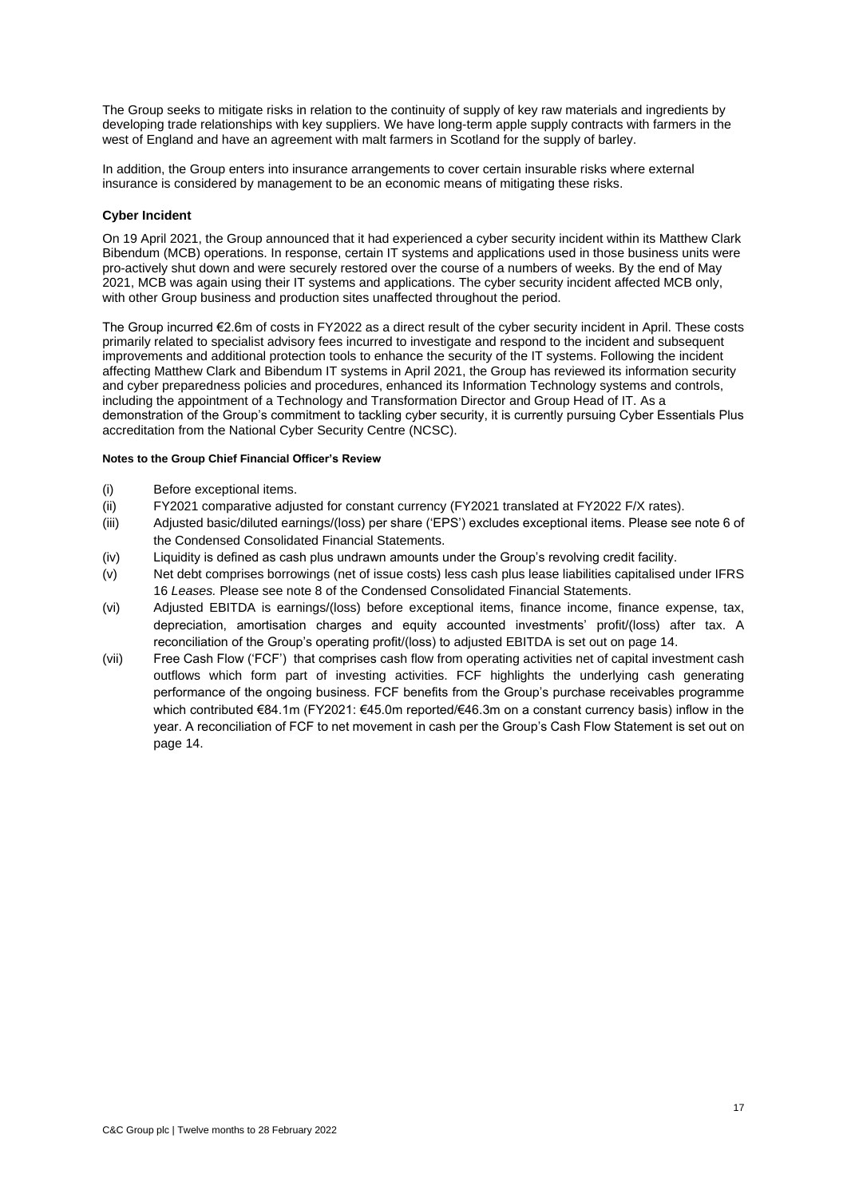The Group seeks to mitigate risks in relation to the continuity of supply of key raw materials and ingredients by developing trade relationships with key suppliers. We have long-term apple supply contracts with farmers in the west of England and have an agreement with malt farmers in Scotland for the supply of barley.

In addition, the Group enters into insurance arrangements to cover certain insurable risks where external insurance is considered by management to be an economic means of mitigating these risks.

# **Cyber Incident**

On 19 April 2021, the Group announced that it had experienced a cyber security incident within its Matthew Clark Bibendum (MCB) operations. In response, certain IT systems and applications used in those business units were pro-actively shut down and were securely restored over the course of a numbers of weeks. By the end of May 2021, MCB was again using their IT systems and applications. The cyber security incident affected MCB only, with other Group business and production sites unaffected throughout the period.

The Group incurred €2.6m of costs in FY2022 as a direct result of the cyber security incident in April. These costs primarily related to specialist advisory fees incurred to investigate and respond to the incident and subsequent improvements and additional protection tools to enhance the security of the IT systems. Following the incident affecting Matthew Clark and Bibendum IT systems in April 2021, the Group has reviewed its information security and cyber preparedness policies and procedures, enhanced its Information Technology systems and controls, including the appointment of a Technology and Transformation Director and Group Head of IT. As a demonstration of the Group's commitment to tackling cyber security, it is currently pursuing Cyber Essentials Plus accreditation from the National Cyber Security Centre (NCSC).

### **Notes to the Group Chief Financial Officer's Review**

- (i) Before exceptional items.
- (ii) FY2021 comparative adjusted for constant currency (FY2021 translated at FY2022 F/X rates).
- (iii) Adjusted basic/diluted earnings/(loss) per share ('EPS') excludes exceptional items. Please see note 6 of the Condensed Consolidated Financial Statements.
- (iv) Liquidity is defined as cash plus undrawn amounts under the Group's revolving credit facility.
- (v) Net debt comprises borrowings (net of issue costs) less cash plus lease liabilities capitalised under IFRS 16 *Leases.* Please see note 8 of the Condensed Consolidated Financial Statements.
- (vi) Adjusted EBITDA is earnings/(loss) before exceptional items, finance income, finance expense, tax, depreciation, amortisation charges and equity accounted investments' profit/(loss) after tax. A reconciliation of the Group's operating profit/(loss) to adjusted EBITDA is set out on page 14.
- (vii) Free Cash Flow ('FCF') that comprises cash flow from operating activities net of capital investment cash outflows which form part of investing activities. FCF highlights the underlying cash generating performance of the ongoing business. FCF benefits from the Group's purchase receivables programme which contributed €84.1m (FY2021: €45.0m reported/€46.3m on a constant currency basis) inflow in the year. A reconciliation of FCF to net movement in cash per the Group's Cash Flow Statement is set out on page 14.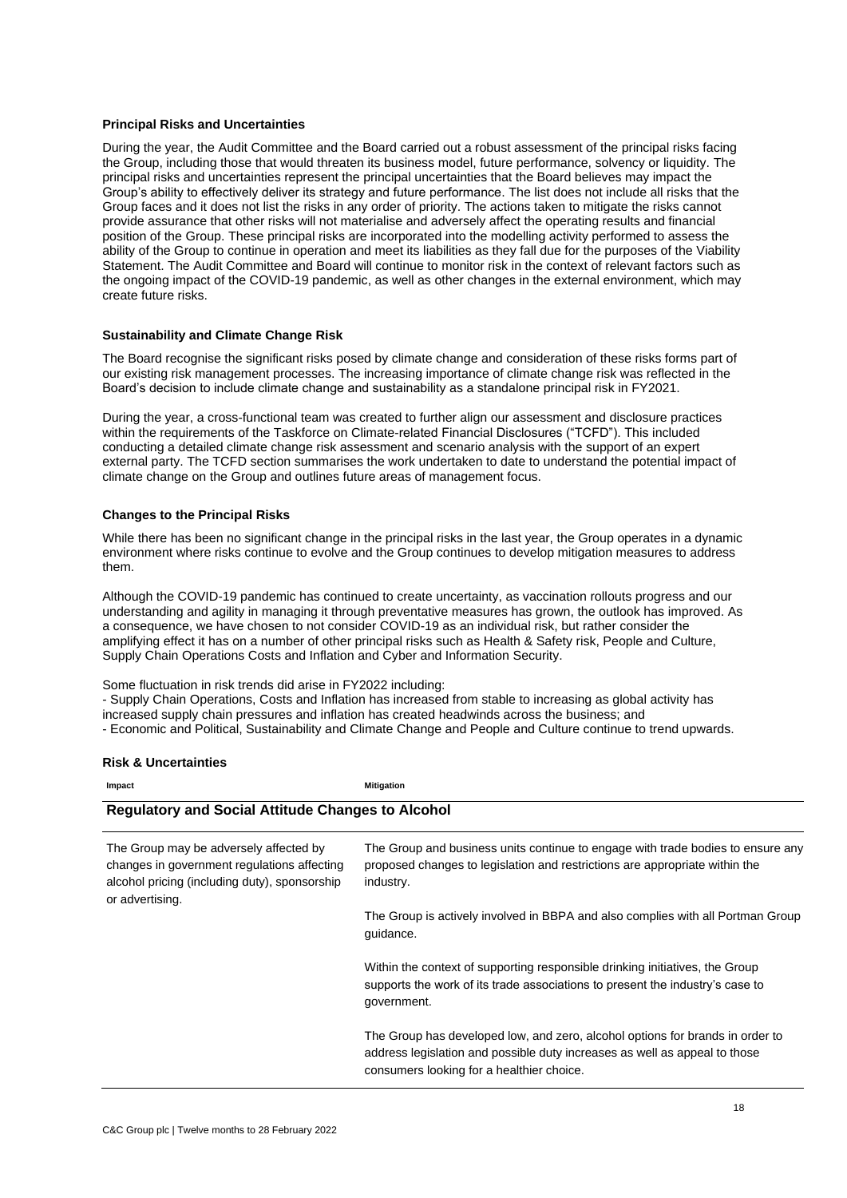#### **Principal Risks and Uncertainties**

During the year, the Audit Committee and the Board carried out a robust assessment of the principal risks facing the Group, including those that would threaten its business model, future performance, solvency or liquidity. The principal risks and uncertainties represent the principal uncertainties that the Board believes may impact the Group's ability to effectively deliver its strategy and future performance. The list does not include all risks that the Group faces and it does not list the risks in any order of priority. The actions taken to mitigate the risks cannot provide assurance that other risks will not materialise and adversely affect the operating results and financial position of the Group. These principal risks are incorporated into the modelling activity performed to assess the ability of the Group to continue in operation and meet its liabilities as they fall due for the purposes of the Viability Statement. The Audit Committee and Board will continue to monitor risk in the context of relevant factors such as the ongoing impact of the COVID-19 pandemic, as well as other changes in the external environment, which may create future risks.

### **Sustainability and Climate Change Risk**

The Board recognise the significant risks posed by climate change and consideration of these risks forms part of our existing risk management processes. The increasing importance of climate change risk was reflected in the Board's decision to include climate change and sustainability as a standalone principal risk in FY2021.

During the year, a cross-functional team was created to further align our assessment and disclosure practices within the requirements of the Taskforce on Climate-related Financial Disclosures ("TCFD"). This included conducting a detailed climate change risk assessment and scenario analysis with the support of an expert external party. The TCFD section summarises the work undertaken to date to understand the potential impact of climate change on the Group and outlines future areas of management focus.

#### **Changes to the Principal Risks**

While there has been no significant change in the principal risks in the last year, the Group operates in a dynamic environment where risks continue to evolve and the Group continues to develop mitigation measures to address them.

Although the COVID-19 pandemic has continued to create uncertainty, as vaccination rollouts progress and our understanding and agility in managing it through preventative measures has grown, the outlook has improved. As a consequence, we have chosen to not consider COVID-19 as an individual risk, but rather consider the amplifying effect it has on a number of other principal risks such as Health & Safety risk, People and Culture, Supply Chain Operations Costs and Inflation and Cyber and Information Security.

Some fluctuation in risk trends did arise in FY2022 including:

- Supply Chain Operations, Costs and Inflation has increased from stable to increasing as global activity has increased supply chain pressures and inflation has created headwinds across the business; and

- Economic and Political, Sustainability and Climate Change and People and Culture continue to trend upwards.

#### **Risk & Uncertainties**

| Impact                                                                                                                                                    | <b>Mitigation</b>                                                                                                                                                                                        |
|-----------------------------------------------------------------------------------------------------------------------------------------------------------|----------------------------------------------------------------------------------------------------------------------------------------------------------------------------------------------------------|
| <b>Regulatory and Social Attitude Changes to Alcohol</b>                                                                                                  |                                                                                                                                                                                                          |
| The Group may be adversely affected by<br>changes in government regulations affecting<br>alcohol pricing (including duty), sponsorship<br>or advertising. | The Group and business units continue to engage with trade bodies to ensure any<br>proposed changes to legislation and restrictions are appropriate within the<br>industry.                              |
|                                                                                                                                                           | The Group is actively involved in BBPA and also complies with all Portman Group<br>guidance.                                                                                                             |
|                                                                                                                                                           | Within the context of supporting responsible drinking initiatives, the Group<br>supports the work of its trade associations to present the industry's case to<br>government.                             |
|                                                                                                                                                           | The Group has developed low, and zero, alcohol options for brands in order to<br>address legislation and possible duty increases as well as appeal to those<br>consumers looking for a healthier choice. |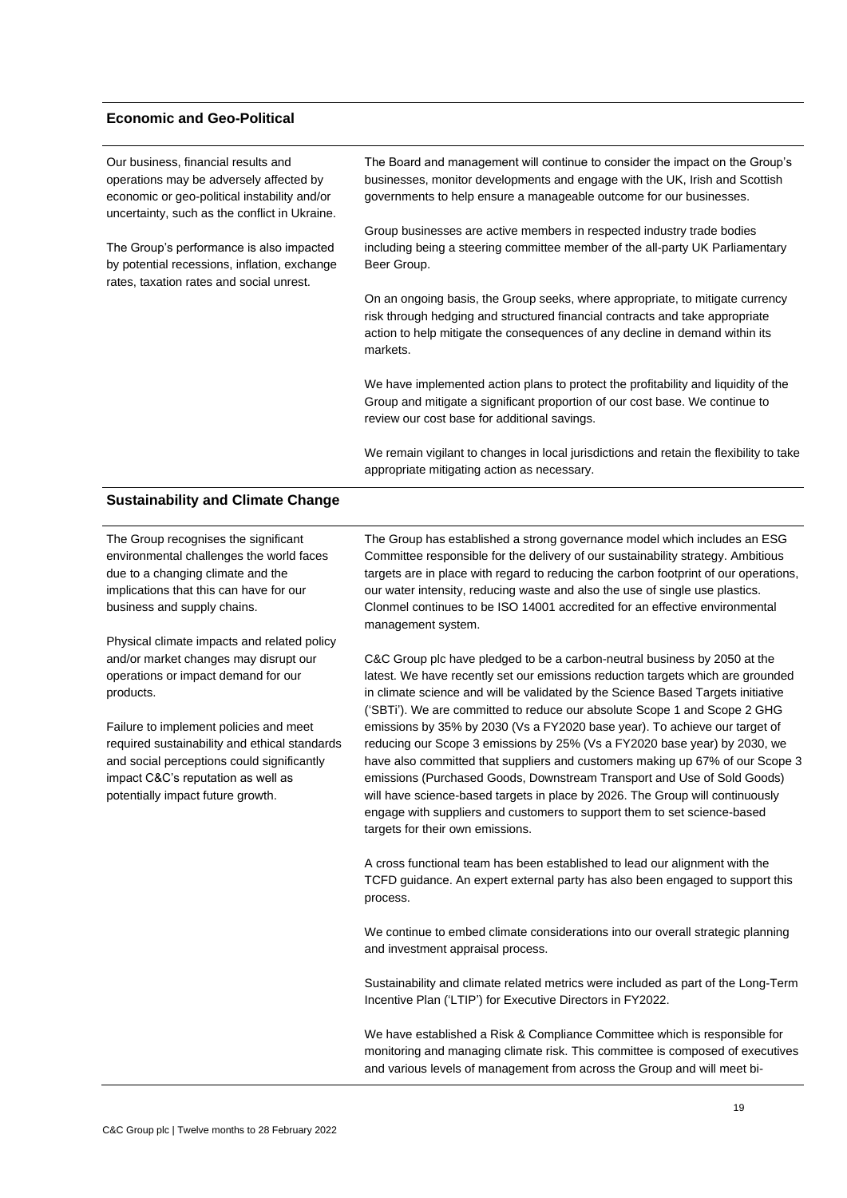# **Economic and Geo-Political**

| Our business, financial results and<br>operations may be adversely affected by<br>economic or geo-political instability and/or<br>uncertainty, such as the conflict in Ukraine.                                                                | The Board and management will continue to consider the impact on the Group's<br>businesses, monitor developments and engage with the UK, Irish and Scottish<br>governments to help ensure a manageable outcome for our businesses.<br>Group businesses are active members in respected industry trade bodies                                                                                                                                                                                                         |
|------------------------------------------------------------------------------------------------------------------------------------------------------------------------------------------------------------------------------------------------|----------------------------------------------------------------------------------------------------------------------------------------------------------------------------------------------------------------------------------------------------------------------------------------------------------------------------------------------------------------------------------------------------------------------------------------------------------------------------------------------------------------------|
| The Group's performance is also impacted<br>by potential recessions, inflation, exchange<br>rates, taxation rates and social unrest.                                                                                                           | including being a steering committee member of the all-party UK Parliamentary<br>Beer Group.                                                                                                                                                                                                                                                                                                                                                                                                                         |
|                                                                                                                                                                                                                                                | On an ongoing basis, the Group seeks, where appropriate, to mitigate currency<br>risk through hedging and structured financial contracts and take appropriate<br>action to help mitigate the consequences of any decline in demand within its<br>markets.                                                                                                                                                                                                                                                            |
|                                                                                                                                                                                                                                                | We have implemented action plans to protect the profitability and liquidity of the<br>Group and mitigate a significant proportion of our cost base. We continue to<br>review our cost base for additional savings.                                                                                                                                                                                                                                                                                                   |
|                                                                                                                                                                                                                                                | We remain vigilant to changes in local jurisdictions and retain the flexibility to take<br>appropriate mitigating action as necessary.                                                                                                                                                                                                                                                                                                                                                                               |
| <b>Sustainability and Climate Change</b>                                                                                                                                                                                                       |                                                                                                                                                                                                                                                                                                                                                                                                                                                                                                                      |
| The Group recognises the significant<br>environmental challenges the world faces<br>due to a changing climate and the<br>implications that this can have for our<br>business and supply chains.<br>Physical climate impacts and related policy | The Group has established a strong governance model which includes an ESG<br>Committee responsible for the delivery of our sustainability strategy. Ambitious<br>targets are in place with regard to reducing the carbon footprint of our operations,<br>our water intensity, reducing waste and also the use of single use plastics.<br>Clonmel continues to be ISO 14001 accredited for an effective environmental<br>management system.                                                                           |
| and/or market changes may disrupt our<br>operations or impact demand for our<br>products.                                                                                                                                                      | C&C Group plc have pledged to be a carbon-neutral business by 2050 at the<br>latest. We have recently set our emissions reduction targets which are grounded<br>in climate science and will be validated by the Science Based Targets initiative<br>('SBTi'). We are committed to reduce our absolute Scope 1 and Scope 2 GHG                                                                                                                                                                                        |
| Failure to implement policies and meet<br>required sustainability and ethical standards<br>and social perceptions could significantly<br>impact C&C's reputation as well as<br>potentially impact future growth.                               | emissions by 35% by 2030 (Vs a FY2020 base year). To achieve our target of<br>reducing our Scope 3 emissions by 25% (Vs a FY2020 base year) by 2030, we<br>have also committed that suppliers and customers making up 67% of our Scope 3<br>emissions (Purchased Goods, Downstream Transport and Use of Sold Goods)<br>will have science-based targets in place by 2026. The Group will continuously<br>engage with suppliers and customers to support them to set science-based<br>targets for their own emissions. |

A cross functional team has been established to lead our alignment with the TCFD guidance. An expert external party has also been engaged to support this process.

We continue to embed climate considerations into our overall strategic planning and investment appraisal process.

Sustainability and climate related metrics were included as part of the Long-Term Incentive Plan ('LTIP') for Executive Directors in FY2022.

We have established a Risk & Compliance Committee which is responsible for monitoring and managing climate risk. This committee is composed of executives and various levels of management from across the Group and will meet bi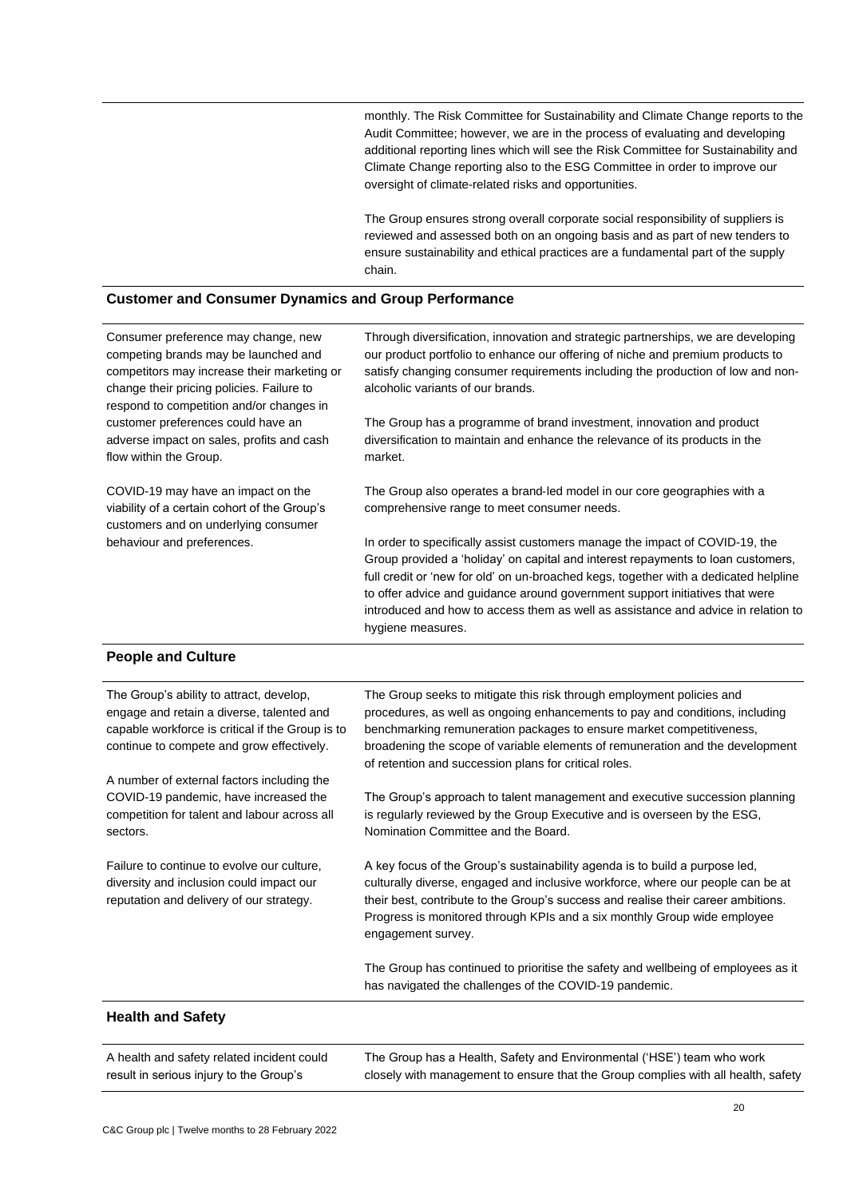monthly. The Risk Committee for Sustainability and Climate Change reports to the Audit Committee; however, we are in the process of evaluating and developing additional reporting lines which will see the Risk Committee for Sustainability and Climate Change reporting also to the ESG Committee in order to improve our oversight of climate-related risks and opportunities.

The Group ensures strong overall corporate social responsibility of suppliers is reviewed and assessed both on an ongoing basis and as part of new tenders to ensure sustainability and ethical practices are a fundamental part of the supply chain.

# **Customer and Consumer Dynamics and Group Performance**

| Consumer preference may change, new<br>competing brands may be launched and<br>competitors may increase their marketing or<br>change their pricing policies. Failure to<br>respond to competition and/or changes in<br>customer preferences could have an<br>adverse impact on sales, profits and cash<br>flow within the Group. | Through diversification, innovation and strategic partnerships, we are developing<br>our product portfolio to enhance our offering of niche and premium products to<br>satisfy changing consumer requirements including the production of low and non-<br>alcoholic variants of our brands.<br>The Group has a programme of brand investment, innovation and product<br>diversification to maintain and enhance the relevance of its products in the<br>market. |
|----------------------------------------------------------------------------------------------------------------------------------------------------------------------------------------------------------------------------------------------------------------------------------------------------------------------------------|-----------------------------------------------------------------------------------------------------------------------------------------------------------------------------------------------------------------------------------------------------------------------------------------------------------------------------------------------------------------------------------------------------------------------------------------------------------------|
| COVID-19 may have an impact on the<br>viability of a certain cohort of the Group's<br>customers and on underlying consumer                                                                                                                                                                                                       | The Group also operates a brand-led model in our core geographies with a<br>comprehensive range to meet consumer needs.                                                                                                                                                                                                                                                                                                                                         |
| behaviour and preferences.                                                                                                                                                                                                                                                                                                       | In order to specifically assist customers manage the impact of COVID-19, the<br>Group provided a 'holiday' on capital and interest repayments to loan customers,<br>full credit or 'new for old' on un-broached kegs, together with a dedicated helpline<br>to offer advice and guidance around government support initiatives that were<br>introduced and how to access them as well as assistance and advice in relation to<br>hygiene measures.              |
| <b>Poople and Culture</b>                                                                                                                                                                                                                                                                                                        |                                                                                                                                                                                                                                                                                                                                                                                                                                                                 |

#### **People and Culture**

| The Group's ability to attract, develop,<br>engage and retain a diverse, talented and<br>capable workforce is critical if the Group is to<br>continue to compete and grow effectively. | The Group seeks to mitigate this risk through employment policies and<br>procedures, as well as ongoing enhancements to pay and conditions, including<br>benchmarking remuneration packages to ensure market competitiveness,<br>broadening the scope of variable elements of remuneration and the development<br>of retention and succession plans for critical roles. |
|----------------------------------------------------------------------------------------------------------------------------------------------------------------------------------------|-------------------------------------------------------------------------------------------------------------------------------------------------------------------------------------------------------------------------------------------------------------------------------------------------------------------------------------------------------------------------|
| A number of external factors including the                                                                                                                                             |                                                                                                                                                                                                                                                                                                                                                                         |
| COVID-19 pandemic, have increased the<br>competition for talent and labour across all<br>sectors.                                                                                      | The Group's approach to talent management and executive succession planning<br>is regularly reviewed by the Group Executive and is overseen by the ESG,<br>Nomination Committee and the Board.                                                                                                                                                                          |
| Failure to continue to evolve our culture.<br>diversity and inclusion could impact our<br>reputation and delivery of our strategy.                                                     | A key focus of the Group's sustainability agenda is to build a purpose led,<br>culturally diverse, engaged and inclusive workforce, where our people can be at<br>their best, contribute to the Group's success and realise their career ambitions.<br>Progress is monitored through KPIs and a six monthly Group wide employee<br>engagement survey.                   |
|                                                                                                                                                                                        | The Group has continued to prioritise the safety and wellbeing of employees as it<br>has navigated the challenges of the COVID-19 pandemic.                                                                                                                                                                                                                             |
| <b>Health and Safety</b>                                                                                                                                                               |                                                                                                                                                                                                                                                                                                                                                                         |

| A health and safety related incident could | The Group has a Health, Safety and Environmental ('HSE') team who work            |
|--------------------------------------------|-----------------------------------------------------------------------------------|
| result in serious injury to the Group's    | closely with management to ensure that the Group complies with all health, safety |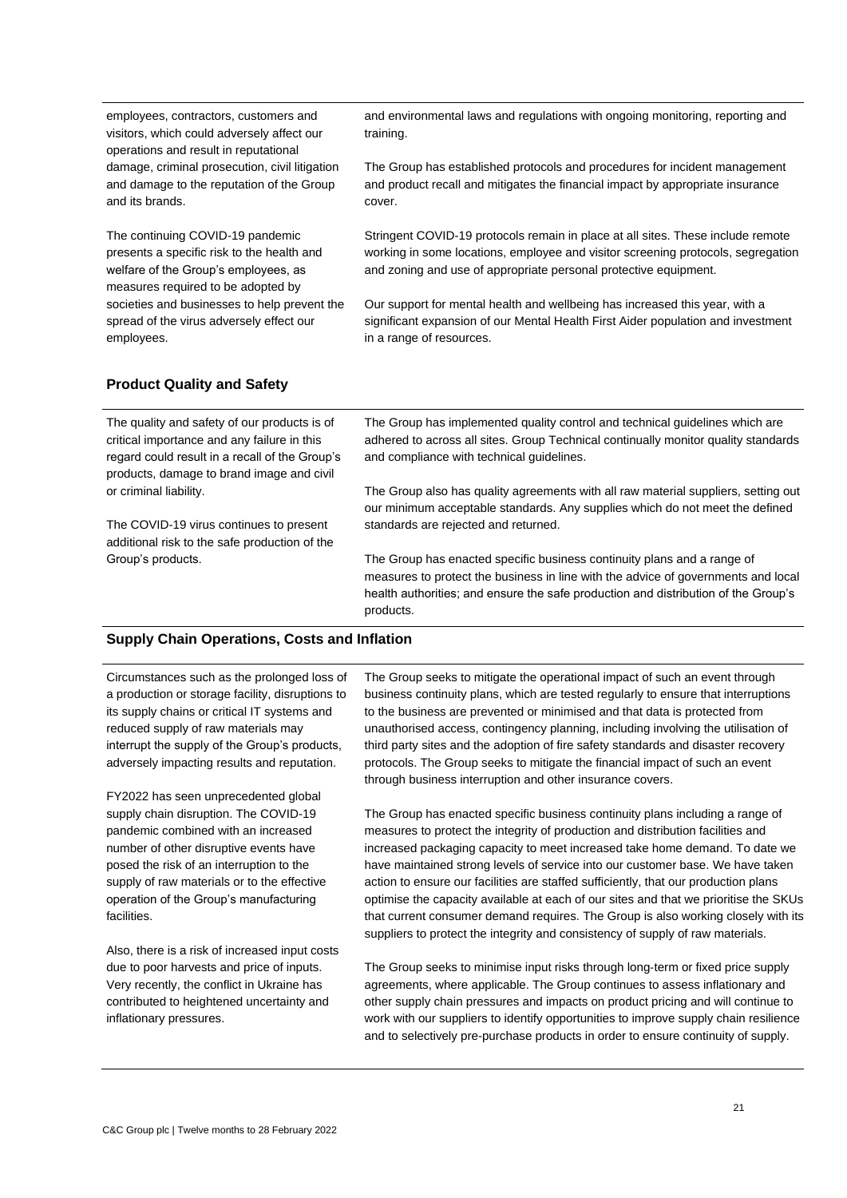employees, contractors, customers and visitors, which could adversely affect our operations and result in reputational damage, criminal prosecution, civil litigation and damage to the reputation of the Group and its brands.

The continuing COVID-19 pandemic presents a specific risk to the health and welfare of the Group's employees, as measures required to be adopted by societies and businesses to help prevent the spread of the virus adversely effect our employees.

and environmental laws and regulations with ongoing monitoring, reporting and training.

The Group has established protocols and procedures for incident management and product recall and mitigates the financial impact by appropriate insurance cover.

Stringent COVID-19 protocols remain in place at all sites. These include remote working in some locations, employee and visitor screening protocols, segregation and zoning and use of appropriate personal protective equipment.

Our support for mental health and wellbeing has increased this year, with a significant expansion of our Mental Health First Aider population and investment in a range of resources.

# **Product Quality and Safety**

The quality and safety of our products is of critical importance and any failure in this regard could result in a recall of the Group's products, damage to brand image and civil or criminal liability.

The COVID-19 virus continues to present additional risk to the safe production of the Group's products.

The Group has implemented quality control and technical guidelines which are adhered to across all sites. Group Technical continually monitor quality standards and compliance with technical guidelines.

The Group also has quality agreements with all raw material suppliers, setting out our minimum acceptable standards. Any supplies which do not meet the defined standards are rejected and returned.

The Group has enacted specific business continuity plans and a range of measures to protect the business in line with the advice of governments and local health authorities; and ensure the safe production and distribution of the Group's products.

# **Supply Chain Operations, Costs and Inflation**

Circumstances such as the prolonged loss of a production or storage facility, disruptions to its supply chains or critical IT systems and reduced supply of raw materials may interrupt the supply of the Group's products, adversely impacting results and reputation.

FY2022 has seen unprecedented global supply chain disruption. The COVID-19 pandemic combined with an increased number of other disruptive events have posed the risk of an interruption to the supply of raw materials or to the effective operation of the Group's manufacturing facilities.

Also, there is a risk of increased input costs due to poor harvests and price of inputs. Very recently, the conflict in Ukraine has contributed to heightened uncertainty and inflationary pressures.

The Group seeks to mitigate the operational impact of such an event through business continuity plans, which are tested regularly to ensure that interruptions to the business are prevented or minimised and that data is protected from unauthorised access, contingency planning, including involving the utilisation of third party sites and the adoption of fire safety standards and disaster recovery protocols. The Group seeks to mitigate the financial impact of such an event through business interruption and other insurance covers.

The Group has enacted specific business continuity plans including a range of measures to protect the integrity of production and distribution facilities and increased packaging capacity to meet increased take home demand. To date we have maintained strong levels of service into our customer base. We have taken action to ensure our facilities are staffed sufficiently, that our production plans optimise the capacity available at each of our sites and that we prioritise the SKUs that current consumer demand requires. The Group is also working closely with its suppliers to protect the integrity and consistency of supply of raw materials.

The Group seeks to minimise input risks through long-term or fixed price supply agreements, where applicable. The Group continues to assess inflationary and other supply chain pressures and impacts on product pricing and will continue to work with our suppliers to identify opportunities to improve supply chain resilience and to selectively pre-purchase products in order to ensure continuity of supply.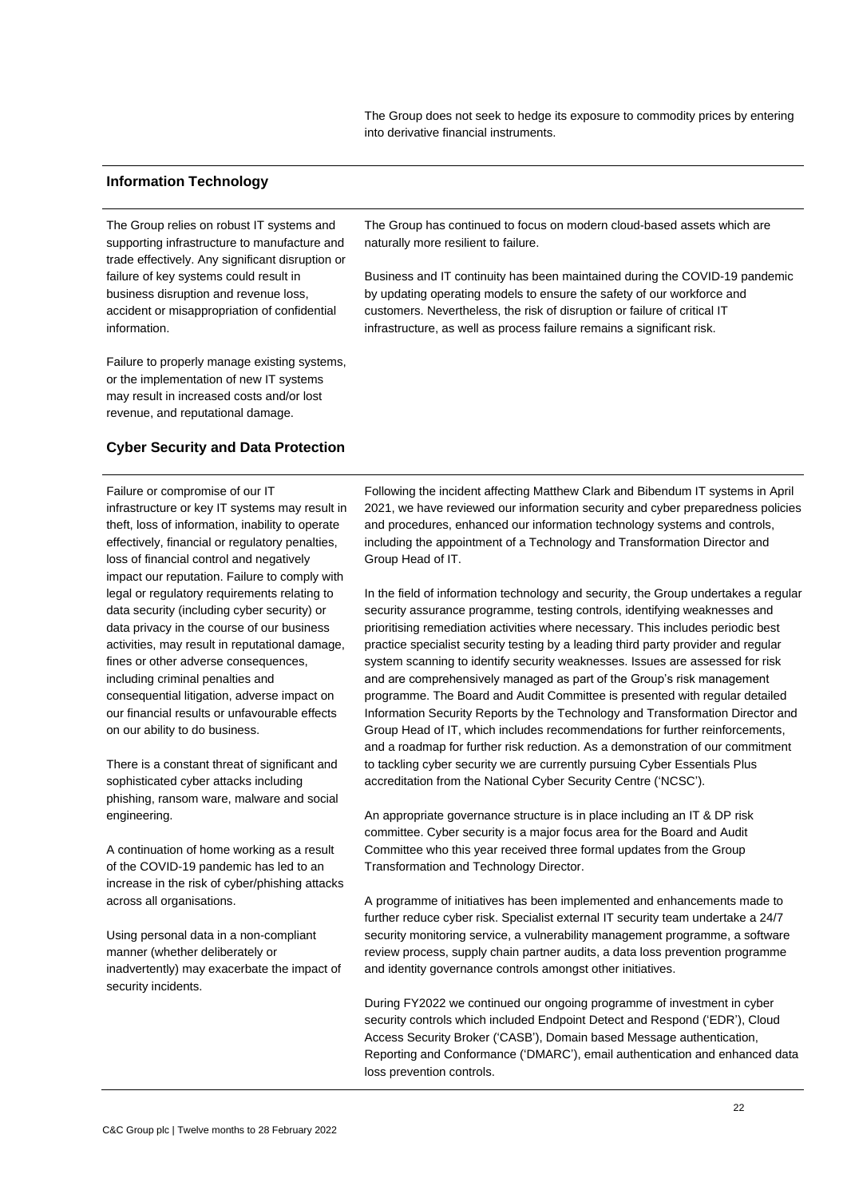The Group does not seek to hedge its exposure to commodity prices by entering into derivative financial instruments.

# **Information Technology**

The Group relies on robust IT systems and supporting infrastructure to manufacture and trade effectively. Any significant disruption or failure of key systems could result in business disruption and revenue loss, accident or misappropriation of confidential information.

Failure to properly manage existing systems, or the implementation of new IT systems may result in increased costs and/or lost revenue, and reputational damage.

# **Cyber Security and Data Protection**

The Group has continued to focus on modern cloud-based assets which are naturally more resilient to failure.

Business and IT continuity has been maintained during the COVID-19 pandemic by updating operating models to ensure the safety of our workforce and customers. Nevertheless, the risk of disruption or failure of critical IT infrastructure, as well as process failure remains a significant risk.

Failure or compromise of our IT infrastructure or key IT systems may result in theft, loss of information, inability to operate effectively, financial or regulatory penalties, loss of financial control and negatively impact our reputation. Failure to comply with legal or regulatory requirements relating to data security (including cyber security) or data privacy in the course of our business activities, may result in reputational damage, fines or other adverse consequences, including criminal penalties and consequential litigation, adverse impact on our financial results or unfavourable effects on our ability to do business.

There is a constant threat of significant and sophisticated cyber attacks including phishing, ransom ware, malware and social engineering.

A continuation of home working as a result of the COVID-19 pandemic has led to an increase in the risk of cyber/phishing attacks across all organisations.

Using personal data in a non-compliant manner (whether deliberately or inadvertently) may exacerbate the impact of security incidents.

Following the incident affecting Matthew Clark and Bibendum IT systems in April 2021, we have reviewed our information security and cyber preparedness policies and procedures, enhanced our information technology systems and controls, including the appointment of a Technology and Transformation Director and Group Head of IT.

In the field of information technology and security, the Group undertakes a regular security assurance programme, testing controls, identifying weaknesses and prioritising remediation activities where necessary. This includes periodic best practice specialist security testing by a leading third party provider and regular system scanning to identify security weaknesses. Issues are assessed for risk and are comprehensively managed as part of the Group's risk management programme. The Board and Audit Committee is presented with regular detailed Information Security Reports by the Technology and Transformation Director and Group Head of IT, which includes recommendations for further reinforcements, and a roadmap for further risk reduction. As a demonstration of our commitment to tackling cyber security we are currently pursuing Cyber Essentials Plus accreditation from the National Cyber Security Centre ('NCSC').

An appropriate governance structure is in place including an IT & DP risk committee. Cyber security is a major focus area for the Board and Audit Committee who this year received three formal updates from the Group Transformation and Technology Director.

A programme of initiatives has been implemented and enhancements made to further reduce cyber risk. Specialist external IT security team undertake a 24/7 security monitoring service, a vulnerability management programme, a software review process, supply chain partner audits, a data loss prevention programme and identity governance controls amongst other initiatives.

During FY2022 we continued our ongoing programme of investment in cyber security controls which included Endpoint Detect and Respond ('EDR'), Cloud Access Security Broker ('CASB'), Domain based Message authentication, Reporting and Conformance ('DMARC'), email authentication and enhanced data loss prevention controls.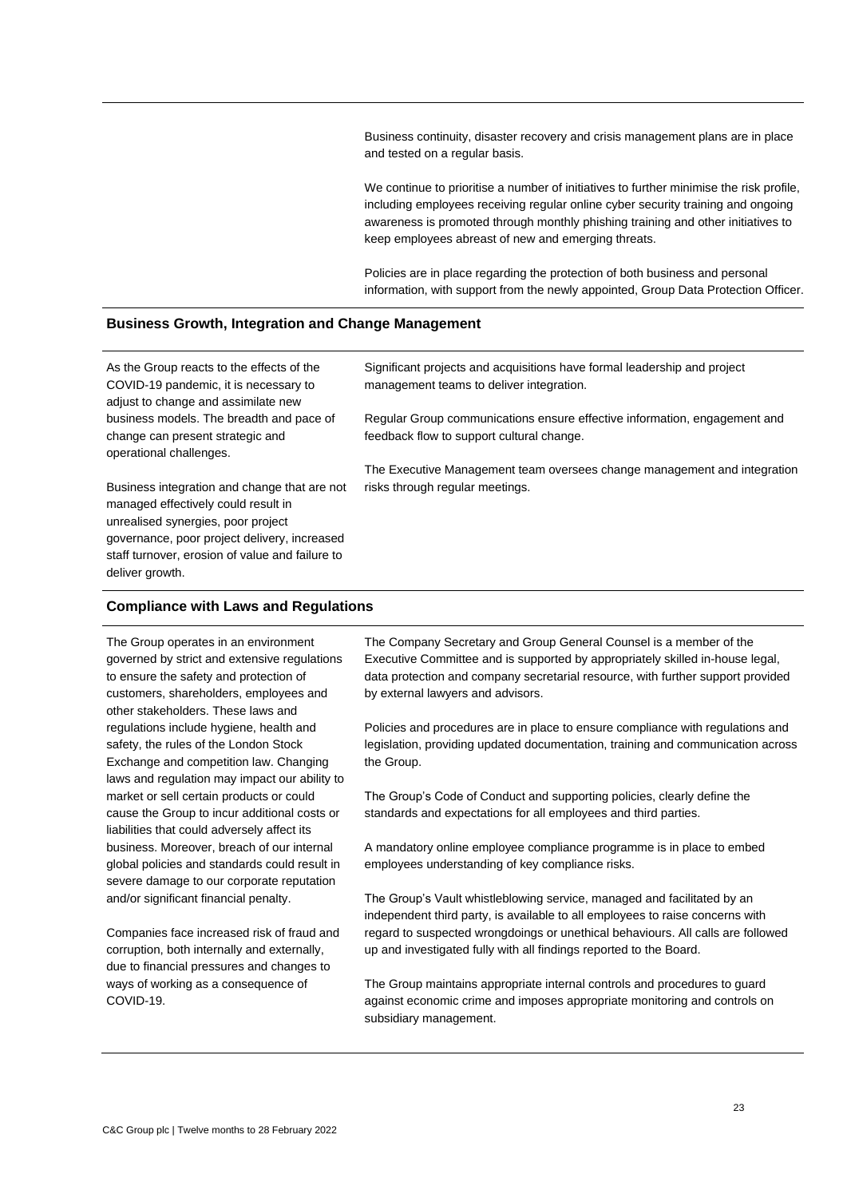Business continuity, disaster recovery and crisis management plans are in place and tested on a regular basis.

We continue to prioritise a number of initiatives to further minimise the risk profile, including employees receiving regular online cyber security training and ongoing awareness is promoted through monthly phishing training and other initiatives to keep employees abreast of new and emerging threats.

Policies are in place regarding the protection of both business and personal information, with support from the newly appointed, Group Data Protection Officer.

# **Business Growth, Integration and Change Management**

As the Group reacts to the effects of the COVID-19 pandemic, it is necessary to adjust to change and assimilate new business models. The breadth and pace of change can present strategic and operational challenges.

Business integration and change that are not managed effectively could result in unrealised synergies, poor project governance, poor project delivery, increased staff turnover, erosion of value and failure to deliver growth.

Significant projects and acquisitions have formal leadership and project management teams to deliver integration.

Regular Group communications ensure effective information, engagement and feedback flow to support cultural change.

The Executive Management team oversees change management and integration risks through regular meetings.

#### **Compliance with Laws and Regulations**

The Group operates in an environment governed by strict and extensive regulations to ensure the safety and protection of customers, shareholders, employees and other stakeholders. These laws and regulations include hygiene, health and safety, the rules of the London Stock Exchange and competition law. Changing laws and regulation may impact our ability to market or sell certain products or could cause the Group to incur additional costs or liabilities that could adversely affect its business. Moreover, breach of our internal global policies and standards could result in severe damage to our corporate reputation and/or significant financial penalty.

Companies face increased risk of fraud and corruption, both internally and externally, due to financial pressures and changes to ways of working as a consequence of COVID-19.

The Company Secretary and Group General Counsel is a member of the Executive Committee and is supported by appropriately skilled in-house legal, data protection and company secretarial resource, with further support provided by external lawyers and advisors.

Policies and procedures are in place to ensure compliance with regulations and legislation, providing updated documentation, training and communication across the Group.

The Group's Code of Conduct and supporting policies, clearly define the standards and expectations for all employees and third parties.

A mandatory online employee compliance programme is in place to embed employees understanding of key compliance risks.

The Group's Vault whistleblowing service, managed and facilitated by an independent third party, is available to all employees to raise concerns with regard to suspected wrongdoings or unethical behaviours. All calls are followed up and investigated fully with all findings reported to the Board.

The Group maintains appropriate internal controls and procedures to guard against economic crime and imposes appropriate monitoring and controls on subsidiary management.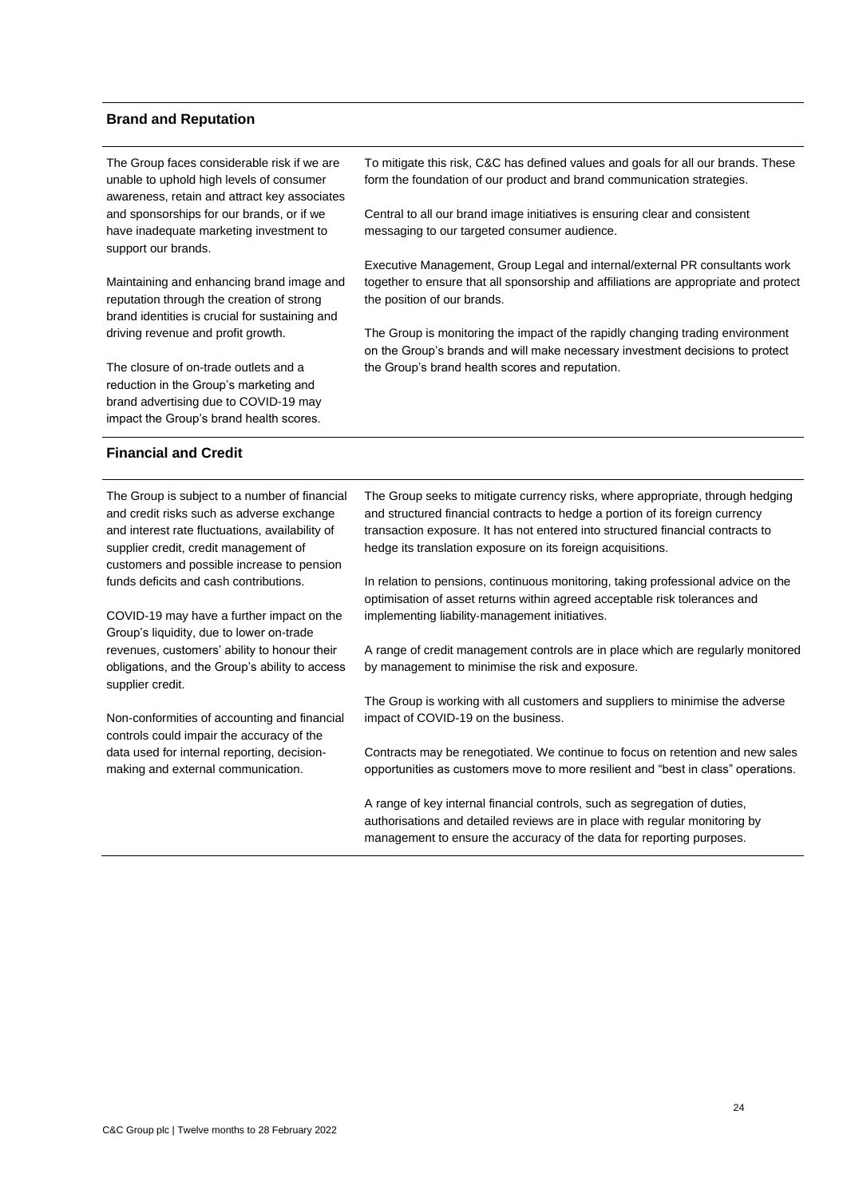#### **Brand and Reputation**

| The Group faces considerable risk if we are<br>unable to uphold high levels of consumer<br>awareness, retain and attract key associates                                                                                              | To mitigate this risk, C&C has defined values and goals for all our brands. These<br>form the foundation of our product and brand communication strategies.                                                                                                                                                       |  |  |  |  |  |  |
|--------------------------------------------------------------------------------------------------------------------------------------------------------------------------------------------------------------------------------------|-------------------------------------------------------------------------------------------------------------------------------------------------------------------------------------------------------------------------------------------------------------------------------------------------------------------|--|--|--|--|--|--|
| and sponsorships for our brands, or if we<br>have inadequate marketing investment to<br>support our brands.                                                                                                                          | Central to all our brand image initiatives is ensuring clear and consistent<br>messaging to our targeted consumer audience.                                                                                                                                                                                       |  |  |  |  |  |  |
| Maintaining and enhancing brand image and<br>reputation through the creation of strong<br>brand identities is crucial for sustaining and                                                                                             | Executive Management, Group Legal and internal/external PR consultants work<br>together to ensure that all sponsorship and affiliations are appropriate and protect<br>the position of our brands.                                                                                                                |  |  |  |  |  |  |
| driving revenue and profit growth.                                                                                                                                                                                                   | The Group is monitoring the impact of the rapidly changing trading environment<br>on the Group's brands and will make necessary investment decisions to protect                                                                                                                                                   |  |  |  |  |  |  |
| The closure of on-trade outlets and a<br>reduction in the Group's marketing and<br>brand advertising due to COVID-19 may<br>impact the Group's brand health scores.                                                                  | the Group's brand health scores and reputation.                                                                                                                                                                                                                                                                   |  |  |  |  |  |  |
| <b>Financial and Credit</b>                                                                                                                                                                                                          |                                                                                                                                                                                                                                                                                                                   |  |  |  |  |  |  |
| The Group is subject to a number of financial<br>and credit risks such as adverse exchange<br>and interest rate fluctuations, availability of<br>supplier credit, credit management of<br>customers and possible increase to pension | The Group seeks to mitigate currency risks, where appropriate, through hedging<br>and structured financial contracts to hedge a portion of its foreign currency<br>transaction exposure. It has not entered into structured financial contracts to<br>hedge its translation exposure on its foreign acquisitions. |  |  |  |  |  |  |
| funds deficits and cash contributions.                                                                                                                                                                                               | In relation to pensions, continuous monitoring, taking professional advice on the                                                                                                                                                                                                                                 |  |  |  |  |  |  |

COVID-19 may have a further impact on the Group's liquidity, due to lower on-trade revenues, customers' ability to honour their obligations, and the Group's ability to access supplier credit.

Non-conformities of accounting and financial controls could impair the accuracy of the data used for internal reporting, decisionmaking and external communication.

In relation to pensions, continuous monitoring, taking professional advice on the optimisation of asset returns within agreed acceptable risk tolerances and implementing liability‐management initiatives.

A range of credit management controls are in place which are regularly monitored by management to minimise the risk and exposure.

The Group is working with all customers and suppliers to minimise the adverse impact of COVID-19 on the business.

Contracts may be renegotiated. We continue to focus on retention and new sales opportunities as customers move to more resilient and "best in class" operations.

A range of key internal financial controls, such as segregation of duties, authorisations and detailed reviews are in place with regular monitoring by management to ensure the accuracy of the data for reporting purposes.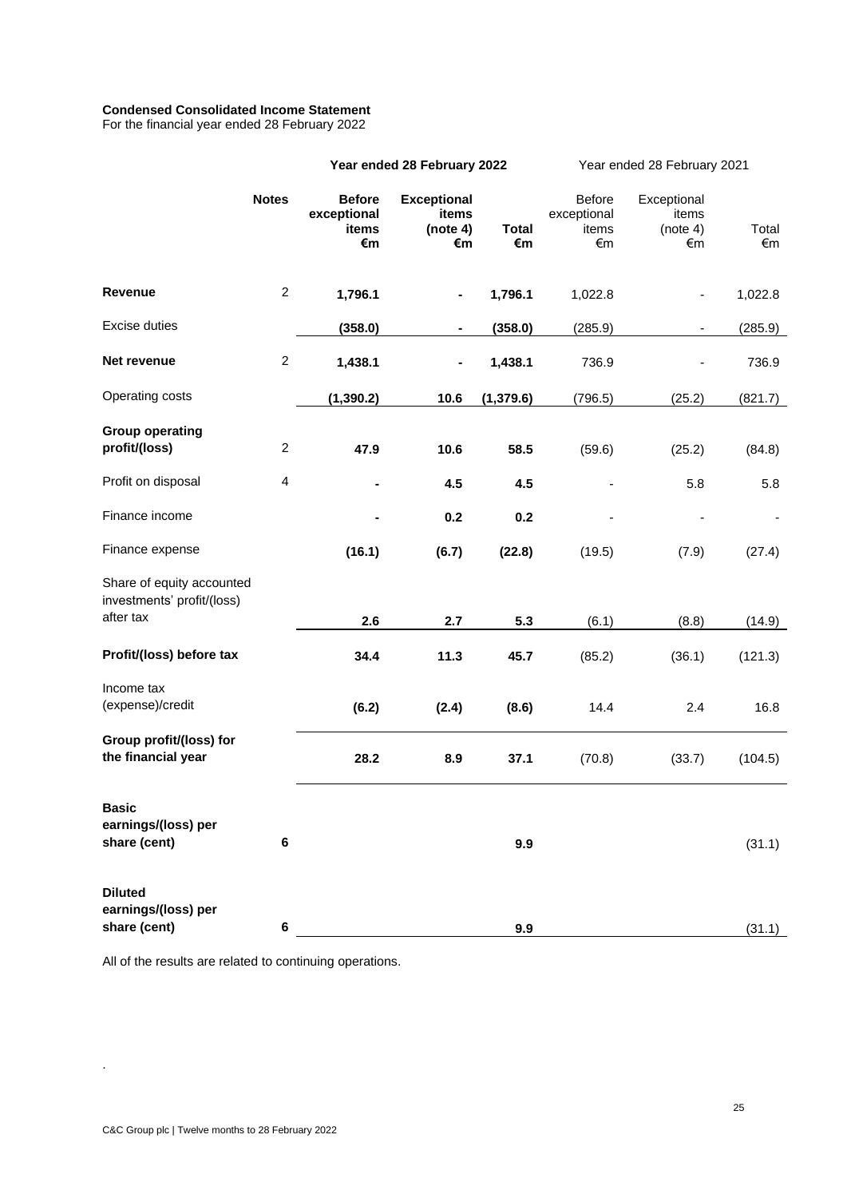# **Condensed Consolidated Income Statement**

For the financial year ended 28 February 2022

|                                                                      |                  | Year ended 28 February 2022                 |                                               |                    | Year ended 28 February 2021                 |                                        |             |  |
|----------------------------------------------------------------------|------------------|---------------------------------------------|-----------------------------------------------|--------------------|---------------------------------------------|----------------------------------------|-------------|--|
|                                                                      | <b>Notes</b>     | <b>Before</b><br>exceptional<br>items<br>€m | <b>Exceptional</b><br>items<br>(note 4)<br>€m | <b>Total</b><br>€m | <b>Before</b><br>exceptional<br>items<br>€m | Exceptional<br>items<br>(note 4)<br>€m | Total<br>€m |  |
| <b>Revenue</b>                                                       | $\overline{c}$   | 1,796.1                                     |                                               | 1,796.1            | 1,022.8                                     |                                        | 1,022.8     |  |
| Excise duties                                                        |                  | (358.0)                                     |                                               | (358.0)            | (285.9)                                     | $\qquad \qquad \blacksquare$           | (285.9)     |  |
| Net revenue                                                          | $\boldsymbol{2}$ | 1,438.1                                     |                                               | 1,438.1            | 736.9                                       |                                        | 736.9       |  |
| Operating costs                                                      |                  | (1, 390.2)                                  | 10.6                                          | (1, 379.6)         | (796.5)                                     | (25.2)                                 | (821.7)     |  |
| <b>Group operating</b><br>profit/(loss)                              | $\overline{c}$   | 47.9                                        | 10.6                                          | 58.5               | (59.6)                                      | (25.2)                                 | (84.8)      |  |
| Profit on disposal                                                   | 4                |                                             | 4.5                                           | 4.5                |                                             | 5.8                                    | 5.8         |  |
| Finance income                                                       |                  |                                             | 0.2                                           | 0.2                |                                             |                                        |             |  |
| Finance expense                                                      |                  | (16.1)                                      | (6.7)                                         | (22.8)             | (19.5)                                      | (7.9)                                  | (27.4)      |  |
| Share of equity accounted<br>investments' profit/(loss)<br>after tax |                  |                                             |                                               |                    |                                             |                                        |             |  |
|                                                                      |                  | 2.6                                         | 2.7                                           | 5.3                | (6.1)                                       | (8.8)                                  | (14.9)      |  |
| Profit/(loss) before tax                                             |                  | 34.4                                        | 11.3                                          | 45.7               | (85.2)                                      | (36.1)                                 | (121.3)     |  |
| Income tax<br>(expense)/credit                                       |                  | (6.2)                                       | (2.4)                                         | (8.6)              | 14.4                                        | 2.4                                    | 16.8        |  |
| Group profit/(loss) for<br>the financial year                        |                  | 28.2                                        | 8.9                                           | 37.1               | (70.8)                                      | (33.7)                                 | (104.5)     |  |
| <b>Basic</b><br>earnings/(loss) per<br>share (cent)                  | 6                |                                             |                                               | 9.9                |                                             |                                        | (31.1)      |  |
| <b>Diluted</b><br>earnings/(loss) per<br>share (cent)                | 6                |                                             |                                               | 9.9                |                                             |                                        | (31.1)      |  |

All of the results are related to continuing operations.

.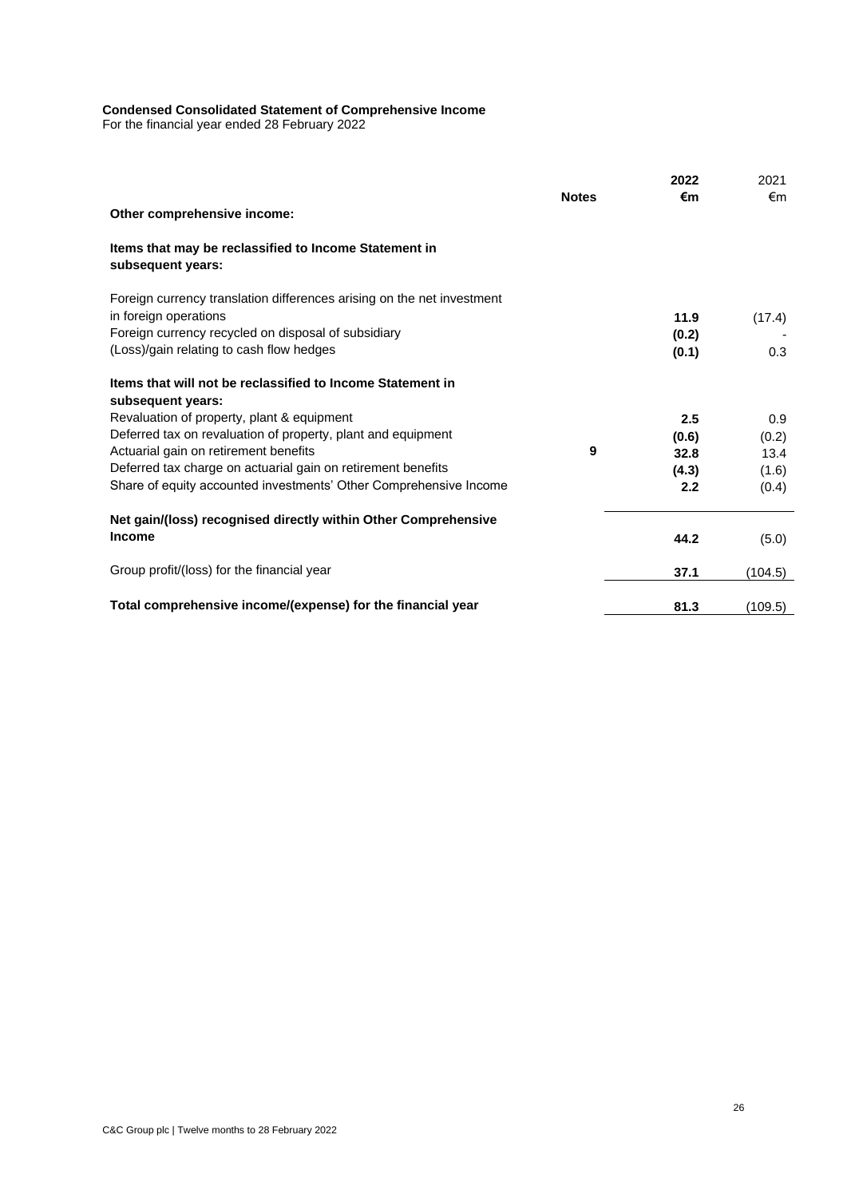#### **Condensed Consolidated Statement of Comprehensive Income**

For the financial year ended 28 February 2022

|                                                                                 |              | 2022  | 2021    |
|---------------------------------------------------------------------------------|--------------|-------|---------|
|                                                                                 | <b>Notes</b> | €m    | €m      |
| Other comprehensive income:                                                     |              |       |         |
| Items that may be reclassified to Income Statement in<br>subsequent years:      |              |       |         |
| Foreign currency translation differences arising on the net investment          |              |       |         |
| in foreign operations                                                           |              | 11.9  | (17.4)  |
| Foreign currency recycled on disposal of subsidiary                             |              | (0.2) |         |
| (Loss)/gain relating to cash flow hedges                                        |              | (0.1) | 0.3     |
| Items that will not be reclassified to Income Statement in<br>subsequent years: |              |       |         |
| Revaluation of property, plant & equipment                                      |              | 2.5   | 0.9     |
| Deferred tax on revaluation of property, plant and equipment                    |              | (0.6) | (0.2)   |
| Actuarial gain on retirement benefits                                           | 9            | 32.8  | 13.4    |
| Deferred tax charge on actuarial gain on retirement benefits                    |              | (4.3) | (1.6)   |
| Share of equity accounted investments' Other Comprehensive Income               |              | 2.2   | (0.4)   |
| Net gain/(loss) recognised directly within Other Comprehensive                  |              |       |         |
| Income                                                                          |              | 44.2  | (5.0)   |
| Group profit/(loss) for the financial year                                      |              | 37.1  | (104.5) |
| Total comprehensive income/(expense) for the financial year                     |              | 81.3  | (109.5) |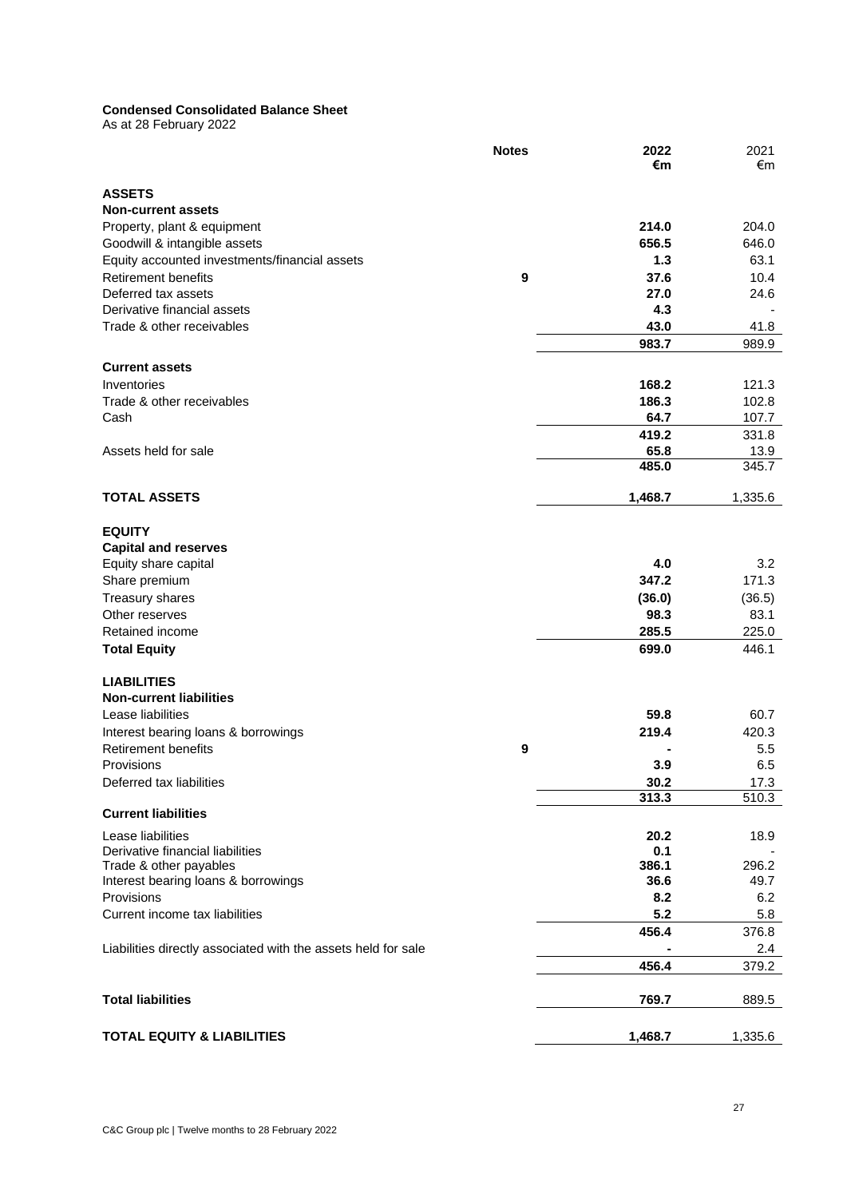# **Condensed Consolidated Balance Sheet**

As at 28 February 2022

|                                                               | <b>Notes</b> | 2022<br>€m   | 2021<br>€m   |
|---------------------------------------------------------------|--------------|--------------|--------------|
|                                                               |              |              |              |
| <b>ASSETS</b>                                                 |              |              |              |
| <b>Non-current assets</b>                                     |              |              |              |
| Property, plant & equipment                                   |              | 214.0        | 204.0        |
| Goodwill & intangible assets                                  |              | 656.5        | 646.0        |
| Equity accounted investments/financial assets                 |              | 1.3          | 63.1         |
| <b>Retirement benefits</b><br>Deferred tax assets             | 9            | 37.6<br>27.0 | 10.4<br>24.6 |
| Derivative financial assets                                   |              | 4.3          |              |
| Trade & other receivables                                     |              | 43.0         | 41.8         |
|                                                               |              | 983.7        | 989.9        |
|                                                               |              |              |              |
| <b>Current assets</b>                                         |              |              |              |
| Inventories                                                   |              | 168.2        | 121.3        |
| Trade & other receivables                                     |              | 186.3        | 102.8        |
| Cash                                                          |              | 64.7         | 107.7        |
|                                                               |              | 419.2        | 331.8        |
| Assets held for sale                                          |              | 65.8         | 13.9         |
|                                                               |              | 485.0        | 345.7        |
| <b>TOTAL ASSETS</b>                                           |              | 1,468.7      | 1,335.6      |
|                                                               |              |              |              |
| <b>EQUITY</b>                                                 |              |              |              |
| <b>Capital and reserves</b>                                   |              |              |              |
| Equity share capital                                          |              | 4.0          | 3.2          |
| Share premium                                                 |              | 347.2        | 171.3        |
| Treasury shares                                               |              | (36.0)       | (36.5)       |
| Other reserves                                                |              | 98.3         | 83.1         |
| Retained income                                               |              | 285.5        | 225.0        |
| <b>Total Equity</b>                                           |              | 699.0        | 446.1        |
| <b>LIABILITIES</b>                                            |              |              |              |
| <b>Non-current liabilities</b>                                |              |              |              |
| Lease liabilities                                             |              | 59.8         | 60.7         |
| Interest bearing loans & borrowings                           |              | 219.4        | 420.3        |
| <b>Retirement benefits</b>                                    | 9            |              | $5.5\,$      |
| Provisions                                                    |              | 3.9          | 6.5          |
| Deferred tax liabilities                                      |              | 30.2         | 17.3         |
|                                                               |              | 313.3        | 510.3        |
| <b>Current liabilities</b>                                    |              |              |              |
| Lease liabilities                                             |              | 20.2         | 18.9         |
| Derivative financial liabilities                              |              | 0.1          |              |
| Trade & other payables                                        |              | 386.1        | 296.2        |
| Interest bearing loans & borrowings                           |              | 36.6         | 49.7         |
| Provisions                                                    |              | 8.2          | 6.2          |
| Current income tax liabilities                                |              | 5.2          | 5.8          |
|                                                               |              | 456.4        | 376.8        |
| Liabilities directly associated with the assets held for sale |              |              | 2.4          |
|                                                               |              | 456.4        | 379.2        |
|                                                               |              |              |              |
| <b>Total liabilities</b>                                      |              | 769.7        | 889.5        |
| <b>TOTAL EQUITY &amp; LIABILITIES</b>                         |              |              |              |
|                                                               |              | 1,468.7      | 1,335.6      |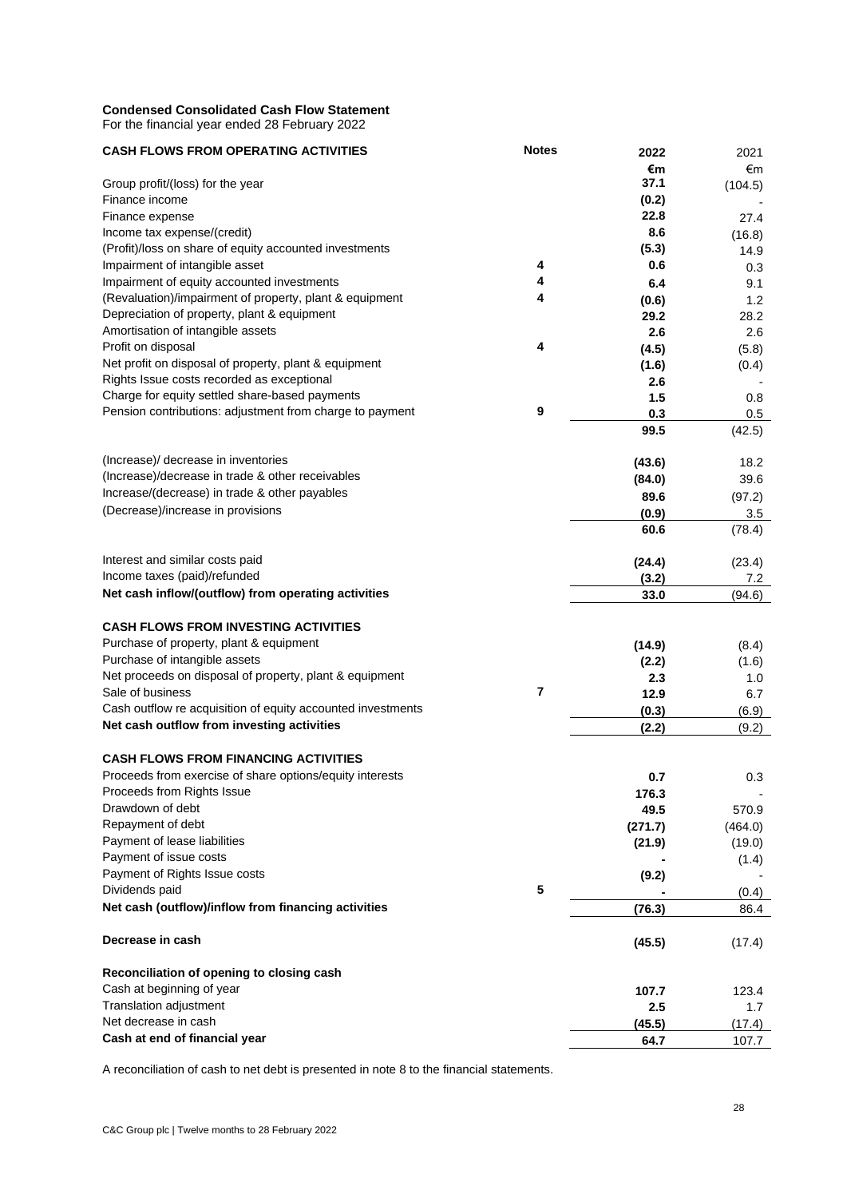# **Condensed Consolidated Cash Flow Statement**

For the financial year ended 28 February 2022

| <b>CASH FLOWS FROM OPERATING ACTIVITIES</b>                 | <b>Notes</b> | 2022    | 2021    |
|-------------------------------------------------------------|--------------|---------|---------|
|                                                             |              | €m      | €m      |
| Group profit/(loss) for the year                            |              | 37.1    | (104.5) |
| Finance income                                              |              | (0.2)   |         |
| Finance expense                                             |              | 22.8    | 27.4    |
| Income tax expense/(credit)                                 |              | 8.6     | (16.8)  |
| (Profit)/loss on share of equity accounted investments      |              | (5.3)   | 14.9    |
| Impairment of intangible asset                              | 4            | 0.6     | 0.3     |
| Impairment of equity accounted investments                  | 4            | 6.4     | 9.1     |
| (Revaluation)/impairment of property, plant & equipment     | 4            | (0.6)   | 1.2     |
| Depreciation of property, plant & equipment                 |              | 29.2    | 28.2    |
| Amortisation of intangible assets                           |              | 2.6     | 2.6     |
| Profit on disposal                                          | 4            | (4.5)   | (5.8)   |
| Net profit on disposal of property, plant & equipment       |              | (1.6)   | (0.4)   |
| Rights Issue costs recorded as exceptional                  |              | 2.6     |         |
| Charge for equity settled share-based payments              |              | 1.5     | 0.8     |
| Pension contributions: adjustment from charge to payment    | 9            | 0.3     | 0.5     |
|                                                             |              | 99.5    | (42.5)  |
|                                                             |              |         |         |
| (Increase)/ decrease in inventories                         |              | (43.6)  | 18.2    |
| (Increase)/decrease in trade & other receivables            |              | (84.0)  | 39.6    |
| Increase/(decrease) in trade & other payables               |              | 89.6    | (97.2)  |
| (Decrease)/increase in provisions                           |              | (0.9)   | 3.5     |
|                                                             |              | 60.6    | (78.4)  |
|                                                             |              |         |         |
| Interest and similar costs paid                             |              | (24.4)  | (23.4)  |
| Income taxes (paid)/refunded                                |              | (3.2)   | 7.2     |
| Net cash inflow/(outflow) from operating activities         |              | 33.0    | (94.6)  |
| <b>CASH FLOWS FROM INVESTING ACTIVITIES</b>                 |              |         |         |
|                                                             |              |         |         |
| Purchase of property, plant & equipment                     |              | (14.9)  | (8.4)   |
| Purchase of intangible assets                               |              | (2.2)   | (1.6)   |
| Net proceeds on disposal of property, plant & equipment     |              | 2.3     | 1.0     |
| Sale of business                                            | 7            | 12.9    | 6.7     |
| Cash outflow re acquisition of equity accounted investments |              | (0.3)   | (6.9)   |
| Net cash outflow from investing activities                  |              | (2.2)   | (9.2)   |
| <b>CASH FLOWS FROM FINANCING ACTIVITIES</b>                 |              |         |         |
| Proceeds from exercise of share options/equity interests    |              | 0.7     | 0.3     |
| Proceeds from Rights Issue                                  |              | 176.3   |         |
| Drawdown of debt                                            |              | 49.5    | 570.9   |
| Repayment of debt                                           |              | (271.7) | (464.0) |
| Payment of lease liabilities                                |              | (21.9)  | (19.0)  |
| Payment of issue costs                                      |              |         | (1.4)   |
| Payment of Rights Issue costs                               |              | (9.2)   |         |
| Dividends paid                                              | 5            |         | (0.4)   |
| Net cash (outflow)/inflow from financing activities         |              | (76.3)  | 86.4    |
|                                                             |              |         |         |
| Decrease in cash                                            |              | (45.5)  | (17.4)  |
| Reconciliation of opening to closing cash                   |              |         |         |
| Cash at beginning of year                                   |              | 107.7   | 123.4   |
| Translation adjustment                                      |              | 2.5     | 1.7     |
| Net decrease in cash                                        |              | (45.5)  | (17.4)  |
| Cash at end of financial year                               |              | 64.7    | 107.7   |

A reconciliation of cash to net debt is presented in note 8 to the financial statements.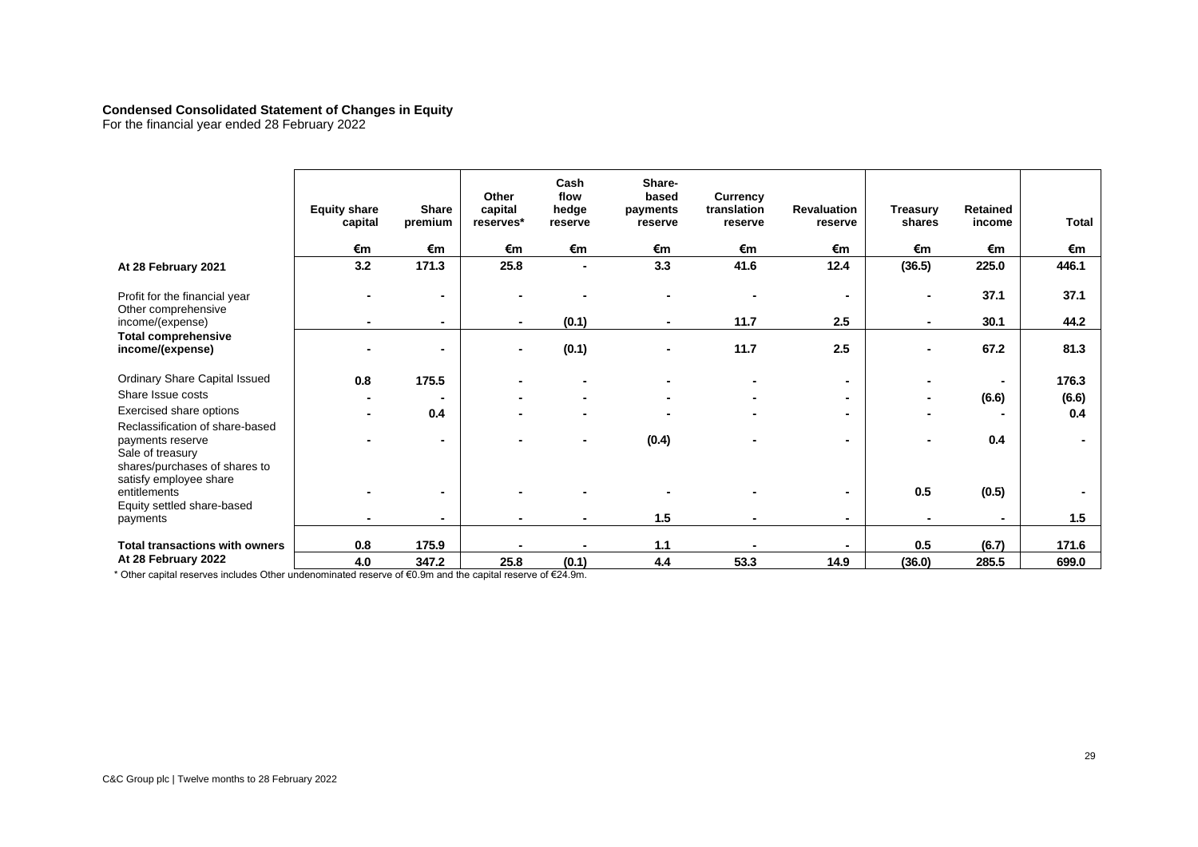### **Condensed Consolidated Statement of Changes in Equity**

For the financial year ended 28 February 2022

|                                                                                                          | <b>Equity share</b><br>capital | <b>Share</b><br>premium | Other<br>capital<br>reserves* | Cash<br>flow<br>hedge<br>reserve | Share-<br>based<br>payments<br>reserve | <b>Currency</b><br>translation<br>reserve | <b>Revaluation</b><br>reserve | <b>Treasury</b><br>shares | Retained<br>income | <b>Total</b> |
|----------------------------------------------------------------------------------------------------------|--------------------------------|-------------------------|-------------------------------|----------------------------------|----------------------------------------|-------------------------------------------|-------------------------------|---------------------------|--------------------|--------------|
|                                                                                                          | €m                             | €m                      | €m                            | €m                               | €m                                     | €m                                        | €m                            | €m                        | €m                 | €m           |
| At 28 February 2021                                                                                      | 3.2                            | 171.3                   | 25.8                          | $\overline{\phantom{a}}$         | 3.3                                    | 41.6                                      | 12.4                          | (36.5)                    | 225.0              | 446.1        |
| Profit for the financial year<br>Other comprehensive                                                     |                                | ۰                       |                               |                                  |                                        |                                           | ۰                             |                           | 37.1               | 37.1         |
| income/(expense)                                                                                         |                                | ٠                       | ۰                             | (0.1)                            | ٠                                      | 11.7                                      | 2.5                           | $\blacksquare$            | 30.1               | 44.2         |
| <b>Total comprehensive</b><br>income/(expense)                                                           |                                | $\blacksquare$          |                               | (0.1)                            |                                        | 11.7                                      | 2.5                           | ۰                         | 67.2               | 81.3         |
| Ordinary Share Capital Issued                                                                            | 0.8                            | 175.5                   |                               |                                  |                                        |                                           | $\blacksquare$                |                           |                    | 176.3        |
| Share Issue costs                                                                                        |                                |                         |                               |                                  |                                        |                                           | ٠                             |                           | (6.6)              | (6.6)        |
| Exercised share options                                                                                  |                                | 0.4                     |                               |                                  |                                        |                                           | ۰                             |                           |                    | 0.4          |
| Reclassification of share-based<br>payments reserve<br>Sale of treasury<br>shares/purchases of shares to |                                | $\blacksquare$          |                               |                                  | (0.4)                                  |                                           | $\blacksquare$                |                           | 0.4                |              |
| satisfy employee share<br>entitlements                                                                   |                                | $\blacksquare$          |                               |                                  |                                        |                                           | ۰                             | 0.5                       | (0.5)              |              |
| Equity settled share-based<br>payments                                                                   |                                | $\blacksquare$          |                               |                                  | 1.5                                    |                                           |                               |                           |                    | 1.5          |
| <b>Total transactions with owners</b>                                                                    | 0.8                            | 175.9                   |                               |                                  | 1.1                                    |                                           |                               | 0.5                       | (6.7)              | 171.6        |
| At 28 February 2022                                                                                      | 4.0                            | 347.2                   | 25.8                          | (0.1)                            | 4.4                                    | 53.3                                      | 14.9                          | (36.0)                    | 285.5              | 699.0        |

\* Other capital reserves includes Other undenominated reserve of €0.9m and the capital reserve of €24.9m.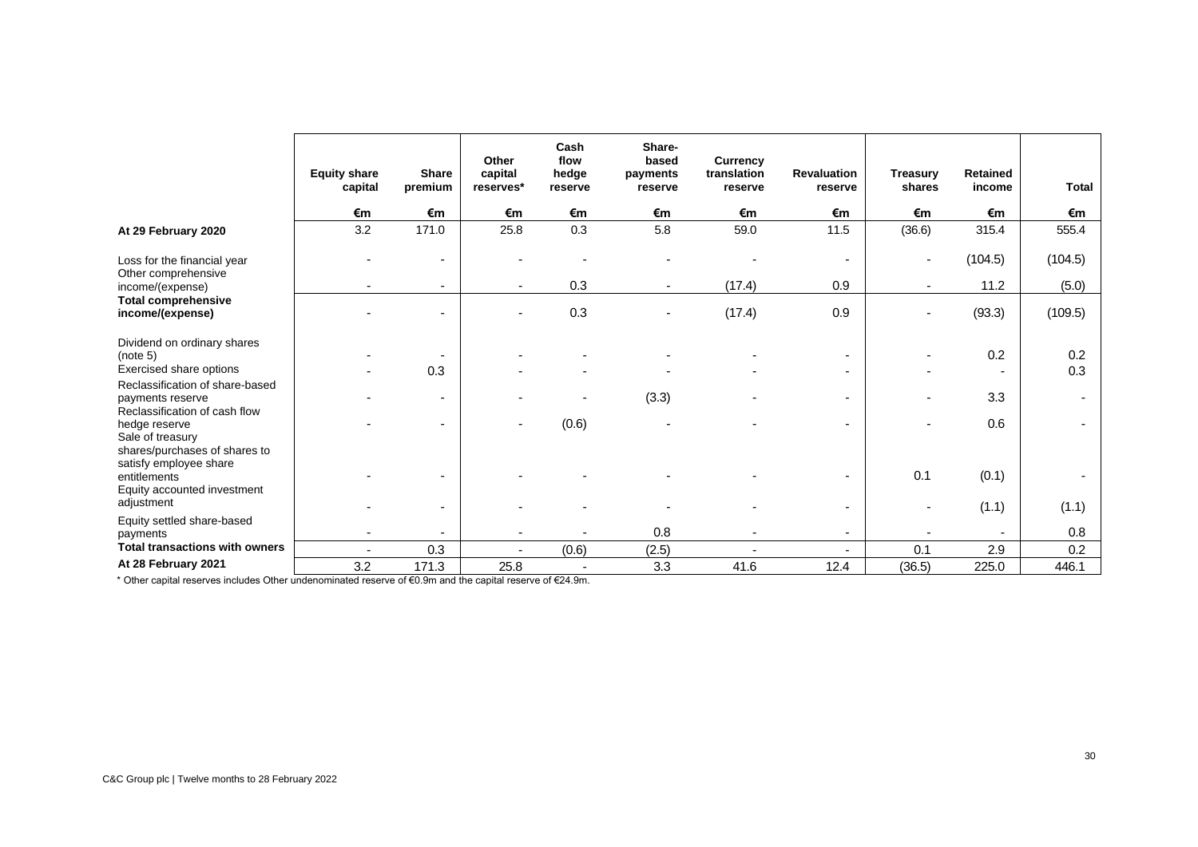|                                                                                      | <b>Equity share</b><br>capital | <b>Share</b><br>premium  | Other<br>capital<br>reserves* | Cash<br>flow<br>hedge<br>reserve | Share-<br>based<br>payments<br>reserve | <b>Currency</b><br>translation<br>reserve | <b>Revaluation</b><br>reserve | <b>Treasury</b><br>shares | Retained<br>income | <b>Total</b>             |
|--------------------------------------------------------------------------------------|--------------------------------|--------------------------|-------------------------------|----------------------------------|----------------------------------------|-------------------------------------------|-------------------------------|---------------------------|--------------------|--------------------------|
|                                                                                      | €m                             | €m                       | €m                            | €m                               | €m                                     | €m                                        | €m                            | €m                        | €m                 | €m                       |
| At 29 February 2020                                                                  | 3.2                            | 171.0                    | 25.8                          | 0.3                              | 5.8                                    | 59.0                                      | 11.5                          | (36.6)                    | 315.4              | 555.4                    |
| Loss for the financial year<br>Other comprehensive                                   |                                | $\overline{\phantom{0}}$ |                               |                                  |                                        |                                           | $\overline{\phantom{a}}$      |                           | (104.5)            | (104.5)                  |
| income/(expense)                                                                     |                                |                          |                               | 0.3                              |                                        | (17.4)                                    | 0.9                           |                           | 11.2               | (5.0)                    |
| <b>Total comprehensive</b><br>income/(expense)                                       |                                |                          |                               | 0.3                              |                                        | (17.4)                                    | 0.9                           |                           | (93.3)             | (109.5)                  |
| Dividend on ordinary shares<br>(note 5)                                              |                                |                          |                               |                                  |                                        |                                           | $\overline{\phantom{a}}$      |                           | 0.2                | 0.2                      |
| Exercised share options                                                              |                                | 0.3                      |                               |                                  |                                        |                                           | $\overline{\phantom{a}}$      |                           |                    | 0.3                      |
| Reclassification of share-based<br>payments reserve<br>Reclassification of cash flow |                                |                          |                               |                                  | (3.3)                                  |                                           | $\overline{\phantom{0}}$      |                           | 3.3                | $\overline{\phantom{a}}$ |
| hedge reserve<br>Sale of treasury<br>shares/purchases of shares to                   |                                |                          | $\overline{\phantom{a}}$      | (0.6)                            |                                        |                                           |                               |                           | 0.6                | $\overline{\phantom{a}}$ |
| satisfy employee share<br>entitlements<br>Equity accounted investment<br>adjustment  |                                |                          |                               |                                  |                                        |                                           | $\overline{\phantom{a}}$      | 0.1                       | (0.1)              |                          |
|                                                                                      |                                |                          |                               |                                  |                                        |                                           |                               | ٠                         | (1.1)              | (1.1)                    |
| Equity settled share-based<br>payments                                               |                                |                          |                               |                                  | 0.8                                    |                                           |                               |                           |                    | 0.8                      |
| <b>Total transactions with owners</b>                                                | $\overline{\phantom{a}}$       | 0.3                      |                               | (0.6)                            | (2.5)                                  |                                           |                               | 0.1                       | 2.9                | 0.2                      |
| At 28 February 2021                                                                  | 3.2                            | 171.3                    | 25.8                          |                                  | 3.3                                    | 41.6                                      | 12.4                          | (36.5)                    | 225.0              | 446.1                    |

\* Other capital reserves includes Other undenominated reserve of €0.9m and the capital reserve of €24.9m.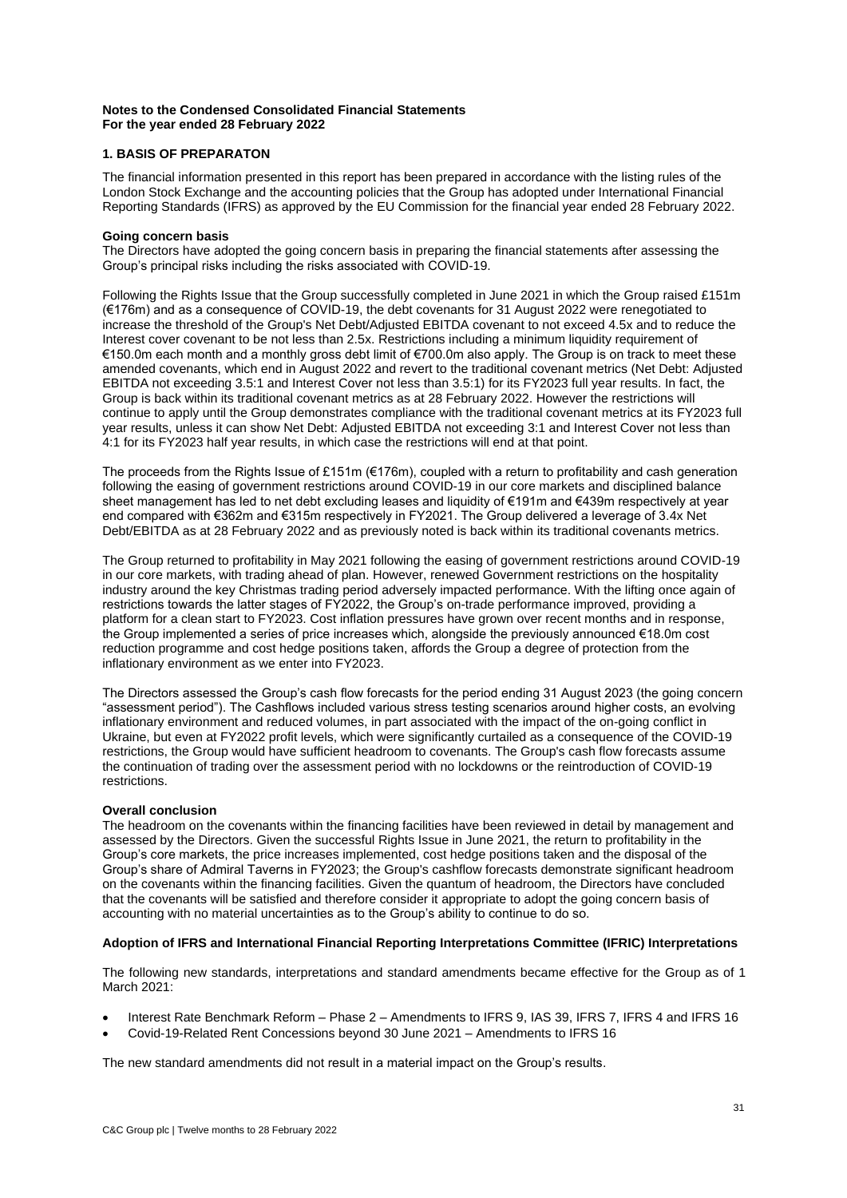### **Notes to the Condensed Consolidated Financial Statements For the year ended 28 February 2022**

# **1. BASIS OF PREPARATON**

The financial information presented in this report has been prepared in accordance with the listing rules of the London Stock Exchange and the accounting policies that the Group has adopted under International Financial Reporting Standards (IFRS) as approved by the EU Commission for the financial year ended 28 February 2022.

### **Going concern basis**

The Directors have adopted the going concern basis in preparing the financial statements after assessing the Group's principal risks including the risks associated with COVID-19.

Following the Rights Issue that the Group successfully completed in June 2021 in which the Group raised £151m (€176m) and as a consequence of COVID-19, the debt covenants for 31 August 2022 were renegotiated to increase the threshold of the Group's Net Debt/Adjusted EBITDA covenant to not exceed 4.5x and to reduce the Interest cover covenant to be not less than 2.5x. Restrictions including a minimum liquidity requirement of €150.0m each month and a monthly gross debt limit of €700.0m also apply. The Group is on track to meet these amended covenants, which end in August 2022 and revert to the traditional covenant metrics (Net Debt: Adjusted EBITDA not exceeding 3.5:1 and Interest Cover not less than 3.5:1) for its FY2023 full year results. In fact, the Group is back within its traditional covenant metrics as at 28 February 2022. However the restrictions will continue to apply until the Group demonstrates compliance with the traditional covenant metrics at its FY2023 full year results, unless it can show Net Debt: Adjusted EBITDA not exceeding 3:1 and Interest Cover not less than 4:1 for its FY2023 half year results, in which case the restrictions will end at that point.

The proceeds from the Rights Issue of £151m (€176m), coupled with a return to profitability and cash generation following the easing of government restrictions around COVID-19 in our core markets and disciplined balance sheet management has led to net debt excluding leases and liquidity of €191m and €439m respectively at year end compared with €362m and €315m respectively in FY2021. The Group delivered a leverage of 3.4x Net Debt/EBITDA as at 28 February 2022 and as previously noted is back within its traditional covenants metrics.

The Group returned to profitability in May 2021 following the easing of government restrictions around COVID-19 in our core markets, with trading ahead of plan. However, renewed Government restrictions on the hospitality industry around the key Christmas trading period adversely impacted performance. With the lifting once again of restrictions towards the latter stages of FY2022, the Group's on-trade performance improved, providing a platform for a clean start to FY2023. Cost inflation pressures have grown over recent months and in response, the Group implemented a series of price increases which, alongside the previously announced €18.0m cost reduction programme and cost hedge positions taken, affords the Group a degree of protection from the inflationary environment as we enter into FY2023.

The Directors assessed the Group's cash flow forecasts for the period ending 31 August 2023 (the going concern "assessment period"). The Cashflows included various stress testing scenarios around higher costs, an evolving inflationary environment and reduced volumes, in part associated with the impact of the on-going conflict in Ukraine, but even at FY2022 profit levels, which were significantly curtailed as a consequence of the COVID-19 restrictions, the Group would have sufficient headroom to covenants. The Group's cash flow forecasts assume the continuation of trading over the assessment period with no lockdowns or the reintroduction of COVID-19 restrictions.

### **Overall conclusion**

The headroom on the covenants within the financing facilities have been reviewed in detail by management and assessed by the Directors. Given the successful Rights Issue in June 2021, the return to profitability in the Group's core markets, the price increases implemented, cost hedge positions taken and the disposal of the Group's share of Admiral Taverns in FY2023; the Group's cashflow forecasts demonstrate significant headroom on the covenants within the financing facilities. Given the quantum of headroom, the Directors have concluded that the covenants will be satisfied and therefore consider it appropriate to adopt the going concern basis of accounting with no material uncertainties as to the Group's ability to continue to do so.

# **Adoption of IFRS and International Financial Reporting Interpretations Committee (IFRIC) Interpretations**

The following new standards, interpretations and standard amendments became effective for the Group as of 1 March 2021:

- Interest Rate Benchmark Reform Phase 2 Amendments to IFRS 9, IAS 39, IFRS 7, IFRS 4 and IFRS 16
- Covid-19-Related Rent Concessions beyond 30 June 2021 Amendments to IFRS 16

The new standard amendments did not result in a material impact on the Group's results.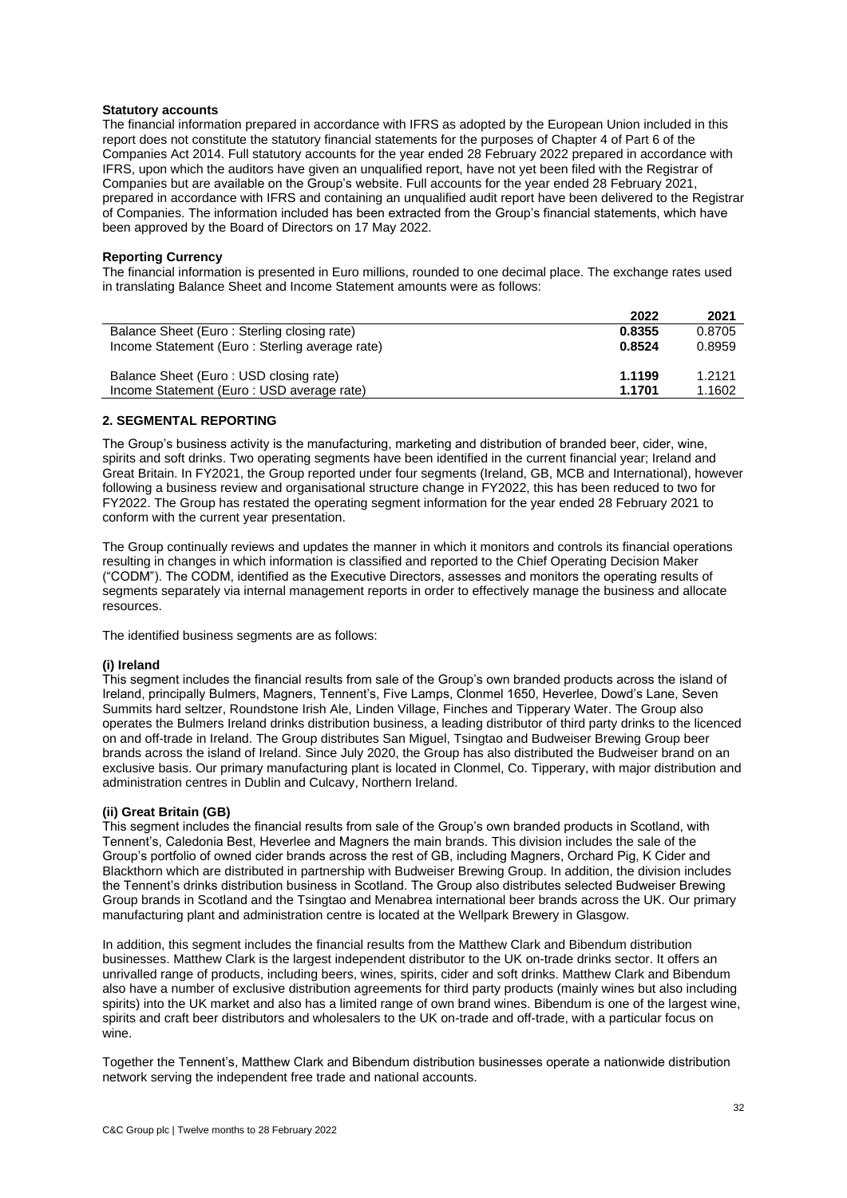#### **Statutory accounts**

The financial information prepared in accordance with IFRS as adopted by the European Union included in this report does not constitute the statutory financial statements for the purposes of Chapter 4 of Part 6 of the Companies Act 2014. Full statutory accounts for the year ended 28 February 2022 prepared in accordance with IFRS, upon which the auditors have given an unqualified report, have not yet been filed with the Registrar of Companies but are available on the Group's website. Full accounts for the year ended 28 February 2021, prepared in accordance with IFRS and containing an unqualified audit report have been delivered to the Registrar of Companies. The information included has been extracted from the Group's financial statements, which have been approved by the Board of Directors on 17 May 2022.

#### **Reporting Currency**

The financial information is presented in Euro millions, rounded to one decimal place. The exchange rates used in translating Balance Sheet and Income Statement amounts were as follows:

|                                                | 2022   | 2021   |
|------------------------------------------------|--------|--------|
| Balance Sheet (Euro: Sterling closing rate)    | 0.8355 | 0.8705 |
| Income Statement (Euro: Sterling average rate) | 0.8524 | 0.8959 |
| Balance Sheet (Euro: USD closing rate)         | 1.1199 | 1.2121 |
| Income Statement (Euro: USD average rate)      | 1.1701 | 1.1602 |

## **2. SEGMENTAL REPORTING**

The Group's business activity is the manufacturing, marketing and distribution of branded beer, cider, wine, spirits and soft drinks. Two operating segments have been identified in the current financial year; Ireland and Great Britain. In FY2021, the Group reported under four segments (Ireland, GB, MCB and International), however following a business review and organisational structure change in FY2022, this has been reduced to two for FY2022. The Group has restated the operating segment information for the year ended 28 February 2021 to conform with the current year presentation.

The Group continually reviews and updates the manner in which it monitors and controls its financial operations resulting in changes in which information is classified and reported to the Chief Operating Decision Maker ("CODM"). The CODM, identified as the Executive Directors, assesses and monitors the operating results of segments separately via internal management reports in order to effectively manage the business and allocate resources.

The identified business segments are as follows:

### **(i) Ireland**

This segment includes the financial results from sale of the Group's own branded products across the island of Ireland, principally Bulmers, Magners, Tennent's, Five Lamps, Clonmel 1650, Heverlee, Dowd's Lane, Seven Summits hard seltzer, Roundstone Irish Ale, Linden Village, Finches and Tipperary Water. The Group also operates the Bulmers Ireland drinks distribution business, a leading distributor of third party drinks to the licenced on and off-trade in Ireland. The Group distributes San Miguel, Tsingtao and Budweiser Brewing Group beer brands across the island of Ireland. Since July 2020, the Group has also distributed the Budweiser brand on an exclusive basis. Our primary manufacturing plant is located in Clonmel, Co. Tipperary, with major distribution and administration centres in Dublin and Culcavy, Northern Ireland.

#### **(ii) Great Britain (GB)**

This segment includes the financial results from sale of the Group's own branded products in Scotland, with Tennent's, Caledonia Best, Heverlee and Magners the main brands. This division includes the sale of the Group's portfolio of owned cider brands across the rest of GB, including Magners, Orchard Pig, K Cider and Blackthorn which are distributed in partnership with Budweiser Brewing Group. In addition, the division includes the Tennent's drinks distribution business in Scotland. The Group also distributes selected Budweiser Brewing Group brands in Scotland and the Tsingtao and Menabrea international beer brands across the UK. Our primary manufacturing plant and administration centre is located at the Wellpark Brewery in Glasgow.

In addition, this segment includes the financial results from the Matthew Clark and Bibendum distribution businesses. Matthew Clark is the largest independent distributor to the UK on-trade drinks sector. It offers an unrivalled range of products, including beers, wines, spirits, cider and soft drinks. Matthew Clark and Bibendum also have a number of exclusive distribution agreements for third party products (mainly wines but also including spirits) into the UK market and also has a limited range of own brand wines. Bibendum is one of the largest wine, spirits and craft beer distributors and wholesalers to the UK on-trade and off-trade, with a particular focus on wine.

Together the Tennent's, Matthew Clark and Bibendum distribution businesses operate a nationwide distribution network serving the independent free trade and national accounts.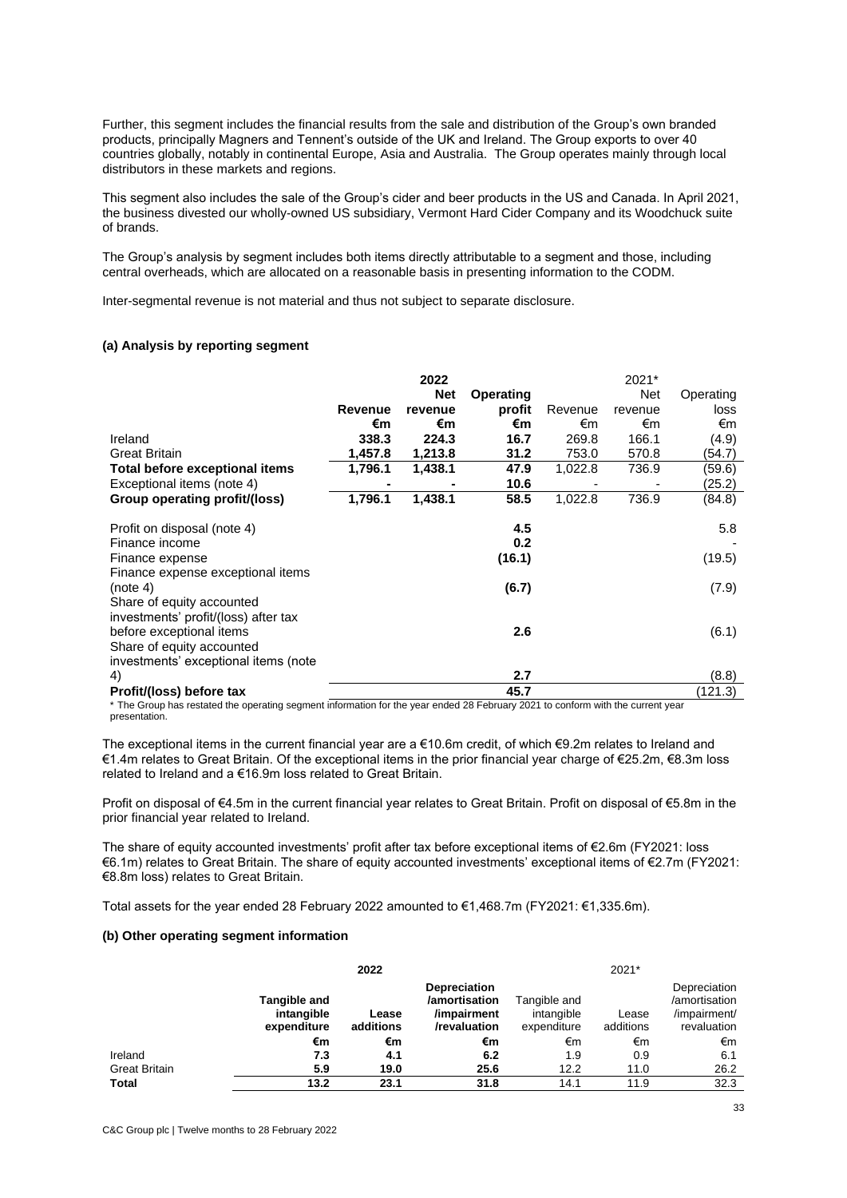Further, this segment includes the financial results from the sale and distribution of the Group's own branded products, principally Magners and Tennent's outside of the UK and Ireland. The Group exports to over 40 countries globally, notably in continental Europe, Asia and Australia. The Group operates mainly through local distributors in these markets and regions.

This segment also includes the sale of the Group's cider and beer products in the US and Canada. In April 2021, the business divested our wholly-owned US subsidiary, Vermont Hard Cider Company and its Woodchuck suite of brands.

The Group's analysis by segment includes both items directly attributable to a segment and those, including central overheads, which are allocated on a reasonable basis in presenting information to the CODM.

Inter-segmental revenue is not material and thus not subject to separate disclosure.

### **(a) Analysis by reporting segment**

|                                      |                | 2022       |           |         | 2021*      |           |
|--------------------------------------|----------------|------------|-----------|---------|------------|-----------|
|                                      |                | <b>Net</b> | Operating |         | <b>Net</b> | Operating |
|                                      | <b>Revenue</b> | revenue    | profit    | Revenue | revenue    | loss      |
|                                      | €m             | €m         | €m        | €m      | €m         | €m        |
| Ireland                              | 338.3          | 224.3      | 16.7      | 269.8   | 166.1      | (4.9)     |
| <b>Great Britain</b>                 | 1,457.8        | 1,213.8    | 31.2      | 753.0   | 570.8      | (54.7)    |
| Total before exceptional items       | 1,796.1        | 1,438.1    | 47.9      | 1,022.8 | 736.9      | (59.6)    |
| Exceptional items (note 4)           |                |            | 10.6      |         |            | (25.2)    |
| <b>Group operating profit/(loss)</b> | 1,796.1        | 1,438.1    | 58.5      | 1,022.8 | 736.9      | (84.8)    |
|                                      |                |            |           |         |            |           |
| Profit on disposal (note 4)          |                |            | 4.5       |         |            | 5.8       |
| Finance income                       |                |            | 0.2       |         |            |           |
| Finance expense                      |                |            | (16.1)    |         |            | (19.5)    |
| Finance expense exceptional items    |                |            |           |         |            |           |
| (note 4)                             |                |            | (6.7)     |         |            | (7.9)     |
| Share of equity accounted            |                |            |           |         |            |           |
| investments' profit/(loss) after tax |                |            |           |         |            |           |
| before exceptional items             |                |            | 2.6       |         |            | (6.1)     |
| Share of equity accounted            |                |            |           |         |            |           |
| investments' exceptional items (note |                |            |           |         |            |           |
| 4)                                   |                |            | 2.7       |         |            | (8.8)     |
| Profit/(loss) before tax             |                |            | 45.7      |         |            | (121.3)   |

\* The Group has restated the operating segment information for the year ended 28 February 2021 to conform with the current year presentation.

The exceptional items in the current financial year are a €10.6m credit, of which €9.2m relates to Ireland and €1.4m relates to Great Britain. Of the exceptional items in the prior financial year charge of €25.2m, €8.3m loss related to Ireland and a €16.9m loss related to Great Britain.

Profit on disposal of €4.5m in the current financial year relates to Great Britain. Profit on disposal of €5.8m in the prior financial year related to Ireland.

The share of equity accounted investments' profit after tax before exceptional items of €2.6m (FY2021: loss €6.1m) relates to Great Britain. The share of equity accounted investments' exceptional items of €2.7m (FY2021: €8.8m loss) relates to Great Britain.

Total assets for the year ended 28 February 2022 amounted to €1,468.7m (FY2021: €1,335.6m).

#### **(b) Other operating segment information**

|                      |                                                  | 2022               | 2021*                                                               |                                           |                    |                                                              |
|----------------------|--------------------------------------------------|--------------------|---------------------------------------------------------------------|-------------------------------------------|--------------------|--------------------------------------------------------------|
|                      | <b>Tangible and</b><br>intangible<br>expenditure | Lease<br>additions | <b>Depreciation</b><br>/amortisation<br>/impairment<br>/revaluation | Tangible and<br>intangible<br>expenditure | Lease<br>additions | Depreciation<br>/amortisation<br>/impairment/<br>revaluation |
|                      | €m                                               | €m                 | €m                                                                  | €m                                        | €m                 | €m                                                           |
| Ireland              | 7.3                                              | 4.1                | 6.2                                                                 | 1.9                                       | 0.9                | 6.1                                                          |
| <b>Great Britain</b> | 5.9                                              | 19.0               | 25.6                                                                | 12.2                                      | 11.0               | 26.2                                                         |
| <b>Total</b>         | 13.2                                             | 23.1               | 31.8                                                                | 14.1                                      | 11.9               | 32.3                                                         |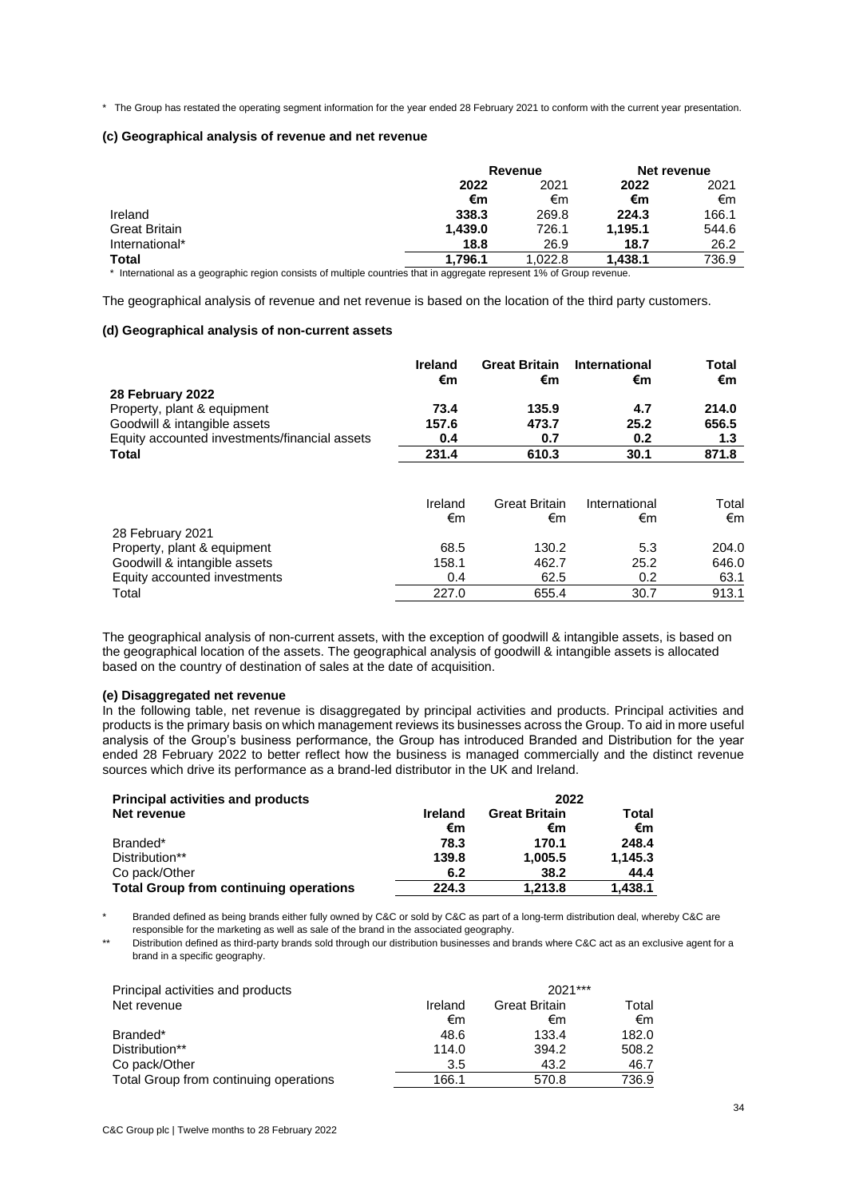\* The Group has restated the operating segment information for the year ended 28 February 2021 to conform with the current year presentation.

## **(c) Geographical analysis of revenue and net revenue**

|                      |              | Revenue | Net revenue |       |
|----------------------|--------------|---------|-------------|-------|
|                      | 2021<br>2022 |         | 2022        | 2021  |
|                      | €m           | €m      | €m          | €m    |
| Ireland              | 338.3        | 269.8   | 224.3       | 166.1 |
| <b>Great Britain</b> | 1,439.0      | 726.1   | 1.195.1     | 544.6 |
| International*       | 18.8         | 26.9    | 18.7        | 26.2  |
| <b>Total</b>         | 1.796.1      | 1.022.8 | 1.438.1     | 736.9 |
|                      |              |         |             |       |

\* International as a geographic region consists of multiple countries that in aggregate represent 1% of Group revenue.

The geographical analysis of revenue and net revenue is based on the location of the third party customers.

#### **(d) Geographical analysis of non-current assets**

|                                               | Ireland<br>€m | <b>Great Britain</b><br>€m | International<br>€m | Total<br>€m |
|-----------------------------------------------|---------------|----------------------------|---------------------|-------------|
| 28 February 2022                              |               |                            |                     |             |
| Property, plant & equipment                   | 73.4          | 135.9                      | 4.7                 | 214.0       |
| Goodwill & intangible assets                  | 157.6         | 473.7                      | 25.2                | 656.5       |
| Equity accounted investments/financial assets | 0.4           | 0.7                        | 0.2                 | 1.3         |
| <b>Total</b>                                  | 231.4         | 610.3                      | 30.1                | 871.8       |
|                                               | Ireland<br>€m | Great Britain<br>€m        | International<br>€m | Total<br>€m |
| 28 February 2021                              |               |                            |                     |             |
| Property, plant & equipment                   | 68.5          | 130.2                      | 5.3                 | 204.0       |
| Goodwill & intangible assets                  | 158.1         | 462.7                      | 25.2                | 646.0       |
| Equity accounted investments                  | 0.4           | 62.5                       | 0.2                 | 63.1        |
| Total                                         | 227.0         | 655.4                      | 30.7                | 913.1       |

The geographical analysis of non-current assets, with the exception of goodwill & intangible assets, is based on the geographical location of the assets. The geographical analysis of goodwill & intangible assets is allocated based on the country of destination of sales at the date of acquisition.

# **(e) Disaggregated net revenue**

In the following table, net revenue is disaggregated by principal activities and products. Principal activities and products is the primary basis on which management reviews its businesses across the Group. To aid in more useful analysis of the Group's business performance, the Group has introduced Branded and Distribution for the year ended 28 February 2022 to better reflect how the business is managed commercially and the distinct revenue sources which drive its performance as a brand-led distributor in the UK and Ireland.

| <b>Principal activities and products</b>      |                | 2022                 |         |
|-----------------------------------------------|----------------|----------------------|---------|
| Net revenue                                   | <b>Ireland</b> | <b>Great Britain</b> | Total   |
|                                               | €m             | €m                   | €m      |
| Branded*                                      | 78.3           | 170.1                | 248.4   |
| Distribution**                                | 139.8          | 1,005.5              | 1.145.3 |
| Co pack/Other                                 | 6.2            | 38.2                 | 44.4    |
| <b>Total Group from continuing operations</b> | 224.3          | 1.213.8              | 1,438.1 |

Branded defined as being brands either fully owned by C&C or sold by C&C as part of a long-term distribution deal, whereby C&C are responsible for the marketing as well as sale of the brand in the associated geography.

\*\* Distribution defined as third-party brands sold through our distribution businesses and brands where C&C act as an exclusive agent for a brand in a specific geography.

| Principal activities and products      |         | $2021***$            |       |  |
|----------------------------------------|---------|----------------------|-------|--|
| Net revenue                            | Ireland | <b>Great Britain</b> | Total |  |
|                                        | €m      | €m                   | €m    |  |
| Branded*                               | 48.6    | 133.4                | 182.0 |  |
| Distribution**                         | 114.0   | 394.2                | 508.2 |  |
| Co pack/Other                          | 3.5     | 43.2                 | 46.7  |  |
| Total Group from continuing operations | 166.1   | 570.8                | 736.9 |  |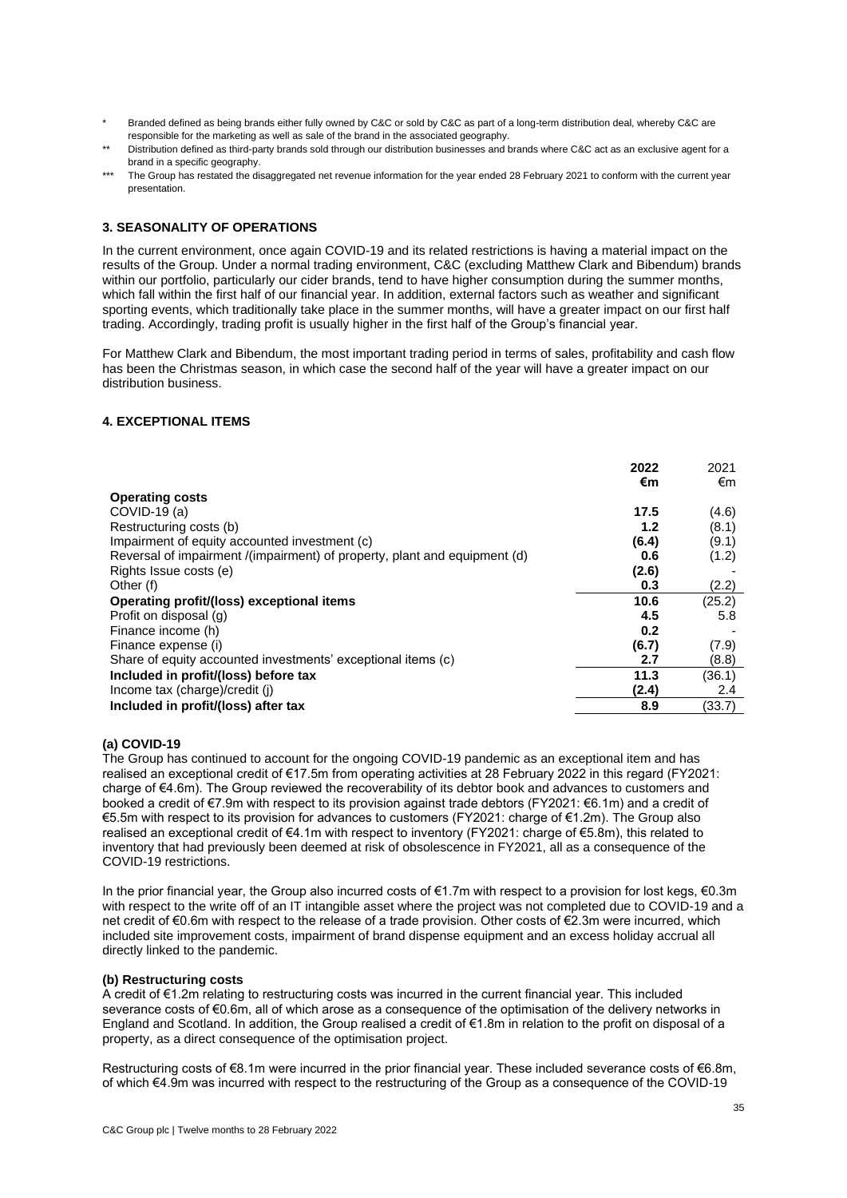- Branded defined as being brands either fully owned by C&C or sold by C&C as part of a long-term distribution deal, whereby C&C are responsible for the marketing as well as sale of the brand in the associated geography.
- \*\* Distribution defined as third-party brands sold through our distribution businesses and brands where C&C act as an exclusive agent for a brand in a specific geography.
- \*\*\* The Group has restated the disaggregated net revenue information for the year ended 28 February 2021 to conform with the current year presentation.

# **3. SEASONALITY OF OPERATIONS**

In the current environment, once again COVID-19 and its related restrictions is having a material impact on the results of the Group. Under a normal trading environment, C&C (excluding Matthew Clark and Bibendum) brands within our portfolio, particularly our cider brands, tend to have higher consumption during the summer months, which fall within the first half of our financial year. In addition, external factors such as weather and significant sporting events, which traditionally take place in the summer months, will have a greater impact on our first half trading. Accordingly, trading profit is usually higher in the first half of the Group's financial year.

For Matthew Clark and Bibendum, the most important trading period in terms of sales, profitability and cash flow has been the Christmas season, in which case the second half of the year will have a greater impact on our distribution business.

# **4. EXCEPTIONAL ITEMS**

| €m<br>€m<br><b>Operating costs</b><br>17.5<br>$COVID-19(a)$<br>(4.6)<br>Restructuring costs (b)<br>(8.1)<br>1.2<br>Impairment of equity accounted investment (c)<br>(6.4)<br>(9.1)<br>Reversal of impairment /(impairment) of property, plant and equipment (d)<br>0.6<br>(1.2)<br>Rights Issue costs (e)<br>(2.6)<br>Other (f)<br>(2.2)<br>0.3<br>10.6<br>(25.2)<br>Operating profit/(loss) exceptional items<br>Profit on disposal (g)<br>4.5<br>5.8<br>Finance income (h)<br>0.2<br>(6.7)<br>(7.9)<br>Finance expense (i)<br>Share of equity accounted investments' exceptional items (c)<br>2.7<br>(8.8)<br>11.3<br>Included in profit/(loss) before tax<br>(36.1)<br>Income tax (charge)/credit (j)<br>(2.4)<br>2.4<br>Included in profit/(loss) after tax<br>8.9<br>(33.7) | 2022 | 2021 |
|----------------------------------------------------------------------------------------------------------------------------------------------------------------------------------------------------------------------------------------------------------------------------------------------------------------------------------------------------------------------------------------------------------------------------------------------------------------------------------------------------------------------------------------------------------------------------------------------------------------------------------------------------------------------------------------------------------------------------------------------------------------------------------|------|------|
|                                                                                                                                                                                                                                                                                                                                                                                                                                                                                                                                                                                                                                                                                                                                                                                  |      |      |
|                                                                                                                                                                                                                                                                                                                                                                                                                                                                                                                                                                                                                                                                                                                                                                                  |      |      |
|                                                                                                                                                                                                                                                                                                                                                                                                                                                                                                                                                                                                                                                                                                                                                                                  |      |      |
|                                                                                                                                                                                                                                                                                                                                                                                                                                                                                                                                                                                                                                                                                                                                                                                  |      |      |
|                                                                                                                                                                                                                                                                                                                                                                                                                                                                                                                                                                                                                                                                                                                                                                                  |      |      |
|                                                                                                                                                                                                                                                                                                                                                                                                                                                                                                                                                                                                                                                                                                                                                                                  |      |      |
|                                                                                                                                                                                                                                                                                                                                                                                                                                                                                                                                                                                                                                                                                                                                                                                  |      |      |
|                                                                                                                                                                                                                                                                                                                                                                                                                                                                                                                                                                                                                                                                                                                                                                                  |      |      |
|                                                                                                                                                                                                                                                                                                                                                                                                                                                                                                                                                                                                                                                                                                                                                                                  |      |      |
|                                                                                                                                                                                                                                                                                                                                                                                                                                                                                                                                                                                                                                                                                                                                                                                  |      |      |
|                                                                                                                                                                                                                                                                                                                                                                                                                                                                                                                                                                                                                                                                                                                                                                                  |      |      |
|                                                                                                                                                                                                                                                                                                                                                                                                                                                                                                                                                                                                                                                                                                                                                                                  |      |      |
|                                                                                                                                                                                                                                                                                                                                                                                                                                                                                                                                                                                                                                                                                                                                                                                  |      |      |
|                                                                                                                                                                                                                                                                                                                                                                                                                                                                                                                                                                                                                                                                                                                                                                                  |      |      |
|                                                                                                                                                                                                                                                                                                                                                                                                                                                                                                                                                                                                                                                                                                                                                                                  |      |      |
|                                                                                                                                                                                                                                                                                                                                                                                                                                                                                                                                                                                                                                                                                                                                                                                  |      |      |

# **(a) COVID-19**

The Group has continued to account for the ongoing COVID-19 pandemic as an exceptional item and has realised an exceptional credit of €17.5m from operating activities at 28 February 2022 in this regard (FY2021: charge of €4.6m). The Group reviewed the recoverability of its debtor book and advances to customers and booked a credit of €7.9m with respect to its provision against trade debtors (FY2021: €6.1m) and a credit of €5.5m with respect to its provision for advances to customers (FY2021: charge of €1.2m). The Group also realised an exceptional credit of €4.1m with respect to inventory (FY2021: charge of €5.8m), this related to inventory that had previously been deemed at risk of obsolescence in FY2021, all as a consequence of the COVID-19 restrictions.

In the prior financial year, the Group also incurred costs of €1.7m with respect to a provision for lost kegs, €0.3m with respect to the write off of an IT intangible asset where the project was not completed due to COVID-19 and a net credit of €0.6m with respect to the release of a trade provision. Other costs of €2.3m were incurred, which included site improvement costs, impairment of brand dispense equipment and an excess holiday accrual all directly linked to the pandemic.

### **(b) Restructuring costs**

A credit of €1.2m relating to restructuring costs was incurred in the current financial year. This included severance costs of €0.6m, all of which arose as a consequence of the optimisation of the delivery networks in England and Scotland. In addition, the Group realised a credit of €1.8m in relation to the profit on disposal of a property, as a direct consequence of the optimisation project.

Restructuring costs of €8.1m were incurred in the prior financial year. These included severance costs of €6.8m, of which €4.9m was incurred with respect to the restructuring of the Group as a consequence of the COVID-19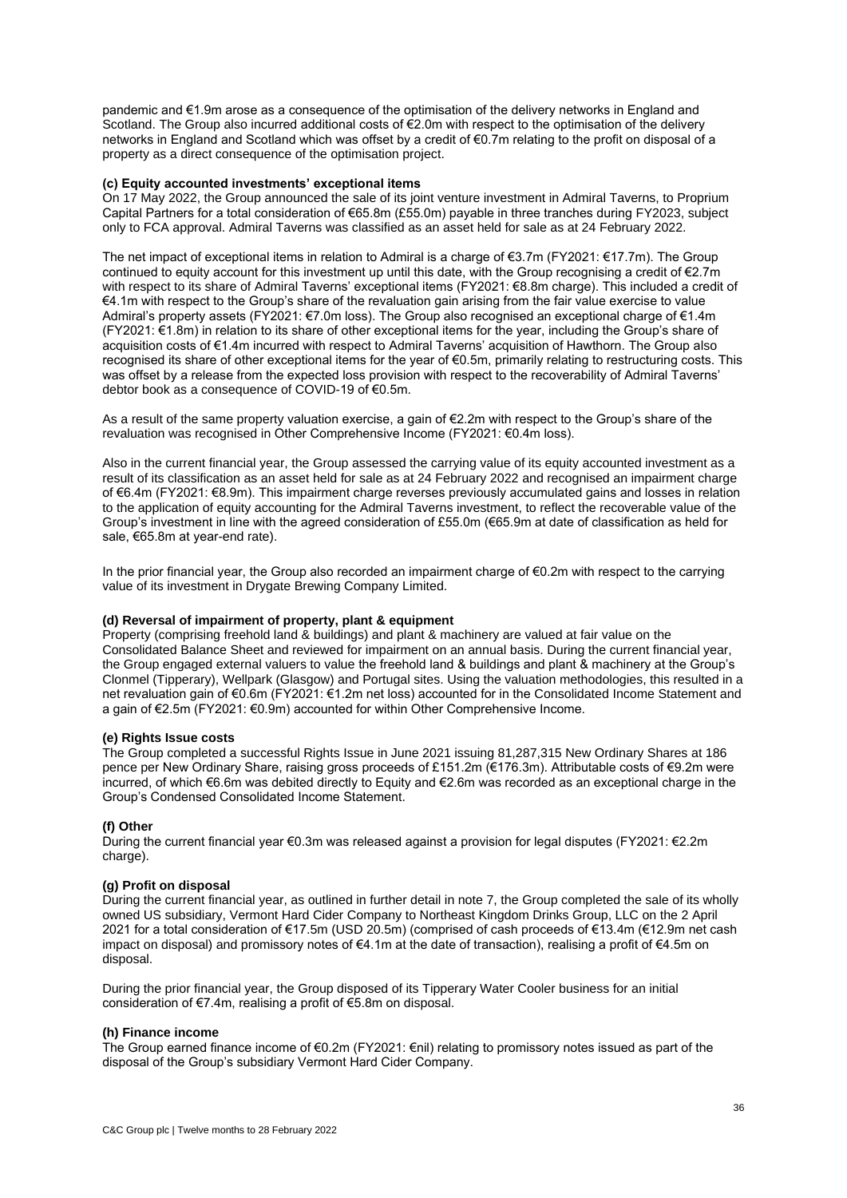pandemic and €1.9m arose as a consequence of the optimisation of the delivery networks in England and Scotland. The Group also incurred additional costs of €2.0m with respect to the optimisation of the delivery networks in England and Scotland which was offset by a credit of €0.7m relating to the profit on disposal of a property as a direct consequence of the optimisation project.

#### **(c) Equity accounted investments' exceptional items**

On 17 May 2022, the Group announced the sale of its joint venture investment in Admiral Taverns, to Proprium Capital Partners for a total consideration of €65.8m (£55.0m) payable in three tranches during FY2023, subject only to FCA approval. Admiral Taverns was classified as an asset held for sale as at 24 February 2022.

The net impact of exceptional items in relation to Admiral is a charge of €3.7m (FY2021: €17.7m). The Group continued to equity account for this investment up until this date, with the Group recognising a credit of  $\epsilon$ 2.7m with respect to its share of Admiral Taverns' exceptional items (FY2021: €8.8m charge). This included a credit of €4.1m with respect to the Group's share of the revaluation gain arising from the fair value exercise to value Admiral's property assets (FY2021: €7.0m loss). The Group also recognised an exceptional charge of €1.4m (FY2021: €1.8m) in relation to its share of other exceptional items for the year, including the Group's share of acquisition costs of €1.4m incurred with respect to Admiral Taverns' acquisition of Hawthorn. The Group also recognised its share of other exceptional items for the year of €0.5m, primarily relating to restructuring costs. This was offset by a release from the expected loss provision with respect to the recoverability of Admiral Taverns' debtor book as a consequence of COVID-19 of €0.5m.

As a result of the same property valuation exercise, a gain of €2.2m with respect to the Group's share of the revaluation was recognised in Other Comprehensive Income (FY2021: €0.4m loss).

Also in the current financial year, the Group assessed the carrying value of its equity accounted investment as a result of its classification as an asset held for sale as at 24 February 2022 and recognised an impairment charge of €6.4m (FY2021: €8.9m). This impairment charge reverses previously accumulated gains and losses in relation to the application of equity accounting for the Admiral Taverns investment, to reflect the recoverable value of the Group's investment in line with the agreed consideration of £55.0m (€65.9m at date of classification as held for sale, €65.8m at year-end rate).

In the prior financial year, the Group also recorded an impairment charge of €0.2m with respect to the carrying value of its investment in Drygate Brewing Company Limited.

# **(d) Reversal of impairment of property, plant & equipment**

Property (comprising freehold land & buildings) and plant & machinery are valued at fair value on the Consolidated Balance Sheet and reviewed for impairment on an annual basis. During the current financial year, the Group engaged external valuers to value the freehold land & buildings and plant & machinery at the Group's Clonmel (Tipperary), Wellpark (Glasgow) and Portugal sites. Using the valuation methodologies, this resulted in a net revaluation gain of €0.6m (FY2021: €1.2m net loss) accounted for in the Consolidated Income Statement and a gain of €2.5m (FY2021: €0.9m) accounted for within Other Comprehensive Income.

### **(e) Rights Issue costs**

The Group completed a successful Rights Issue in June 2021 issuing 81,287,315 New Ordinary Shares at 186 pence per New Ordinary Share, raising gross proceeds of £151.2m (€176.3m). Attributable costs of €9.2m were incurred, of which €6.6m was debited directly to Equity and €2.6m was recorded as an exceptional charge in the Group's Condensed Consolidated Income Statement.

### **(f) Other**

During the current financial year €0.3m was released against a provision for legal disputes (FY2021: €2.2m charge).

### **(g) Profit on disposal**

During the current financial year, as outlined in further detail in note 7, the Group completed the sale of its wholly owned US subsidiary, Vermont Hard Cider Company to Northeast Kingdom Drinks Group, LLC on the 2 April 2021 for a total consideration of €17.5m (USD 20.5m) (comprised of cash proceeds of €13.4m (€12.9m net cash impact on disposal) and promissory notes of €4.1m at the date of transaction), realising a profit of €4.5m on disposal.

During the prior financial year, the Group disposed of its Tipperary Water Cooler business for an initial consideration of €7.4m, realising a profit of €5.8m on disposal.

#### **(h) Finance income**

The Group earned finance income of €0.2m (FY2021: €nil) relating to promissory notes issued as part of the disposal of the Group's subsidiary Vermont Hard Cider Company.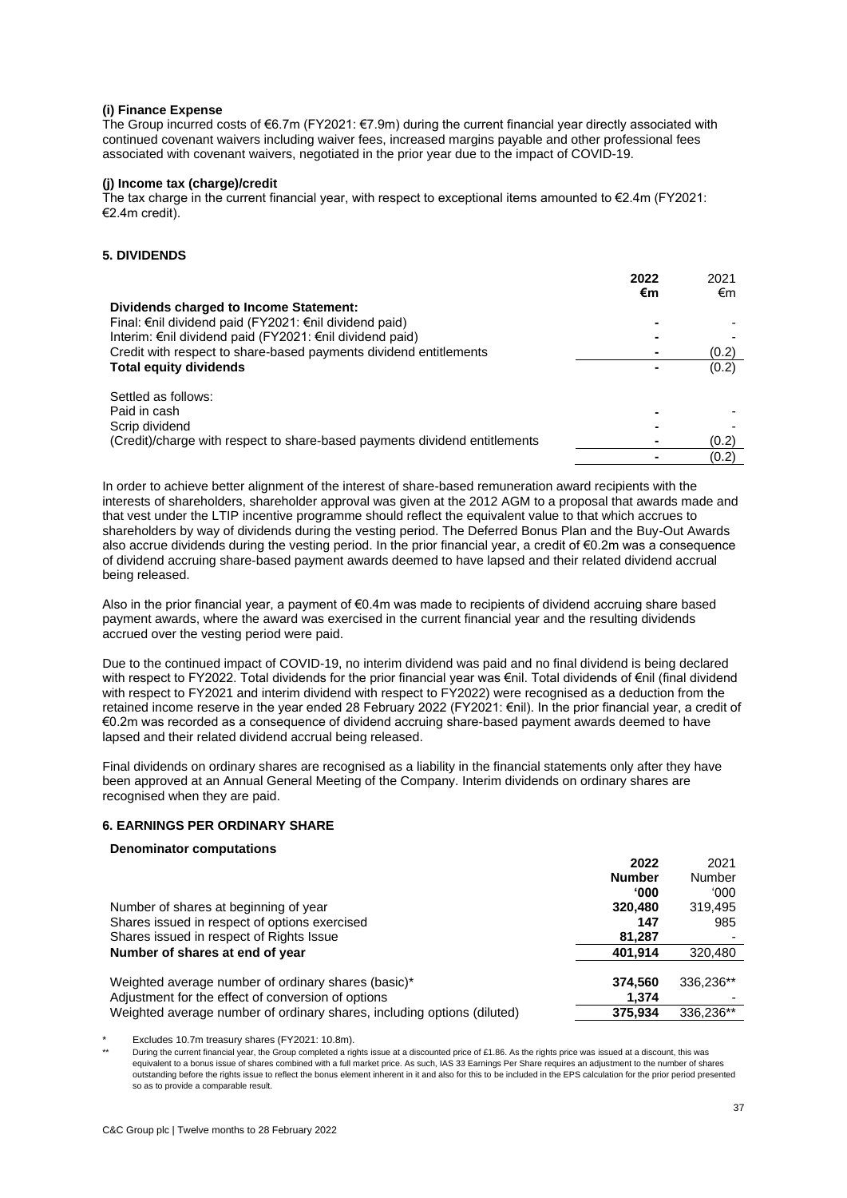### **(i) Finance Expense**

The Group incurred costs of €6.7m (FY2021: €7.9m) during the current financial year directly associated with continued covenant waivers including waiver fees, increased margins payable and other professional fees associated with covenant waivers, negotiated in the prior year due to the impact of COVID-19.

# **(j) Income tax (charge)/credit**

The tax charge in the current financial year, with respect to exceptional items amounted to  $\epsilon$ 2.4m (FY2021: €2.4m credit).

### **5. DIVIDENDS**

|                                                                            | 2022 | 2021  |
|----------------------------------------------------------------------------|------|-------|
|                                                                            | €m   | €m    |
| Dividends charged to Income Statement:                                     |      |       |
| Final: €nil dividend paid (FY2021: €nil dividend paid)                     |      |       |
| Interim: €nil dividend paid (FY2021: €nil dividend paid)                   |      |       |
| Credit with respect to share-based payments dividend entitlements          |      | (0.2) |
| <b>Total equity dividends</b>                                              |      | (0.2) |
| Settled as follows:                                                        |      |       |
| Paid in cash                                                               |      |       |
| Scrip dividend                                                             |      |       |
| (Credit)/charge with respect to share-based payments dividend entitlements |      | (0.2) |
|                                                                            |      | (0.2) |

In order to achieve better alignment of the interest of share-based remuneration award recipients with the interests of shareholders, shareholder approval was given at the 2012 AGM to a proposal that awards made and that vest under the LTIP incentive programme should reflect the equivalent value to that which accrues to shareholders by way of dividends during the vesting period. The Deferred Bonus Plan and the Buy-Out Awards also accrue dividends during the vesting period. In the prior financial year, a credit of €0.2m was a consequence of dividend accruing share-based payment awards deemed to have lapsed and their related dividend accrual being released.

Also in the prior financial year, a payment of €0.4m was made to recipients of dividend accruing share based payment awards, where the award was exercised in the current financial year and the resulting dividends accrued over the vesting period were paid.

Due to the continued impact of COVID-19, no interim dividend was paid and no final dividend is being declared with respect to FY2022. Total dividends for the prior financial year was €nil. Total dividends of €nil (final dividend with respect to FY2021 and interim dividend with respect to FY2022) were recognised as a deduction from the retained income reserve in the year ended 28 February 2022 (FY2021: €nil). In the prior financial year, a credit of €0.2m was recorded as a consequence of dividend accruing share-based payment awards deemed to have lapsed and their related dividend accrual being released.

Final dividends on ordinary shares are recognised as a liability in the financial statements only after they have been approved at an Annual General Meeting of the Company. Interim dividends on ordinary shares are recognised when they are paid.

#### **6. EARNINGS PER ORDINARY SHARE**

# **Denominator computations**

|                                                                         | 2022          | 2021      |
|-------------------------------------------------------------------------|---------------|-----------|
|                                                                         | <b>Number</b> | Number    |
|                                                                         | <b>000</b> '  | 000'      |
| Number of shares at beginning of year                                   | 320,480       | 319,495   |
| Shares issued in respect of options exercised                           | 147           | 985       |
| Shares issued in respect of Rights Issue                                | 81,287        |           |
| Number of shares at end of year                                         | 401.914       | 320,480   |
|                                                                         |               |           |
| Weighted average number of ordinary shares (basic)*                     | 374.560       | 336.236** |
| Adjustment for the effect of conversion of options                      | 1.374         |           |
| Weighted average number of ordinary shares, including options (diluted) | 375,934       | 336.236** |
|                                                                         |               |           |

Excludes 10.7m treasury shares (FY2021: 10.8m).

During the current financial year, the Group completed a rights issue at a discounted price of £1.86. As the rights price was issued at a discount, this was equivalent to a bonus issue of shares combined with a full market price. As such, IAS 33 Earnings Per Share requires an adjustment to the number of shares outstanding before the rights issue to reflect the bonus element inherent in it and also for this to be included in the EPS calculation for the prior period presented so as to provide a comparable result.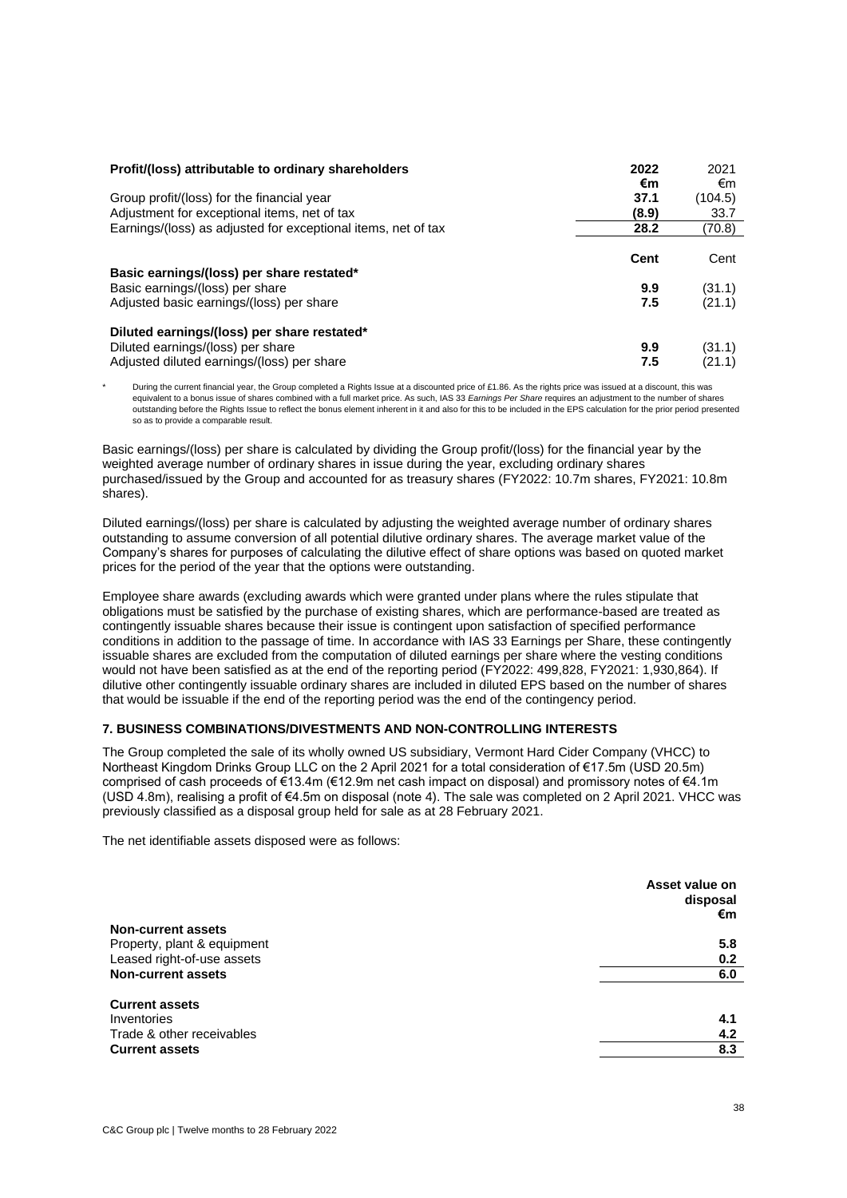| Profit/(loss) attributable to ordinary shareholders           | 2022<br>€m | 2021<br>€m |
|---------------------------------------------------------------|------------|------------|
| Group profit/(loss) for the financial year                    | 37.1       | (104.5)    |
| Adjustment for exceptional items, net of tax                  | (8.9)      | 33.7       |
| Earnings/(loss) as adjusted for exceptional items, net of tax | 28.2       | (70.8)     |
|                                                               | Cent       | Cent       |
| Basic earnings/(loss) per share restated*                     |            |            |
| Basic earnings/(loss) per share                               | 9.9        | (31.1)     |
| Adjusted basic earnings/(loss) per share                      | 7.5        | (21.1)     |
| Diluted earnings/(loss) per share restated*                   |            |            |
| Diluted earnings/(loss) per share                             | 9.9        | (31.1)     |
| Adjusted diluted earnings/(loss) per share                    | 7.5        | (21.1)     |

During the current financial year, the Group completed a Rights Issue at a discounted price of £1.86. As the rights price was issued at a discount, this was equivalent to a bonus issue of shares combined with a full market price. As such, IAS 33 *Earnings Per Share* requires an adjustment to the number of shares outstanding before the Rights Issue to reflect the bonus element inherent in it and also for this to be included in the EPS calculation for the prior period presented so as to provide a comparable result.

Basic earnings/(loss) per share is calculated by dividing the Group profit/(loss) for the financial year by the weighted average number of ordinary shares in issue during the year, excluding ordinary shares purchased/issued by the Group and accounted for as treasury shares (FY2022: 10.7m shares, FY2021: 10.8m shares).

Diluted earnings/(loss) per share is calculated by adjusting the weighted average number of ordinary shares outstanding to assume conversion of all potential dilutive ordinary shares. The average market value of the Company's shares for purposes of calculating the dilutive effect of share options was based on quoted market prices for the period of the year that the options were outstanding.

Employee share awards (excluding awards which were granted under plans where the rules stipulate that obligations must be satisfied by the purchase of existing shares, which are performance-based are treated as contingently issuable shares because their issue is contingent upon satisfaction of specified performance conditions in addition to the passage of time. In accordance with IAS 33 Earnings per Share, these contingently issuable shares are excluded from the computation of diluted earnings per share where the vesting conditions would not have been satisfied as at the end of the reporting period (FY2022: 499,828, FY2021: 1,930,864). If dilutive other contingently issuable ordinary shares are included in diluted EPS based on the number of shares that would be issuable if the end of the reporting period was the end of the contingency period.

# **7. BUSINESS COMBINATIONS/DIVESTMENTS AND NON-CONTROLLING INTERESTS**

The Group completed the sale of its wholly owned US subsidiary, Vermont Hard Cider Company (VHCC) to Northeast Kingdom Drinks Group LLC on the 2 April 2021 for a total consideration of €17.5m (USD 20.5m) comprised of cash proceeds of €13.4m (€12.9m net cash impact on disposal) and promissory notes of €4.1m (USD 4.8m), realising a profit of €4.5m on disposal (note 4). The sale was completed on 2 April 2021. VHCC was previously classified as a disposal group held for sale as at 28 February 2021.

The net identifiable assets disposed were as follows:

|                             | Asset value on<br>disposal<br>€m |
|-----------------------------|----------------------------------|
| <b>Non-current assets</b>   |                                  |
| Property, plant & equipment | 5.8                              |
| Leased right-of-use assets  | 0.2                              |
| <b>Non-current assets</b>   | 6.0                              |
| <b>Current assets</b>       |                                  |
| Inventories                 | 4.1                              |
| Trade & other receivables   | 4.2                              |
| <b>Current assets</b>       | 8.3                              |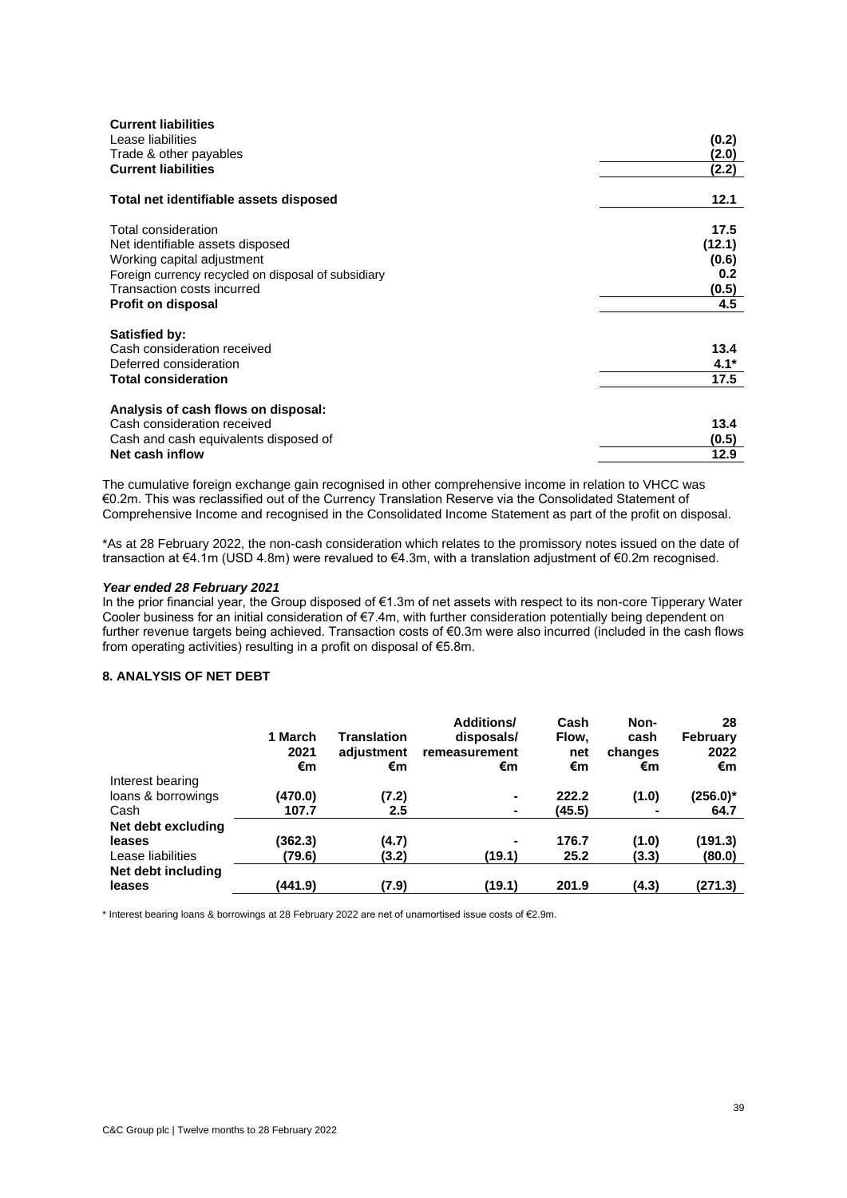| <b>Current liabilities</b>                          |        |
|-----------------------------------------------------|--------|
| Lease liabilities                                   | (0.2)  |
| Trade & other payables                              | (2.0)  |
| <b>Current liabilities</b>                          | (2.2)  |
| Total net identifiable assets disposed              | 12.1   |
| Total consideration                                 | 17.5   |
| Net identifiable assets disposed                    | (12.1) |
| Working capital adjustment                          | (0.6)  |
| Foreign currency recycled on disposal of subsidiary | 0.2    |
| Transaction costs incurred                          | (0.5)  |
| <b>Profit on disposal</b>                           | 4.5    |
| <b>Satisfied by:</b>                                |        |
| Cash consideration received                         | 13.4   |
| Deferred consideration                              | $4.1*$ |
| <b>Total consideration</b>                          | 17.5   |
|                                                     |        |
| Analysis of cash flows on disposal:                 |        |
| Cash consideration received                         | 13.4   |
| Cash and cash equivalents disposed of               | (0.5)  |
| Net cash inflow                                     | 12.9   |

The cumulative foreign exchange gain recognised in other comprehensive income in relation to VHCC was €0.2m. This was reclassified out of the Currency Translation Reserve via the Consolidated Statement of Comprehensive Income and recognised in the Consolidated Income Statement as part of the profit on disposal.

\*As at 28 February 2022, the non-cash consideration which relates to the promissory notes issued on the date of transaction at €4.1m (USD 4.8m) were revalued to €4.3m, with a translation adjustment of €0.2m recognised.

#### *Year ended 28 February 2021*

In the prior financial year, the Group disposed of €1.3m of net assets with respect to its non-core Tipperary Water Cooler business for an initial consideration of €7.4m, with further consideration potentially being dependent on further revenue targets being achieved. Transaction costs of €0.3m were also incurred (included in the cash flows from operating activities) resulting in a profit on disposal of €5.8m.

### **8. ANALYSIS OF NET DEBT**

|                              | 1 March<br>2021<br>€m | <b>Translation</b><br>adjustment<br>€m | <b>Additions/</b><br>disposals/<br>remeasurement<br>€m | Cash<br>Flow.<br>net<br>€m | Non-<br>cash<br>changes<br>€m | 28<br>February<br>2022<br>€m |
|------------------------------|-----------------------|----------------------------------------|--------------------------------------------------------|----------------------------|-------------------------------|------------------------------|
| Interest bearing             |                       |                                        |                                                        |                            |                               |                              |
| loans & borrowings           | (470.0)               | (7.2)                                  | ۰.                                                     | 222.2                      | (1.0)                         | $(256.0)^*$                  |
| Cash                         | 107.7                 | $2.5\,$                                | ۰.                                                     | (45.5)                     | ۰                             | 64.7                         |
| Net debt excluding           |                       |                                        |                                                        |                            |                               |                              |
| leases                       | (362.3)               | (4.7)                                  | ٠                                                      | 176.7                      | (1.0)                         | (191.3)                      |
| Lease liabilities            | (79.6)                | (3.2)                                  | (19.1)                                                 | 25.2                       | (3.3)                         | (80.0)                       |
| Net debt including<br>leases | (441.9)               | (7.9)                                  | (19.1)                                                 | 201.9                      | (4.3)                         | (271.3)                      |

\* Interest bearing loans & borrowings at 28 February 2022 are net of unamortised issue costs of €2.9m.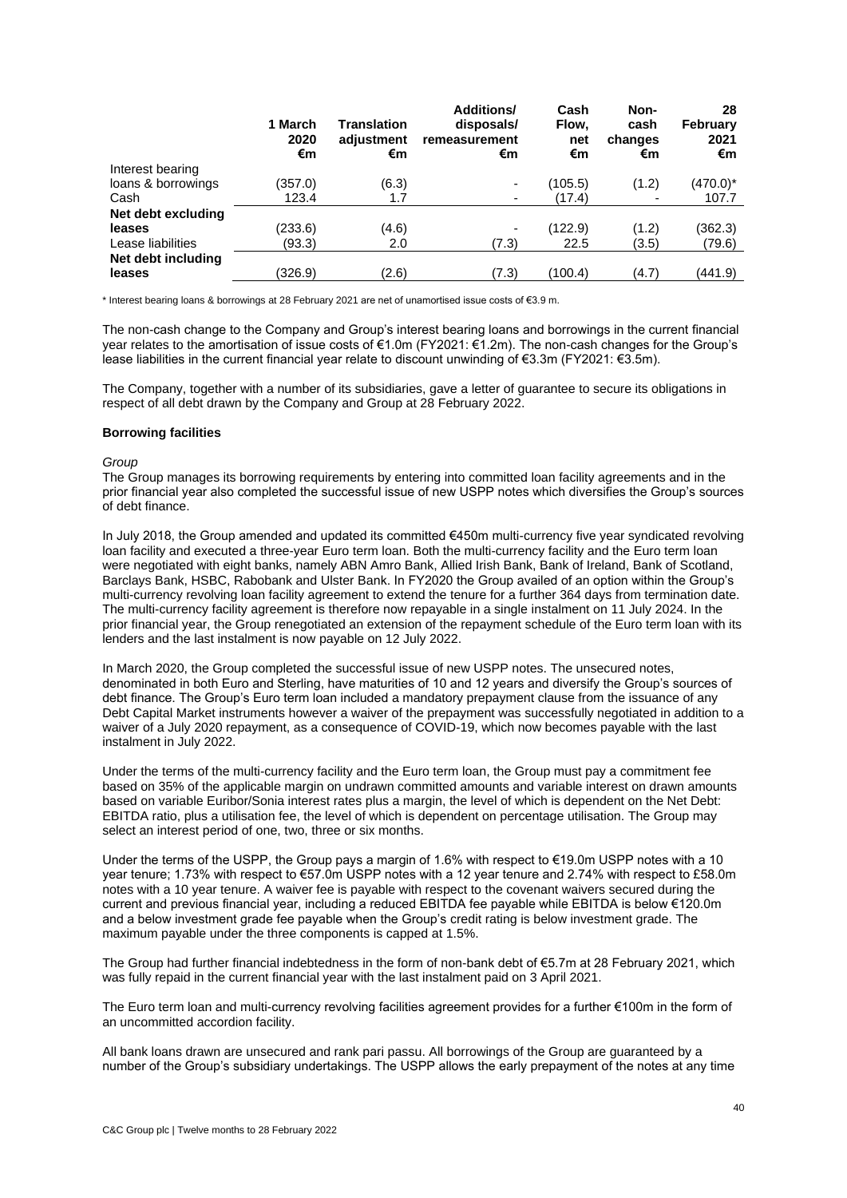|                    | 1 March<br>2020<br>€m | <b>Translation</b><br>adjustment<br>€m | Additions/<br>disposals/<br>remeasurement<br>€m | Cash<br>Flow,<br>net<br>€m | Non-<br>cash<br>changes<br>€m | 28<br><b>February</b><br>2021<br>€m |
|--------------------|-----------------------|----------------------------------------|-------------------------------------------------|----------------------------|-------------------------------|-------------------------------------|
| Interest bearing   |                       |                                        |                                                 |                            |                               |                                     |
| loans & borrowings | (357.0)               | (6.3)                                  |                                                 | (105.5)                    | (1.2)                         | $(470.0)^*$                         |
| Cash               | 123.4                 | 1.7                                    |                                                 | (17.4)                     | $\overline{\phantom{0}}$      | 107.7                               |
| Net debt excluding |                       |                                        |                                                 |                            |                               |                                     |
| leases             | (233.6)               | (4.6)                                  |                                                 | (122.9)                    | (1.2)                         | (362.3)                             |
| Lease liabilities  | (93.3)                | 2.0                                    | (7.3)                                           | 22.5                       | (3.5)                         | (79.6)                              |
| Net debt including |                       |                                        |                                                 |                            |                               |                                     |
| leases             | (326.9)               | (2.6)                                  | (7.3)                                           | (100.4)                    | (4.7)                         | (441.9)                             |

\* Interest bearing loans & borrowings at 28 February 2021 are net of unamortised issue costs of €3.9 m.

The non-cash change to the Company and Group's interest bearing loans and borrowings in the current financial year relates to the amortisation of issue costs of €1.0m (FY2021: €1.2m). The non-cash changes for the Group's lease liabilities in the current financial year relate to discount unwinding of €3.3m (FY2021: €3.5m).

The Company, together with a number of its subsidiaries, gave a letter of guarantee to secure its obligations in respect of all debt drawn by the Company and Group at 28 February 2022.

#### **Borrowing facilities**

#### *Group*

The Group manages its borrowing requirements by entering into committed loan facility agreements and in the prior financial year also completed the successful issue of new USPP notes which diversifies the Group's sources of debt finance.

In July 2018, the Group amended and updated its committed €450m multi-currency five year syndicated revolving loan facility and executed a three-year Euro term loan. Both the multi-currency facility and the Euro term loan were negotiated with eight banks, namely ABN Amro Bank, Allied Irish Bank, Bank of Ireland, Bank of Scotland, Barclays Bank, HSBC, Rabobank and Ulster Bank. In FY2020 the Group availed of an option within the Group's multi-currency revolving loan facility agreement to extend the tenure for a further 364 days from termination date. The multi-currency facility agreement is therefore now repayable in a single instalment on 11 July 2024. In the prior financial year, the Group renegotiated an extension of the repayment schedule of the Euro term loan with its lenders and the last instalment is now payable on 12 July 2022.

In March 2020, the Group completed the successful issue of new USPP notes. The unsecured notes, denominated in both Euro and Sterling, have maturities of 10 and 12 years and diversify the Group's sources of debt finance. The Group's Euro term loan included a mandatory prepayment clause from the issuance of any Debt Capital Market instruments however a waiver of the prepayment was successfully negotiated in addition to a waiver of a July 2020 repayment, as a consequence of COVID-19, which now becomes payable with the last instalment in July 2022.

Under the terms of the multi-currency facility and the Euro term loan, the Group must pay a commitment fee based on 35% of the applicable margin on undrawn committed amounts and variable interest on drawn amounts based on variable Euribor/Sonia interest rates plus a margin, the level of which is dependent on the Net Debt: EBITDA ratio, plus a utilisation fee, the level of which is dependent on percentage utilisation. The Group may select an interest period of one, two, three or six months.

Under the terms of the USPP, the Group pays a margin of 1.6% with respect to  $€19.0$ m USPP notes with a 10 year tenure; 1.73% with respect to €57.0m USPP notes with a 12 year tenure and 2.74% with respect to £58.0m notes with a 10 year tenure. A waiver fee is payable with respect to the covenant waivers secured during the current and previous financial year, including a reduced EBITDA fee payable while EBITDA is below €120.0m and a below investment grade fee payable when the Group's credit rating is below investment grade. The maximum payable under the three components is capped at 1.5%.

The Group had further financial indebtedness in the form of non-bank debt of €5.7m at 28 February 2021, which was fully repaid in the current financial year with the last instalment paid on 3 April 2021.

The Euro term loan and multi-currency revolving facilities agreement provides for a further €100m in the form of an uncommitted accordion facility.

All bank loans drawn are unsecured and rank pari passu. All borrowings of the Group are guaranteed by a number of the Group's subsidiary undertakings. The USPP allows the early prepayment of the notes at any time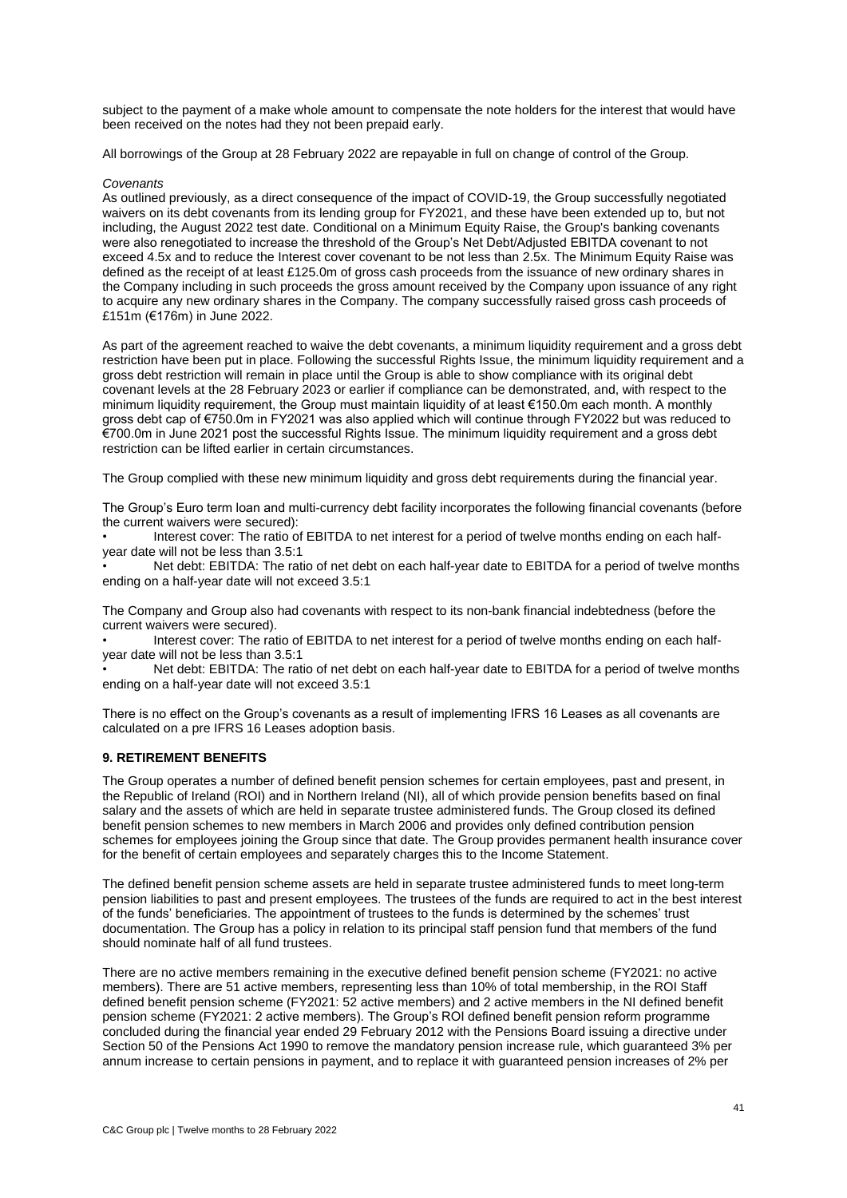subject to the payment of a make whole amount to compensate the note holders for the interest that would have been received on the notes had they not been prepaid early.

All borrowings of the Group at 28 February 2022 are repayable in full on change of control of the Group.

#### *Covenants*

As outlined previously, as a direct consequence of the impact of COVID-19, the Group successfully negotiated waivers on its debt covenants from its lending group for FY2021, and these have been extended up to, but not including, the August 2022 test date. Conditional on a Minimum Equity Raise, the Group's banking covenants were also renegotiated to increase the threshold of the Group's Net Debt/Adjusted EBITDA covenant to not exceed 4.5x and to reduce the Interest cover covenant to be not less than 2.5x. The Minimum Equity Raise was defined as the receipt of at least £125.0m of gross cash proceeds from the issuance of new ordinary shares in the Company including in such proceeds the gross amount received by the Company upon issuance of any right to acquire any new ordinary shares in the Company. The company successfully raised gross cash proceeds of £151m (€176m) in June 2022.

As part of the agreement reached to waive the debt covenants, a minimum liquidity requirement and a gross debt restriction have been put in place. Following the successful Rights Issue, the minimum liquidity requirement and a gross debt restriction will remain in place until the Group is able to show compliance with its original debt covenant levels at the 28 February 2023 or earlier if compliance can be demonstrated, and, with respect to the minimum liquidity requirement, the Group must maintain liquidity of at least €150.0m each month. A monthly gross debt cap of €750.0m in FY2021 was also applied which will continue through FY2022 but was reduced to €700.0m in June 2021 post the successful Rights Issue. The minimum liquidity requirement and a gross debt restriction can be lifted earlier in certain circumstances.

The Group complied with these new minimum liquidity and gross debt requirements during the financial year.

The Group's Euro term loan and multi-currency debt facility incorporates the following financial covenants (before the current waivers were secured):

Interest cover: The ratio of EBITDA to net interest for a period of twelve months ending on each halfyear date will not be less than 3.5:1

• Net debt: EBITDA: The ratio of net debt on each half-year date to EBITDA for a period of twelve months ending on a half-year date will not exceed 3.5:1

The Company and Group also had covenants with respect to its non-bank financial indebtedness (before the current waivers were secured).

• Interest cover: The ratio of EBITDA to net interest for a period of twelve months ending on each halfyear date will not be less than 3.5:1

• Net debt: EBITDA: The ratio of net debt on each half-year date to EBITDA for a period of twelve months ending on a half-year date will not exceed 3.5:1

There is no effect on the Group's covenants as a result of implementing IFRS 16 Leases as all covenants are calculated on a pre IFRS 16 Leases adoption basis.

### **9. RETIREMENT BENEFITS**

The Group operates a number of defined benefit pension schemes for certain employees, past and present, in the Republic of Ireland (ROI) and in Northern Ireland (NI), all of which provide pension benefits based on final salary and the assets of which are held in separate trustee administered funds. The Group closed its defined benefit pension schemes to new members in March 2006 and provides only defined contribution pension schemes for employees joining the Group since that date. The Group provides permanent health insurance cover for the benefit of certain employees and separately charges this to the Income Statement.

The defined benefit pension scheme assets are held in separate trustee administered funds to meet long-term pension liabilities to past and present employees. The trustees of the funds are required to act in the best interest of the funds' beneficiaries. The appointment of trustees to the funds is determined by the schemes' trust documentation. The Group has a policy in relation to its principal staff pension fund that members of the fund should nominate half of all fund trustees.

There are no active members remaining in the executive defined benefit pension scheme (FY2021: no active members). There are 51 active members, representing less than 10% of total membership, in the ROI Staff defined benefit pension scheme (FY2021: 52 active members) and 2 active members in the NI defined benefit pension scheme (FY2021: 2 active members). The Group's ROI defined benefit pension reform programme concluded during the financial year ended 29 February 2012 with the Pensions Board issuing a directive under Section 50 of the Pensions Act 1990 to remove the mandatory pension increase rule, which guaranteed 3% per annum increase to certain pensions in payment, and to replace it with guaranteed pension increases of 2% per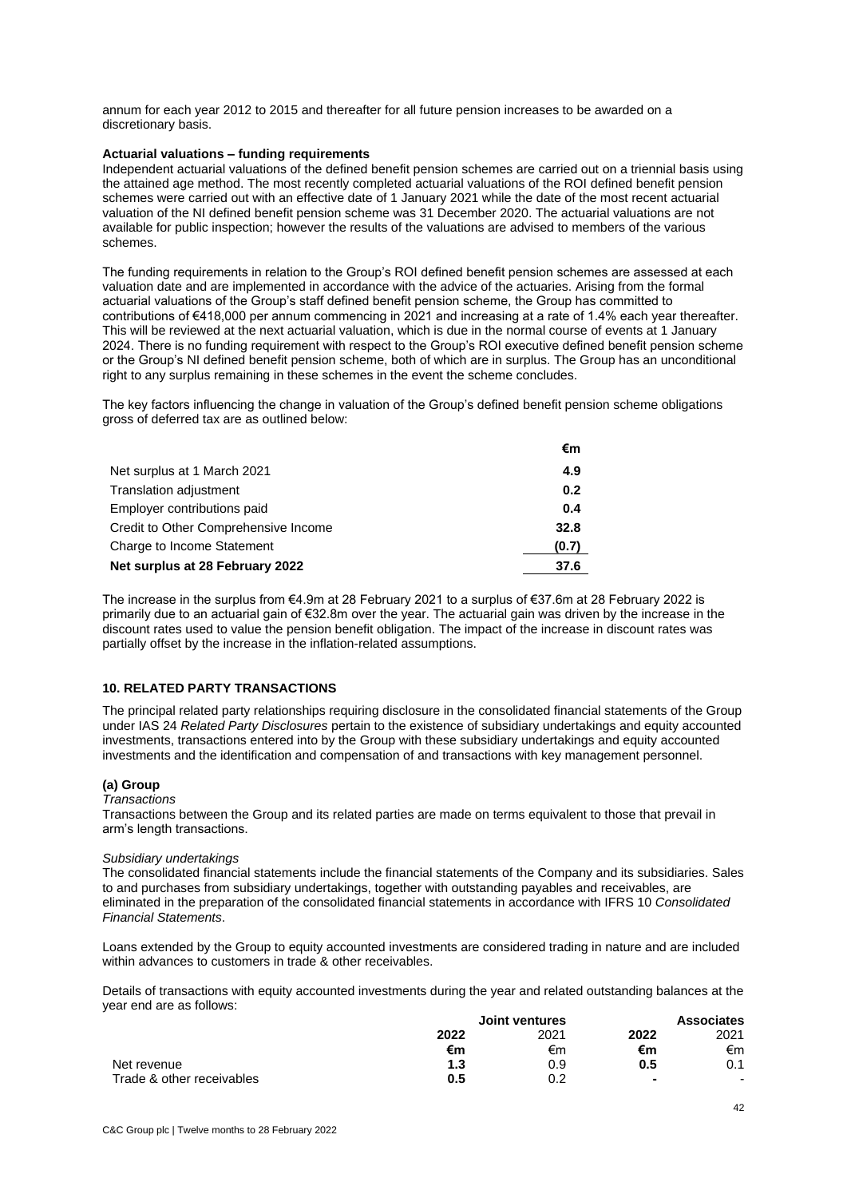annum for each year 2012 to 2015 and thereafter for all future pension increases to be awarded on a discretionary basis.

#### **Actuarial valuations – funding requirements**

Independent actuarial valuations of the defined benefit pension schemes are carried out on a triennial basis using the attained age method. The most recently completed actuarial valuations of the ROI defined benefit pension schemes were carried out with an effective date of 1 January 2021 while the date of the most recent actuarial valuation of the NI defined benefit pension scheme was 31 December 2020. The actuarial valuations are not available for public inspection; however the results of the valuations are advised to members of the various schemes.

The funding requirements in relation to the Group's ROI defined benefit pension schemes are assessed at each valuation date and are implemented in accordance with the advice of the actuaries. Arising from the formal actuarial valuations of the Group's staff defined benefit pension scheme, the Group has committed to contributions of €418,000 per annum commencing in 2021 and increasing at a rate of 1.4% each year thereafter. This will be reviewed at the next actuarial valuation, which is due in the normal course of events at 1 January 2024. There is no funding requirement with respect to the Group's ROI executive defined benefit pension scheme or the Group's NI defined benefit pension scheme, both of which are in surplus. The Group has an unconditional right to any surplus remaining in these schemes in the event the scheme concludes.

The key factors influencing the change in valuation of the Group's defined benefit pension scheme obligations gross of deferred tax are as outlined below:

|                                      | €m    |
|--------------------------------------|-------|
| Net surplus at 1 March 2021          | 4.9   |
| Translation adjustment               | 0.2   |
| Employer contributions paid          | 0.4   |
| Credit to Other Comprehensive Income | 32.8  |
| Charge to Income Statement           | (0.7) |
| Net surplus at 28 February 2022      | 37.6  |
|                                      |       |

The increase in the surplus from €4.9m at 28 February 2021 to a surplus of €37.6m at 28 February 2022 is primarily due to an actuarial gain of €32.8m over the year. The actuarial gain was driven by the increase in the discount rates used to value the pension benefit obligation. The impact of the increase in discount rates was partially offset by the increase in the inflation-related assumptions.

### **10. RELATED PARTY TRANSACTIONS**

The principal related party relationships requiring disclosure in the consolidated financial statements of the Group under IAS 24 *Related Party Disclosures* pertain to the existence of subsidiary undertakings and equity accounted investments, transactions entered into by the Group with these subsidiary undertakings and equity accounted investments and the identification and compensation of and transactions with key management personnel.

#### **(a) Group**

### *Transactions*

Transactions between the Group and its related parties are made on terms equivalent to those that prevail in arm's length transactions.

#### *Subsidiary undertakings*

The consolidated financial statements include the financial statements of the Company and its subsidiaries. Sales to and purchases from subsidiary undertakings, together with outstanding payables and receivables, are eliminated in the preparation of the consolidated financial statements in accordance with IFRS 10 *Consolidated Financial Statements*.

Loans extended by the Group to equity accounted investments are considered trading in nature and are included within advances to customers in trade & other receivables.

Details of transactions with equity accounted investments during the year and related outstanding balances at the year end are as follows:

|                           | <b>Joint ventures</b> |      | <b>Associates</b> |                          |
|---------------------------|-----------------------|------|-------------------|--------------------------|
|                           | 2022                  | 2021 | 2022              | 2021                     |
|                           | €m                    | €m   | €m                | €m                       |
| Net revenue               | 1.3                   | 0.9  | 0.5               | 0.1                      |
| Trade & other receivables | $0.5^{\circ}$         | 0.2  | $\blacksquare$    | $\overline{\phantom{0}}$ |